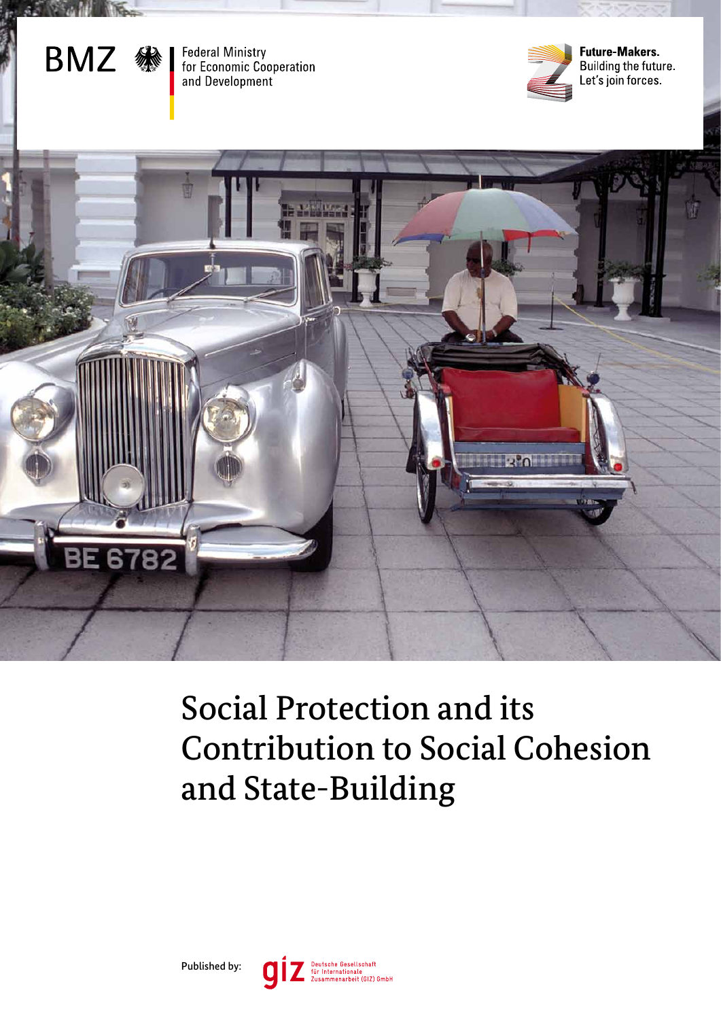

**Federal Ministry** for Economic Cooperation and Development



**Future-Makers** Building the future. Let's join forces.



# Social Protection and its Contribution to Social Cohesion and State-Building

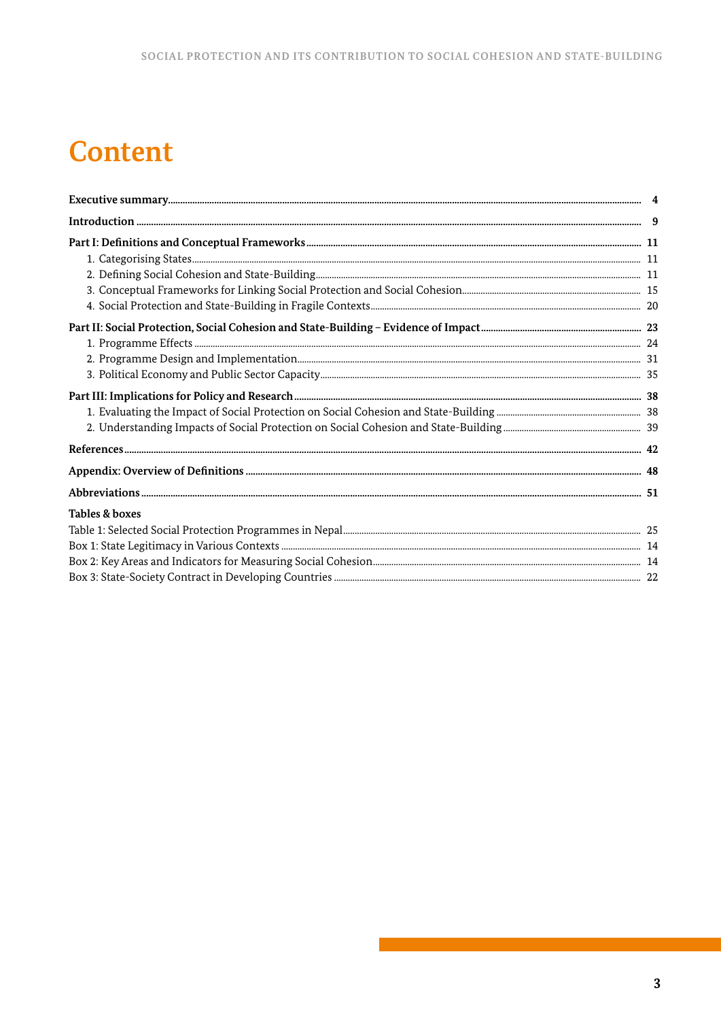# **Content**

| Tables & boxes |  |
|----------------|--|
|                |  |
|                |  |
|                |  |
|                |  |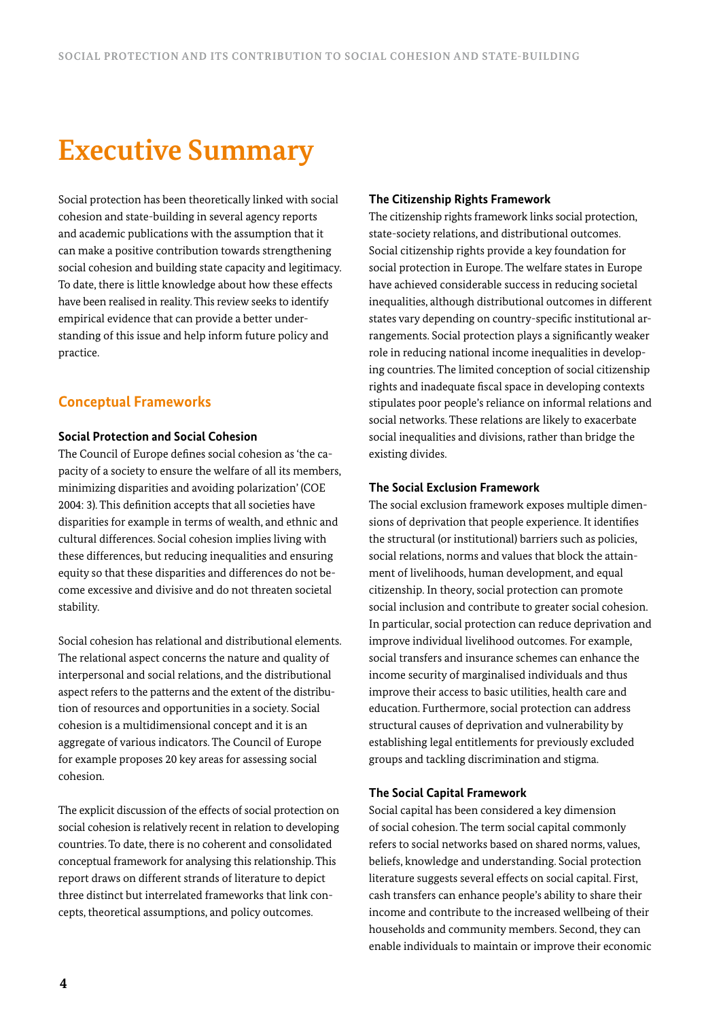# **Executive Summary**

Social protection has been theoretically linked with social cohesion and state-building in several agency reports and academic publications with the assumption that it can make a positive contribution towards strengthening social cohesion and building state capacity and legitimacy. To date, there is little knowledge about how these effects have been realised in reality. This review seeks to identify empirical evidence that can provide a better understanding of this issue and help inform future policy and practice.

# **Conceptual Frameworks**

## **Social Protection and Social Cohesion**

The Council of Europe defines social cohesion as 'the capacity of a society to ensure the welfare of all its members, minimizing disparities and avoiding polarization' (COE 2004: 3). This definition accepts that all societies have disparities for example in terms of wealth, and ethnic and cultural differences. Social cohesion implies living with these differences, but reducing inequalities and ensuring equity so that these disparities and differences do not become excessive and divisive and do not threaten societal stability.

Social cohesion has relational and distributional elements. The relational aspect concerns the nature and quality of interpersonal and social relations, and the distributional aspect refers to the patterns and the extent of the distribution of resources and opportunities in a society. Social cohesion is a multidimensional concept and it is an aggregate of various indicators. The Council of Europe for example proposes 20 key areas for assessing social cohesion.

The explicit discussion of the effects of social protection on social cohesion is relatively recent in relation to developing countries. To date, there is no coherent and consolidated conceptual framework for analysing this relationship. This report draws on different strands of literature to depict three distinct but interrelated frameworks that link concepts, theoretical assumptions, and policy outcomes.

#### **The Citizenship Rights Framework**

The citizenship rights framework links social protection, state-society relations, and distributional outcomes. Social citizenship rights provide a key foundation for social protection in Europe. The welfare states in Europe have achieved considerable success in reducing societal inequalities, although distributional outcomes in different states vary depending on country-specific institutional arrangements. Social protection plays a significantly weaker role in reducing national income inequalities in developing countries. The limited conception of social citizenship rights and inadequate fiscal space in developing contexts stipulates poor people's reliance on informal relations and social networks. These relations are likely to exacerbate social inequalities and divisions, rather than bridge the existing divides.

### **The Social Exclusion Framework**

The social exclusion framework exposes multiple dimensions of deprivation that people experience. It identifies the structural (or institutional) barriers such as policies, social relations, norms and values that block the attainment of livelihoods, human development, and equal citizenship. In theory, social protection can promote social inclusion and contribute to greater social cohesion. In particular, social protection can reduce deprivation and improve individual livelihood outcomes. For example, social transfers and insurance schemes can enhance the income security of marginalised individuals and thus improve their access to basic utilities, health care and education. Furthermore, social protection can address structural causes of deprivation and vulnerability by establishing legal entitlements for previously excluded groups and tackling discrimination and stigma.

### **The Social Capital Framework**

Social capital has been considered a key dimension of social cohesion. The term social capital commonly refers to social networks based on shared norms, values, beliefs, knowledge and understanding. Social protection literature suggests several effects on social capital. First, cash transfers can enhance people's ability to share their income and contribute to the increased wellbeing of their households and community members. Second, they can enable individuals to maintain or improve their economic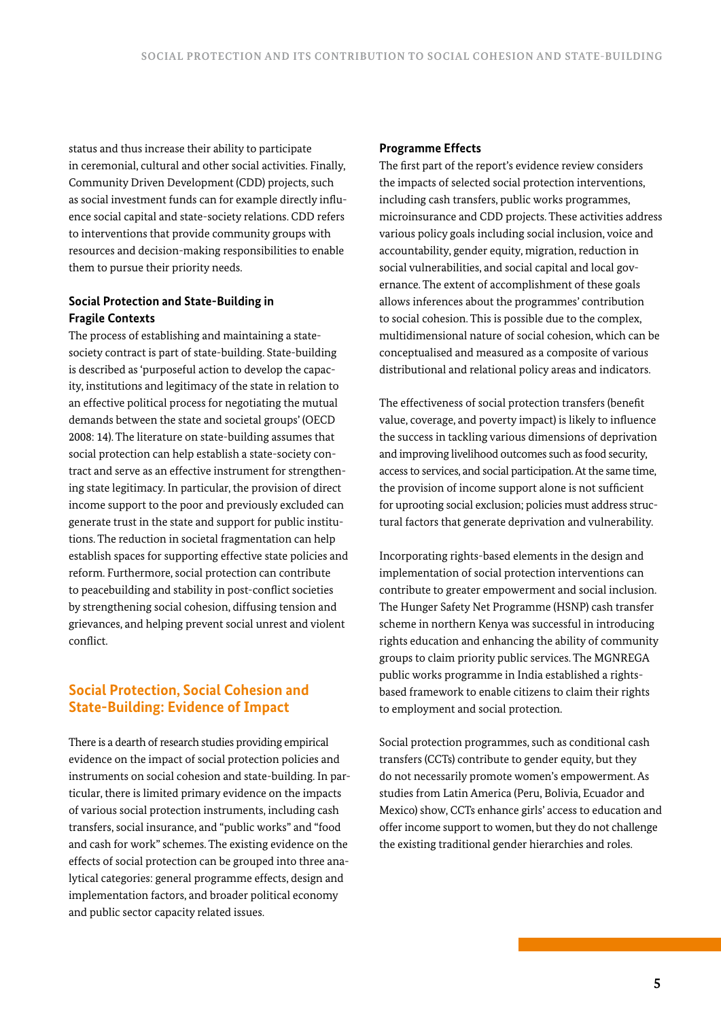status and thus increase their ability to participate in ceremonial, cultural and other social activities. Finally, Community Driven Development (CDD) projects, such as social investment funds can for example directly influence social capital and state-society relations. CDD refers to interventions that provide community groups with resources and decision-making responsibilities to enable them to pursue their priority needs.

## **Social Protection and State-Building in Fragile Contexts**

The process of establishing and maintaining a statesociety contract is part of state-building. State-building is described as 'purposeful action to develop the capacity, institutions and legitimacy of the state in relation to an effective political process for negotiating the mutual demands between the state and societal groups' (OECD 2008: 14). The literature on state-building assumes that social protection can help establish a state-society contract and serve as an effective instrument for strengthening state legitimacy. In particular, the provision of direct income support to the poor and previously excluded can generate trust in the state and support for public institutions. The reduction in societal fragmentation can help establish spaces for supporting effective state policies and reform. Furthermore, social protection can contribute to peacebuilding and stability in post-conflict societies by strengthening social cohesion, diffusing tension and grievances, and helping prevent social unrest and violent conflict.

# **Social Protection, Social Cohesion and State-Building: Evidence of Impact**

There is a dearth of research studies providing empirical evidence on the impact of social protection policies and instruments on social cohesion and state-building. In particular, there is limited primary evidence on the impacts of various social protection instruments, including cash transfers, social insurance, and "public works" and "food and cash for work" schemes. The existing evidence on the effects of social protection can be grouped into three analytical categories: general programme effects, design and implementation factors, and broader political economy and public sector capacity related issues.

## **Programme Effects**

The first part of the report's evidence review considers the impacts of selected social protection interventions, including cash transfers, public works programmes, microinsurance and CDD projects. These activities address various policy goals including social inclusion, voice and accountability, gender equity, migration, reduction in social vulnerabilities, and social capital and local governance. The extent of accomplishment of these goals allows inferences about the programmes' contribution to social cohesion. This is possible due to the complex, multidimensional nature of social cohesion, which can be conceptualised and measured as a composite of various distributional and relational policy areas and indicators.

The effectiveness of social protection transfers (benefit value, coverage, and poverty impact) is likely to influence the success in tackling various dimensions of deprivation and improving livelihood outcomes such as food security, access to services, and social participation. At the same time, the provision of income support alone is not sufficient for uprooting social exclusion; policies must address structural factors that generate deprivation and vulnerability.

Incorporating rights-based elements in the design and implementation of social protection interventions can contribute to greater empowerment and social inclusion. The Hunger Safety Net Programme (HSNP) cash transfer scheme in northern Kenya was successful in introducing rights education and enhancing the ability of community groups to claim priority public services. The MGNREGA public works programme in India established a rightsbased framework to enable citizens to claim their rights to employment and social protection.

Social protection programmes, such as conditional cash transfers (CCTs) contribute to gender equity, but they do not necessarily promote women's empowerment. As studies from Latin America (Peru, Bolivia, Ecuador and Mexico) show, CCTs enhance girls' access to education and offer income support to women, but they do not challenge the existing traditional gender hierarchies and roles.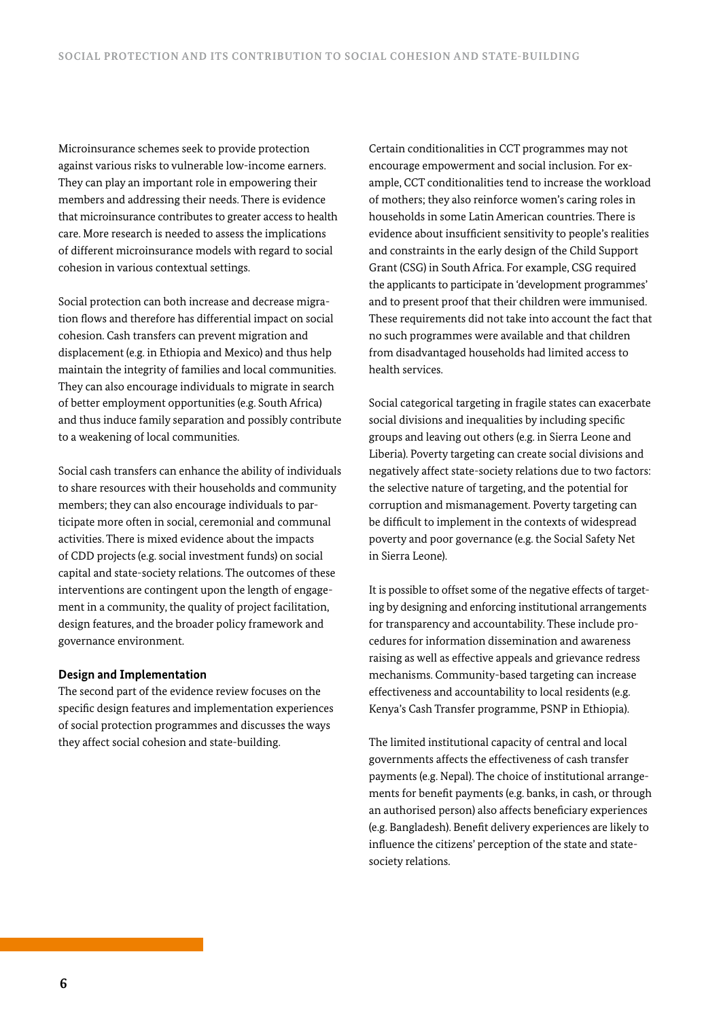Microinsurance schemes seek to provide protection against various risks to vulnerable low-income earners. They can play an important role in empowering their members and addressing their needs. There is evidence that microinsurance contributes to greater access to health care. More research is needed to assess the implications of different microinsurance models with regard to social cohesion in various contextual settings.

Social protection can both increase and decrease migration flows and therefore has differential impact on social cohesion. Cash transfers can prevent migration and displacement (e.g. in Ethiopia and Mexico) and thus help maintain the integrity of families and local communities. They can also encourage individuals to migrate in search of better employment opportunities (e.g. South Africa) and thus induce family separation and possibly contribute to a weakening of local communities.

Social cash transfers can enhance the ability of individuals to share resources with their households and community members; they can also encourage individuals to participate more often in social, ceremonial and communal activities. There is mixed evidence about the impacts of CDD projects (e.g. social investment funds) on social capital and state-society relations. The outcomes of these interventions are contingent upon the length of engagement in a community, the quality of project facilitation, design features, and the broader policy framework and governance environment.

#### **Design and Implementation**

The second part of the evidence review focuses on the specific design features and implementation experiences of social protection programmes and discusses the ways they affect social cohesion and state-building.

Certain conditionalities in CCT programmes may not encourage empowerment and social inclusion. For example, CCT conditionalities tend to increase the workload of mothers; they also reinforce women's caring roles in households in some Latin American countries. There is evidence about insufficient sensitivity to people's realities and constraints in the early design of the Child Support Grant (CSG) in South Africa. For example, CSG required the applicants to participate in 'development programmes' and to present proof that their children were immunised. These requirements did not take into account the fact that no such programmes were available and that children from disadvantaged households had limited access to health services.

Social categorical targeting in fragile states can exacerbate social divisions and inequalities by including specific groups and leaving out others (e.g. in Sierra Leone and Liberia). Poverty targeting can create social divisions and negatively affect state-society relations due to two factors: the selective nature of targeting, and the potential for corruption and mismanagement. Poverty targeting can be difficult to implement in the contexts of widespread poverty and poor governance (e.g. the Social Safety Net in Sierra Leone).

It is possible to offset some of the negative effects of targeting by designing and enforcing institutional arrangements for transparency and accountability. These include procedures for information dissemination and awareness raising as well as effective appeals and grievance redress mechanisms. Community-based targeting can increase effectiveness and accountability to local residents (e.g. Kenya's Cash Transfer programme, PSNP in Ethiopia).

The limited institutional capacity of central and local governments affects the effectiveness of cash transfer payments (e.g. Nepal). The choice of institutional arrangements for benefit payments (e.g. banks, in cash, or through an authorised person) also affects beneficiary experiences (e.g. Bangladesh). Benefit delivery experiences are likely to influence the citizens' perception of the state and statesociety relations.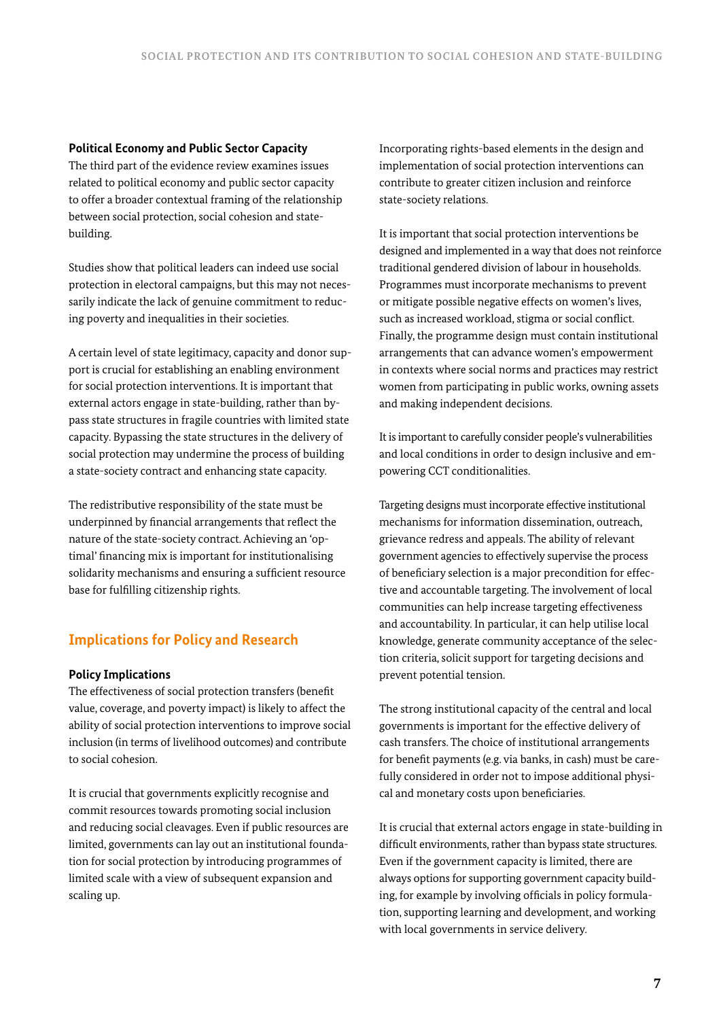## **Political Economy and Public Sector Capacity**

The third part of the evidence review examines issues related to political economy and public sector capacity to offer a broader contextual framing of the relationship between social protection, social cohesion and statebuilding.

Studies show that political leaders can indeed use social protection in electoral campaigns, but this may not necessarily indicate the lack of genuine commitment to reducing poverty and inequalities in their societies.

A certain level of state legitimacy, capacity and donor support is crucial for establishing an enabling environment for social protection interventions. It is important that external actors engage in state-building, rather than bypass state structures in fragile countries with limited state capacity. Bypassing the state structures in the delivery of social protection may undermine the process of building a state-society contract and enhancing state capacity.

The redistributive responsibility of the state must be underpinned by financial arrangements that reflect the nature of the state-society contract. Achieving an 'optimal' financing mix is important for institutionalising solidarity mechanisms and ensuring a sufficient resource base for fulfilling citizenship rights.

# **Implications for Policy and Research**

## **Policy Implications**

The effectiveness of social protection transfers (benefit value, coverage, and poverty impact) is likely to affect the ability of social protection interventions to improve social inclusion (in terms of livelihood outcomes) and contribute to social cohesion.

It is crucial that governments explicitly recognise and commit resources towards promoting social inclusion and reducing social cleavages. Even if public resources are limited, governments can lay out an institutional foundation for social protection by introducing programmes of limited scale with a view of subsequent expansion and scaling up.

Incorporating rights-based elements in the design and implementation of social protection interventions can contribute to greater citizen inclusion and reinforce state-society relations.

It is important that social protection interventions be designed and implemented in a way that does not reinforce traditional gendered division of labour in households. Programmes must incorporate mechanisms to prevent or mitigate possible negative effects on women's lives, such as increased workload, stigma or social conflict. Finally, the programme design must contain institutional arrangements that can advance women's empowerment in contexts where social norms and practices may restrict women from participating in public works, owning assets and making independent decisions.

It is important to carefully consider people's vulnerabilities and local conditions in order to design inclusive and empowering CCT conditionalities.

Targeting designs must incorporate effective institutional mechanisms for information dissemination, outreach, grievance redress and appeals. The ability of relevant government agencies to effectively supervise the process of beneficiary selection is a major precondition for effective and accountable targeting. The involvement of local communities can help increase targeting effectiveness and accountability. In particular, it can help utilise local knowledge, generate community acceptance of the selection criteria, solicit support for targeting decisions and prevent potential tension.

The strong institutional capacity of the central and local governments is important for the effective delivery of cash transfers. The choice of institutional arrangements for benefit payments (e.g. via banks, in cash) must be carefully considered in order not to impose additional physical and monetary costs upon beneficiaries.

It is crucial that external actors engage in state-building in difficult environments, rather than bypass state structures. Even if the government capacity is limited, there are always options for supporting government capacity building, for example by involving officials in policy formulation, supporting learning and development, and working with local governments in service delivery.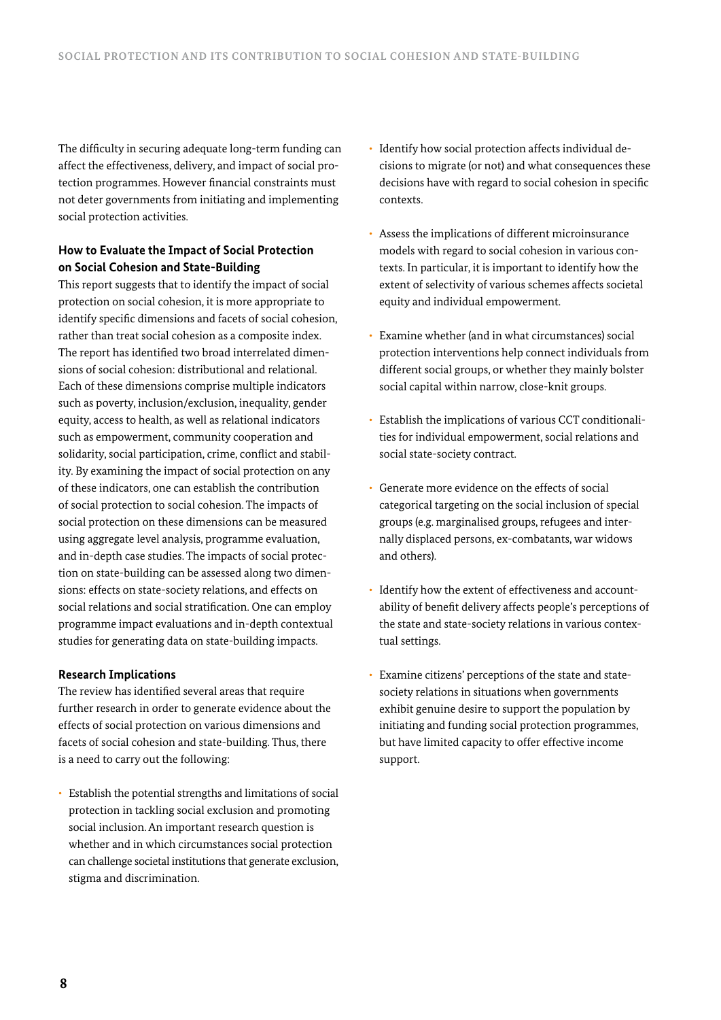The difficulty in securing adequate long-term funding can affect the effectiveness, delivery, and impact of social protection programmes. However financial constraints must not deter governments from initiating and implementing social protection activities.

## **How to Evaluate the Impact of Social Protection on Social Cohesion and State-Building**

This report suggests that to identify the impact of social protection on social cohesion, it is more appropriate to identify specific dimensions and facets of social cohesion, rather than treat social cohesion as a composite index. The report has identified two broad interrelated dimensions of social cohesion: distributional and relational. Each of these dimensions comprise multiple indicators such as poverty, inclusion/exclusion, inequality, gender equity, access to health, as well as relational indicators such as empowerment, community cooperation and solidarity, social participation, crime, conflict and stability. By examining the impact of social protection on any of these indicators, one can establish the contribution of social protection to social cohesion. The impacts of social protection on these dimensions can be measured using aggregate level analysis, programme evaluation, and in-depth case studies. The impacts of social protection on state-building can be assessed along two dimensions: effects on state-society relations, and effects on social relations and social stratification. One can employ programme impact evaluations and in-depth contextual studies for generating data on state-building impacts.

### **Research Implications**

The review has identified several areas that require further research in order to generate evidence about the effects of social protection on various dimensions and facets of social cohesion and state-building. Thus, there is a need to carry out the following:

• Establish the potential strengths and limitations of social protection in tackling social exclusion and promoting social inclusion. An important research question is whether and in which circumstances social protection can challenge societal institutions that generate exclusion, stigma and discrimination.

- Identify how social protection affects individual decisions to migrate (or not) and what consequences these decisions have with regard to social cohesion in specific contexts.
- Assess the implications of different microinsurance models with regard to social cohesion in various contexts. In particular, it is important to identify how the extent of selectivity of various schemes affects societal equity and individual empowerment.
- Examine whether (and in what circumstances) social protection interventions help connect individuals from different social groups, or whether they mainly bolster social capital within narrow, close-knit groups.
- Establish the implications of various CCT conditionalities for individual empowerment, social relations and social state-society contract.
- Generate more evidence on the effects of social categorical targeting on the social inclusion of special groups (e.g. marginalised groups, refugees and internally displaced persons, ex-combatants, war widows and others).
- Identify how the extent of effectiveness and accountability of benefit delivery affects people's perceptions of the state and state-society relations in various contextual settings.
- Examine citizens' perceptions of the state and statesociety relations in situations when governments exhibit genuine desire to support the population by initiating and funding social protection programmes, but have limited capacity to offer effective income support.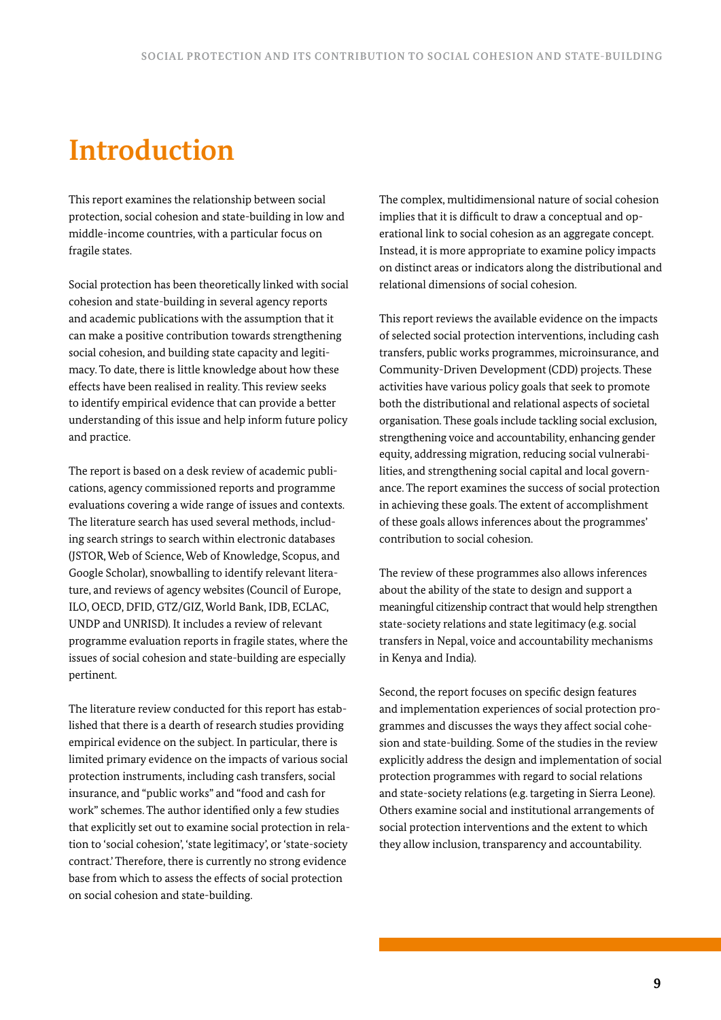# **Introduction**

This report examines the relationship between social protection, social cohesion and state-building in low and middle-income countries, with a particular focus on fragile states.

Social protection has been theoretically linked with social cohesion and state-building in several agency reports and academic publications with the assumption that it can make a positive contribution towards strengthening social cohesion, and building state capacity and legitimacy. To date, there is little knowledge about how these effects have been realised in reality. This review seeks to identify empirical evidence that can provide a better understanding of this issue and help inform future policy and practice.

The report is based on a desk review of academic publications, agency commissioned reports and programme evaluations covering a wide range of issues and contexts. The literature search has used several methods, including search strings to search within electronic databases (JSTOR, Web of Science, Web of Knowledge, Scopus, and Google Scholar), snowballing to identify relevant literature, and reviews of agency websites (Council of Europe, ILO, OECD, DFID, GTZ/GIZ, World Bank, IDB, ECLAC, UNDP and UNRISD). It includes a review of relevant programme evaluation reports in fragile states, where the issues of social cohesion and state-building are especially pertinent.

The literature review conducted for this report has established that there is a dearth of research studies providing empirical evidence on the subject. In particular, there is limited primary evidence on the impacts of various social protection instruments, including cash transfers, social insurance, and "public works" and "food and cash for work" schemes. The author identified only a few studies that explicitly set out to examine social protection in relation to 'social cohesion', 'state legitimacy', or 'state-society contract.' Therefore, there is currently no strong evidence base from which to assess the effects of social protection on social cohesion and state-building.

The complex, multidimensional nature of social cohesion implies that it is difficult to draw a conceptual and operational link to social cohesion as an aggregate concept. Instead, it is more appropriate to examine policy impacts on distinct areas or indicators along the distributional and relational dimensions of social cohesion.

This report reviews the available evidence on the impacts of selected social protection interventions, including cash transfers, public works programmes, microinsurance, and Community-Driven Development (CDD) projects. These activities have various policy goals that seek to promote both the distributional and relational aspects of societal organisation. These goals include tackling social exclusion, strengthening voice and accountability, enhancing gender equity, addressing migration, reducing social vulnerabilities, and strengthening social capital and local governance. The report examines the success of social protection in achieving these goals. The extent of accomplishment of these goals allows inferences about the programmes' contribution to social cohesion.

The review of these programmes also allows inferences about the ability of the state to design and support a meaningful citizenship contract that would help strengthen state-society relations and state legitimacy (e.g. social transfers in Nepal, voice and accountability mechanisms in Kenya and India).

Second, the report focuses on specific design features and implementation experiences of social protection programmes and discusses the ways they affect social cohesion and state-building. Some of the studies in the review explicitly address the design and implementation of social protection programmes with regard to social relations and state-society relations (e.g. targeting in Sierra Leone). Others examine social and institutional arrangements of social protection interventions and the extent to which they allow inclusion, transparency and accountability.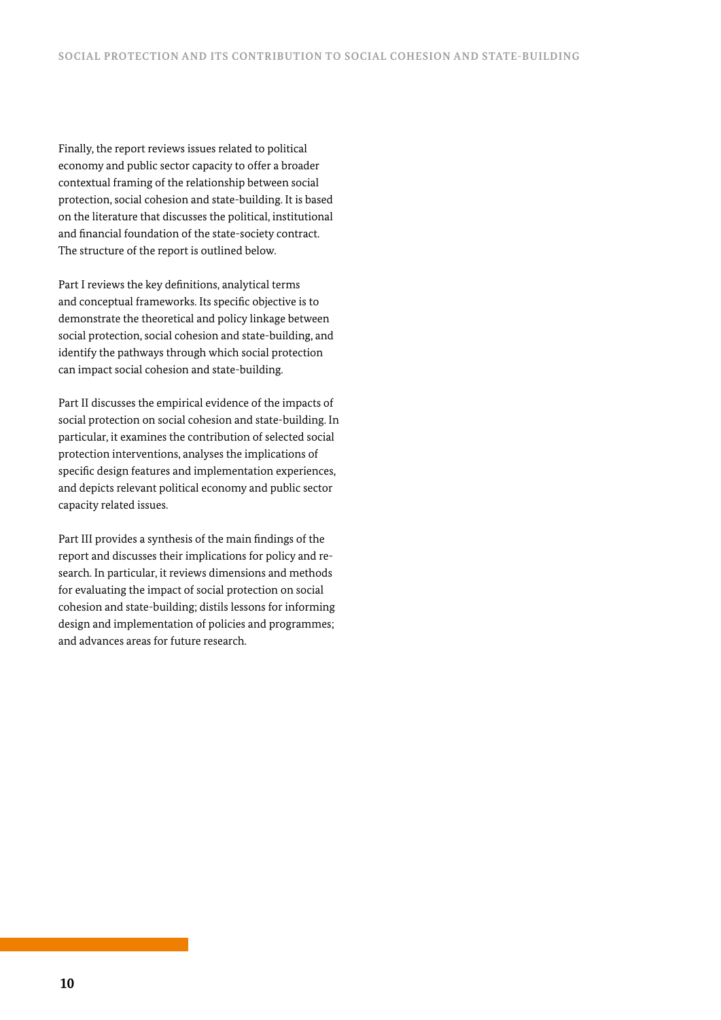Finally, the report reviews issues related to political economy and public sector capacity to offer a broader contextual framing of the relationship between social protection, social cohesion and state-building. It is based on the literature that discusses the political, institutional and financial foundation of the state-society contract. The structure of the report is outlined below.

Part I reviews the key definitions, analytical terms and conceptual frameworks. Its specific objective is to demonstrate the theoretical and policy linkage between social protection, social cohesion and state-building, and identify the pathways through which social protection can impact social cohesion and state-building.

Part II discusses the empirical evidence of the impacts of social protection on social cohesion and state-building. In particular, it examines the contribution of selected social protection interventions, analyses the implications of specific design features and implementation experiences, and depicts relevant political economy and public sector capacity related issues.

Part III provides a synthesis of the main findings of the report and discusses their implications for policy and research. In particular, it reviews dimensions and methods for evaluating the impact of social protection on social cohesion and state-building; distils lessons for informing design and implementation of policies and programmes; and advances areas for future research.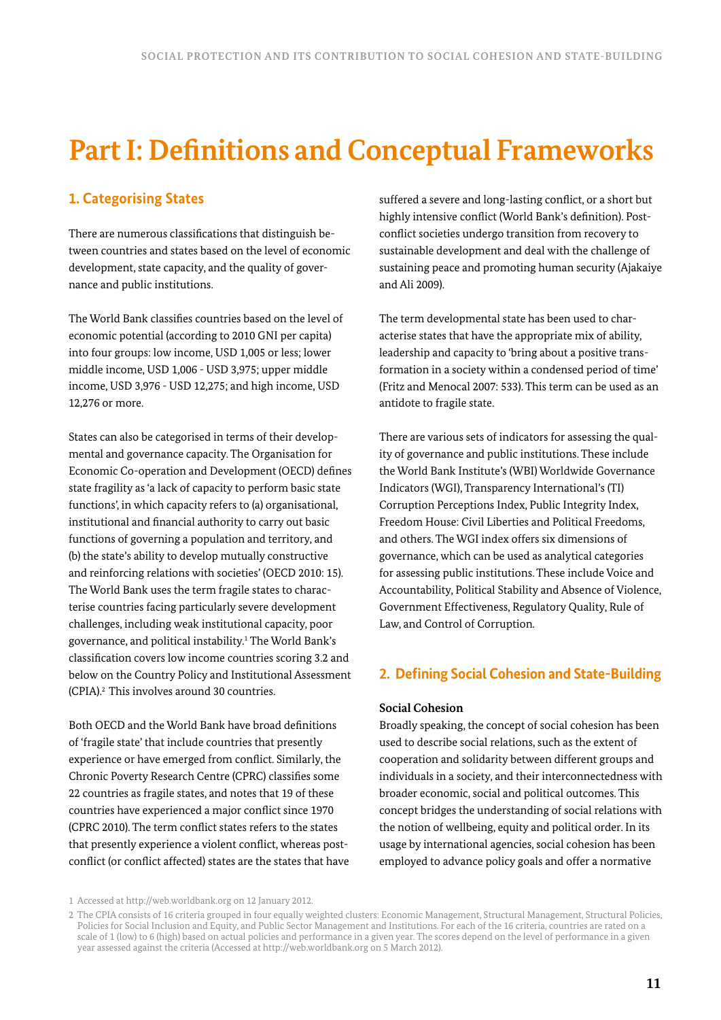# **Part I: Definitions and Conceptual Frameworks**

# **1. Categorising States**

There are numerous classifications that distinguish between countries and states based on the level of economic development, state capacity, and the quality of governance and public institutions.

The World Bank classifies countries based on the level of economic potential (according to 2010 GNI per capita) into four groups: low income, USD 1,005 or less; lower middle income, USD 1,006 - USD 3,975; upper middle income, USD 3,976 - USD 12,275; and high income, USD 12,276 or more.

States can also be categorised in terms of their developmental and governance capacity. The Organisation for Economic Co-operation and Development (OECD) defines state fragility as 'a lack of capacity to perform basic state functions', in which capacity refers to (a) organisational, institutional and financial authority to carry out basic functions of governing a population and territory, and (b) the state's ability to develop mutually constructive and reinforcing relations with societies' (OECD 2010: 15). The World Bank uses the term fragile states to characterise countries facing particularly severe development challenges, including weak institutional capacity, poor governance, and political instability.1 The World Bank's classification covers low income countries scoring 3.2 and below on the Country Policy and Institutional Assessment (CPIA).2 This involves around 30 countries.

Both OECD and the World Bank have broad definitions of 'fragile state' that include countries that presently experience or have emerged from conflict. Similarly, the Chronic Poverty Research Centre (CPRC) classifies some 22 countries as fragile states, and notes that 19 of these countries have experienced a major conflict since 1970 (CPRC 2010). The term conflict states refers to the states that presently experience a violent conflict, whereas postconflict (or conflict affected) states are the states that have suffered a severe and long-lasting conflict, or a short but highly intensive conflict (World Bank's definition). Postconflict societies undergo transition from recovery to sustainable development and deal with the challenge of sustaining peace and promoting human security (Ajakaiye and Ali 2009).

The term developmental state has been used to characterise states that have the appropriate mix of ability, leadership and capacity to 'bring about a positive transformation in a society within a condensed period of time' (Fritz and Menocal 2007: 533). This term can be used as an antidote to fragile state.

There are various sets of indicators for assessing the quality of governance and public institutions. These include the World Bank Institute's (WBI) Worldwide Governance Indicators (WGI), Transparency International's (TI) Corruption Perceptions Index, Public Integrity Index, Freedom House: Civil Liberties and Political Freedoms, and others. The WGI index offers six dimensions of governance, which can be used as analytical categories for assessing public institutions. These include Voice and Accountability, Political Stability and Absence of Violence, Government Effectiveness, Regulatory Quality, Rule of Law, and Control of Corruption.

# **2. Defining Social Cohesion and State-Building**

## **Social Cohesion**

Broadly speaking, the concept of social cohesion has been used to describe social relations, such as the extent of cooperation and solidarity between different groups and individuals in a society, and their interconnectedness with broader economic, social and political outcomes. This concept bridges the understanding of social relations with the notion of wellbeing, equity and political order. In its usage by international agencies, social cohesion has been employed to advance policy goals and offer a normative

<sup>1</sup> Accessed at http://web.worldbank.org on 12 January 2012.

<sup>2</sup> The CPIA consists of 16 criteria grouped in four equally weighted clusters: Economic Management, Structural Management, Structural Policies, Policies for Social Inclusion and Equity, and Public Sector Management and Institutions. For each of the 16 criteria, countries are rated on a scale of 1 (low) to 6 (high) based on actual policies and performance in a given year. The scores depend on the level of performance in a given year assessed against the criteria (Accessed at http://web.worldbank.org on 5 March 2012).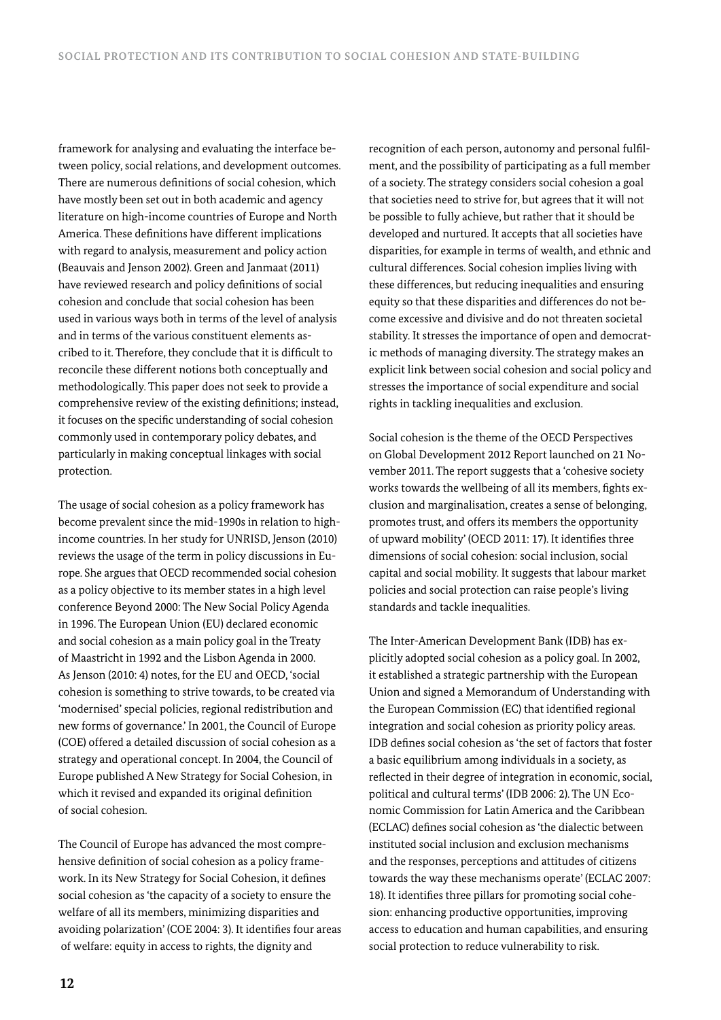framework for analysing and evaluating the interface between policy, social relations, and development outcomes. There are numerous definitions of social cohesion, which have mostly been set out in both academic and agency literature on high-income countries of Europe and North America. These definitions have different implications with regard to analysis, measurement and policy action (Beauvais and Jenson 2002). Green and Janmaat (2011) have reviewed research and policy definitions of social cohesion and conclude that social cohesion has been used in various ways both in terms of the level of analysis and in terms of the various constituent elements ascribed to it. Therefore, they conclude that it is difficult to reconcile these different notions both conceptually and methodologically. This paper does not seek to provide a comprehensive review of the existing definitions; instead, it focuses on the specific understanding of social cohesion commonly used in contemporary policy debates, and particularly in making conceptual linkages with social protection.

The usage of social cohesion as a policy framework has become prevalent since the mid-1990s in relation to highincome countries. In her study for UNRISD, Jenson (2010) reviews the usage of the term in policy discussions in Europe. She argues that OECD recommended social cohesion as a policy objective to its member states in a high level conference Beyond 2000: The New Social Policy Agenda in 1996. The European Union (EU) declared economic and social cohesion as a main policy goal in the Treaty of Maastricht in 1992 and the Lisbon Agenda in 2000. As Jenson (2010: 4) notes, for the EU and OECD, 'social cohesion is something to strive towards, to be created via 'modernised' special policies, regional redistribution and new forms of governance.' In 2001, the Council of Europe (COE) offered a detailed discussion of social cohesion as a strategy and operational concept. In 2004, the Council of Europe published A New Strategy for Social Cohesion, in which it revised and expanded its original definition of social cohesion.

The Council of Europe has advanced the most comprehensive definition of social cohesion as a policy framework. In its New Strategy for Social Cohesion, it defines social cohesion as 'the capacity of a society to ensure the welfare of all its members, minimizing disparities and avoiding polarization' (COE 2004: 3). It identifies four areas of welfare: equity in access to rights, the dignity and

recognition of each person, autonomy and personal fulfilment, and the possibility of participating as a full member of a society. The strategy considers social cohesion a goal that societies need to strive for, but agrees that it will not be possible to fully achieve, but rather that it should be developed and nurtured. It accepts that all societies have disparities, for example in terms of wealth, and ethnic and cultural differences. Social cohesion implies living with these differences, but reducing inequalities and ensuring equity so that these disparities and differences do not become excessive and divisive and do not threaten societal stability. It stresses the importance of open and democratic methods of managing diversity. The strategy makes an explicit link between social cohesion and social policy and stresses the importance of social expenditure and social rights in tackling inequalities and exclusion.

Social cohesion is the theme of the OECD Perspectives on Global Development 2012 Report launched on 21 November 2011. The report suggests that a 'cohesive society works towards the wellbeing of all its members, fights exclusion and marginalisation, creates a sense of belonging, promotes trust, and offers its members the opportunity of upward mobility' (OECD 2011: 17). It identifies three dimensions of social cohesion: social inclusion, social capital and social mobility. It suggests that labour market policies and social protection can raise people's living standards and tackle inequalities.

The Inter-American Development Bank (IDB) has explicitly adopted social cohesion as a policy goal. In 2002, it established a strategic partnership with the European Union and signed a Memorandum of Understanding with the European Commission (EC) that identified regional integration and social cohesion as priority policy areas. IDB defines social cohesion as 'the set of factors that foster a basic equilibrium among individuals in a society, as reflected in their degree of integration in economic, social, political and cultural terms' (IDB 2006: 2). The UN Economic Commission for Latin America and the Caribbean (ECLAC) defines social cohesion as 'the dialectic between instituted social inclusion and exclusion mechanisms and the responses, perceptions and attitudes of citizens towards the way these mechanisms operate' (ECLAC 2007: 18). It identifies three pillars for promoting social cohesion: enhancing productive opportunities, improving access to education and human capabilities, and ensuring social protection to reduce vulnerability to risk.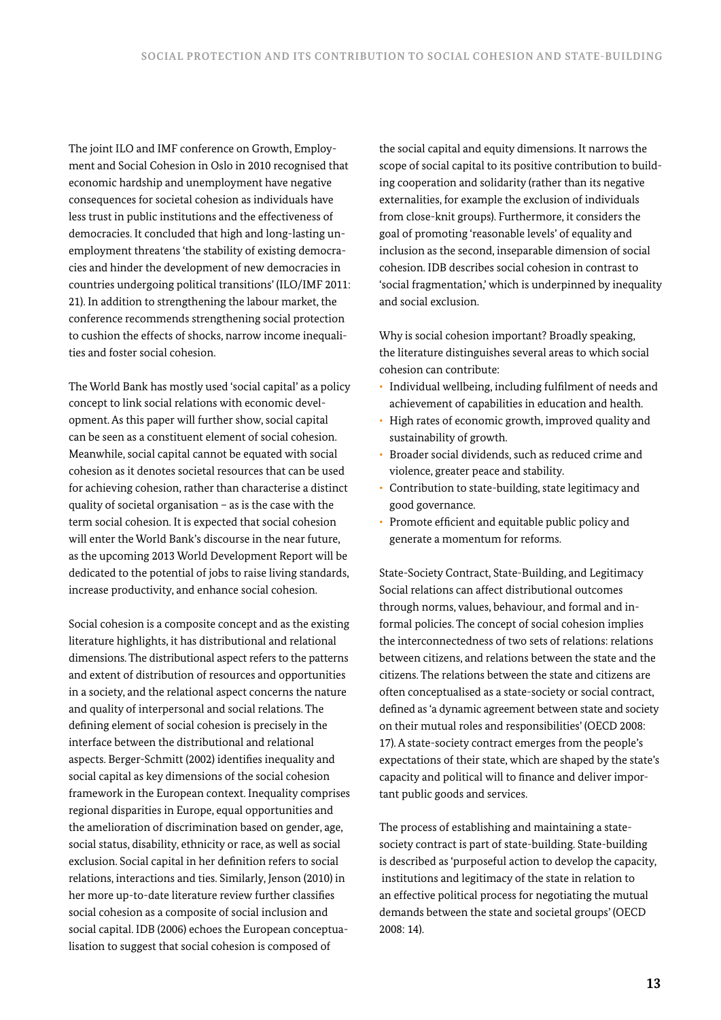The joint ILO and IMF conference on Growth, Employment and Social Cohesion in Oslo in 2010 recognised that economic hardship and unemployment have negative consequences for societal cohesion as individuals have less trust in public institutions and the effectiveness of democracies. It concluded that high and long-lasting unemployment threatens 'the stability of existing democracies and hinder the development of new democracies in countries undergoing political transitions' (ILO/IMF 2011: 21). In addition to strengthening the labour market, the conference recommends strengthening social protection to cushion the effects of shocks, narrow income inequalities and foster social cohesion.

The World Bank has mostly used 'social capital' as a policy concept to link social relations with economic development. As this paper will further show, social capital can be seen as a constituent element of social cohesion. Meanwhile, social capital cannot be equated with social cohesion as it denotes societal resources that can be used for achieving cohesion, rather than characterise a distinct quality of societal organisation – as is the case with the term social cohesion. It is expected that social cohesion will enter the World Bank's discourse in the near future, as the upcoming 2013 World Development Report will be dedicated to the potential of jobs to raise living standards, increase productivity, and enhance social cohesion.

Social cohesion is a composite concept and as the existing literature highlights, it has distributional and relational dimensions. The distributional aspect refers to the patterns and extent of distribution of resources and opportunities in a society, and the relational aspect concerns the nature and quality of interpersonal and social relations. The defining element of social cohesion is precisely in the interface between the distributional and relational aspects. Berger-Schmitt (2002) identifies inequality and social capital as key dimensions of the social cohesion framework in the European context. Inequality comprises regional disparities in Europe, equal opportunities and the amelioration of discrimination based on gender, age, social status, disability, ethnicity or race, as well as social exclusion. Social capital in her definition refers to social relations, interactions and ties. Similarly, Jenson (2010) in her more up-to-date literature review further classifies social cohesion as a composite of social inclusion and social capital. IDB (2006) echoes the European conceptualisation to suggest that social cohesion is composed of

the social capital and equity dimensions. It narrows the scope of social capital to its positive contribution to building cooperation and solidarity (rather than its negative externalities, for example the exclusion of individuals from close-knit groups). Furthermore, it considers the goal of promoting 'reasonable levels' of equality and inclusion as the second, inseparable dimension of social cohesion. IDB describes social cohesion in contrast to 'social fragmentation,' which is underpinned by inequality and social exclusion.

Why is social cohesion important? Broadly speaking, the literature distinguishes several areas to which social cohesion can contribute:

- Individual wellbeing, including fulfilment of needs and achievement of capabilities in education and health.
- High rates of economic growth, improved quality and sustainability of growth.
- Broader social dividends, such as reduced crime and violence, greater peace and stability.
- Contribution to state-building, state legitimacy and good governance.
- Promote efficient and equitable public policy and generate a momentum for reforms.

State-Society Contract, State-Building, and Legitimacy Social relations can affect distributional outcomes through norms, values, behaviour, and formal and informal policies. The concept of social cohesion implies the interconnectedness of two sets of relations: relations between citizens, and relations between the state and the citizens. The relations between the state and citizens are often conceptualised as a state-society or social contract, defined as 'a dynamic agreement between state and society on their mutual roles and responsibilities' (OECD 2008: 17). A state-society contract emerges from the people's expectations of their state, which are shaped by the state's capacity and political will to finance and deliver important public goods and services.

The process of establishing and maintaining a statesociety contract is part of state-building. State-building is described as 'purposeful action to develop the capacity, institutions and legitimacy of the state in relation to an effective political process for negotiating the mutual demands between the state and societal groups' (OECD 2008: 14).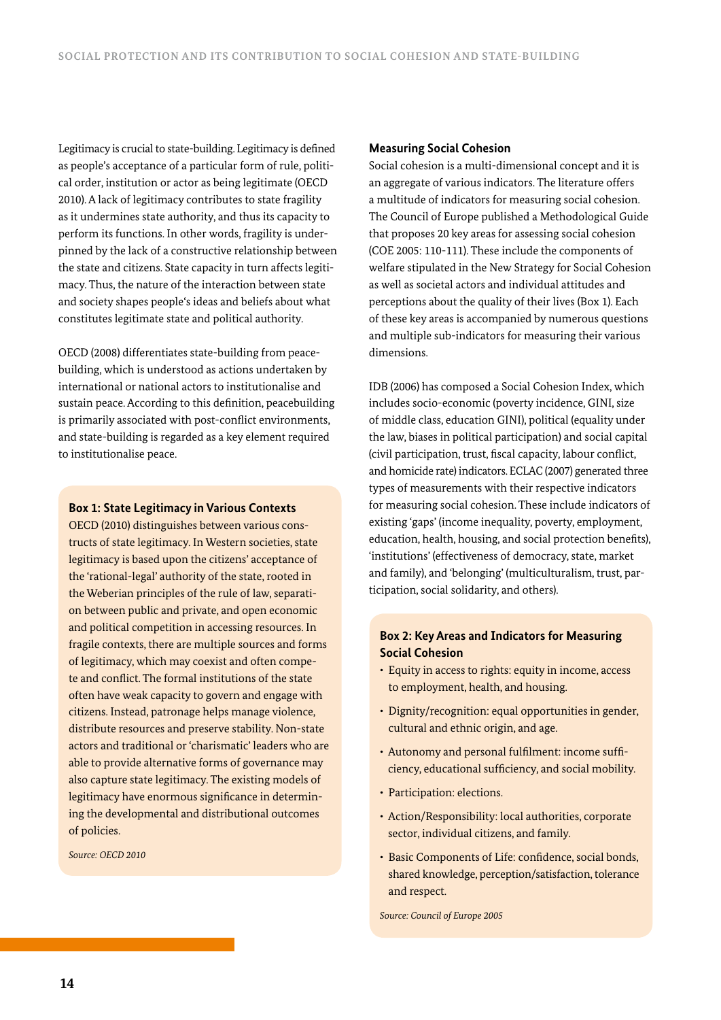Legitimacy is crucial to state-building. Legitimacy is defined as people's acceptance of a particular form of rule, political order, institution or actor as being legitimate (OECD 2010). A lack of legitimacy contributes to state fragility as it undermines state authority, and thus its capacity to perform its functions. In other words, fragility is underpinned by the lack of a constructive relationship between the state and citizens. State capacity in turn affects legitimacy. Thus, the nature of the interaction between state and society shapes people's ideas and beliefs about what constitutes legitimate state and political authority.

OECD (2008) differentiates state-building from peacebuilding, which is understood as actions undertaken by international or national actors to institutionalise and sustain peace. According to this definition, peacebuilding is primarily associated with post-conflict environments, and state-building is regarded as a key element required to institutionalise peace.

#### **Box 1: State Legitimacy in Various Contexts**

OECD (2010) distinguishes between various constructs of state legitimacy. In Western societies, state legitimacy is based upon the citizens' acceptance of the 'rational-legal' authority of the state, rooted in the Weberian principles of the rule of law, separation between public and private, and open economic and political competition in accessing resources. In fragile contexts, there are multiple sources and forms of legitimacy, which may coexist and often compete and conflict. The formal institutions of the state often have weak capacity to govern and engage with citizens. Instead, patronage helps manage violence, distribute resources and preserve stability. Non-state actors and traditional or 'charismatic' leaders who are able to provide alternative forms of governance may also capture state legitimacy. The existing models of legitimacy have enormous significance in determining the developmental and distributional outcomes of policies.

*Source: OECD 2010*

#### **Measuring Social Cohesion**

Social cohesion is a multi-dimensional concept and it is an aggregate of various indicators. The literature offers a multitude of indicators for measuring social cohesion. The Council of Europe published a Methodological Guide that proposes 20 key areas for assessing social cohesion (COE 2005: 110-111). These include the components of welfare stipulated in the New Strategy for Social Cohesion as well as societal actors and individual attitudes and perceptions about the quality of their lives (Box 1). Each of these key areas is accompanied by numerous questions and multiple sub-indicators for measuring their various dimensions.

IDB (2006) has composed a Social Cohesion Index, which includes socio-economic (poverty incidence, GINI, size of middle class, education GINI), political (equality under the law, biases in political participation) and social capital (civil participation, trust, fiscal capacity, labour conflict, and homicide rate) indicators. ECLAC (2007) generated three types of measurements with their respective indicators for measuring social cohesion. These include indicators of existing 'gaps' (income inequality, poverty, employment, education, health, housing, and social protection benefits), 'institutions' (effectiveness of democracy, state, market and family), and 'belonging' (multiculturalism, trust, participation, social solidarity, and others).

## **Box 2: Key Areas and Indicators for Measuring Social Cohesion**

- Equity in access to rights: equity in income, access to employment, health, and housing.
- Dignity/recognition: equal opportunities in gender, cultural and ethnic origin, and age.
- Autonomy and personal fulfilment: income sufficiency, educational sufficiency, and social mobility.
- Participation: elections.
- Action/Responsibility: local authorities, corporate sector, individual citizens, and family.
- Basic Components of Life: confidence, social bonds, shared knowledge, perception/satisfaction, tolerance and respect.

*Source: Council of Europe 2005*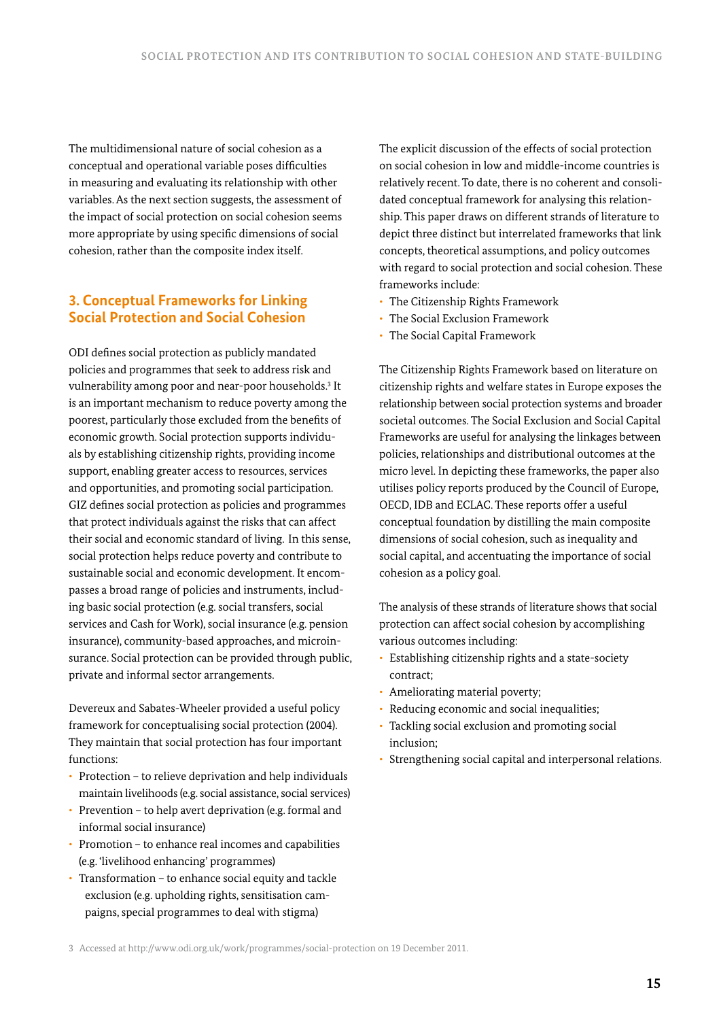The multidimensional nature of social cohesion as a conceptual and operational variable poses difficulties in measuring and evaluating its relationship with other variables. As the next section suggests, the assessment of the impact of social protection on social cohesion seems more appropriate by using specific dimensions of social cohesion, rather than the composite index itself.

# **3. Conceptual Frameworks for Linking Social Protection and Social Cohesion**

ODI defines social protection as publicly mandated policies and programmes that seek to address risk and vulnerability among poor and near-poor households.3 It is an important mechanism to reduce poverty among the poorest, particularly those excluded from the benefits of economic growth. Social protection supports individuals by establishing citizenship rights, providing income support, enabling greater access to resources, services and opportunities, and promoting social participation. GIZ defines social protection as policies and programmes that protect individuals against the risks that can affect their social and economic standard of living. In this sense, social protection helps reduce poverty and contribute to sustainable social and economic development. It encompasses a broad range of policies and instruments, including basic social protection (e.g. social transfers, social services and Cash for Work), social insurance (e.g. pension insurance), community-based approaches, and microinsurance. Social protection can be provided through public, private and informal sector arrangements.

Devereux and Sabates-Wheeler provided a useful policy framework for conceptualising social protection (2004). They maintain that social protection has four important functions:

- Protection to relieve deprivation and help individuals maintain livelihoods (e.g. social assistance, social services)
- Prevention to help avert deprivation (e.g. formal and informal social insurance)
- Promotion to enhance real incomes and capabilities (e.g. 'livelihood enhancing' programmes)
- Transformation to enhance social equity and tackle exclusion (e.g. upholding rights, sensitisation campaigns, special programmes to deal with stigma)

The explicit discussion of the effects of social protection on social cohesion in low and middle-income countries is relatively recent. To date, there is no coherent and consolidated conceptual framework for analysing this relationship. This paper draws on different strands of literature to depict three distinct but interrelated frameworks that link concepts, theoretical assumptions, and policy outcomes with regard to social protection and social cohesion. These frameworks include:

- The Citizenship Rights Framework
- The Social Exclusion Framework
- The Social Capital Framework

The Citizenship Rights Framework based on literature on citizenship rights and welfare states in Europe exposes the relationship between social protection systems and broader societal outcomes. The Social Exclusion and Social Capital Frameworks are useful for analysing the linkages between policies, relationships and distributional outcomes at the micro level. In depicting these frameworks, the paper also utilises policy reports produced by the Council of Europe, OECD, IDB and ECLAC. These reports offer a useful conceptual foundation by distilling the main composite dimensions of social cohesion, such as inequality and social capital, and accentuating the importance of social cohesion as a policy goal.

The analysis of these strands of literature shows that social protection can affect social cohesion by accomplishing various outcomes including:

- Establishing citizenship rights and a state-society contract;
- Ameliorating material poverty;
- Reducing economic and social inequalities;
- Tackling social exclusion and promoting social inclusion;
- Strengthening social capital and interpersonal relations.

<sup>3</sup> Accessed at http://www.odi.org.uk/work/programmes/social-protection on 19 December 2011.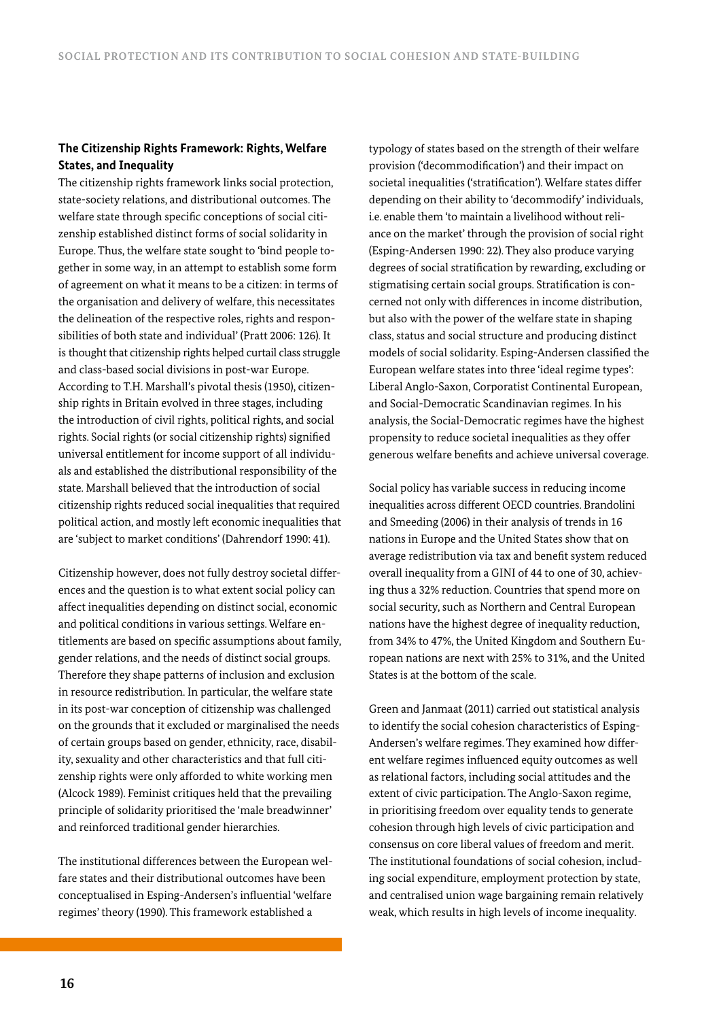## **The Citizenship Rights Framework: Rights, Welfare States, and Inequality**

The citizenship rights framework links social protection, state-society relations, and distributional outcomes. The welfare state through specific conceptions of social citizenship established distinct forms of social solidarity in Europe. Thus, the welfare state sought to 'bind people together in some way, in an attempt to establish some form of agreement on what it means to be a citizen: in terms of the organisation and delivery of welfare, this necessitates the delineation of the respective roles, rights and responsibilities of both state and individual' (Pratt 2006: 126). It is thought that citizenship rights helped curtail class struggle and class-based social divisions in post-war Europe. According to T.H. Marshall's pivotal thesis (1950), citizenship rights in Britain evolved in three stages, including the introduction of civil rights, political rights, and social rights. Social rights (or social citizenship rights) signified universal entitlement for income support of all individuals and established the distributional responsibility of the state. Marshall believed that the introduction of social citizenship rights reduced social inequalities that required political action, and mostly left economic inequalities that are 'subject to market conditions' (Dahrendorf 1990: 41).

Citizenship however, does not fully destroy societal differences and the question is to what extent social policy can affect inequalities depending on distinct social, economic and political conditions in various settings. Welfare entitlements are based on specific assumptions about family, gender relations, and the needs of distinct social groups. Therefore they shape patterns of inclusion and exclusion in resource redistribution. In particular, the welfare state in its post-war conception of citizenship was challenged on the grounds that it excluded or marginalised the needs of certain groups based on gender, ethnicity, race, disability, sexuality and other characteristics and that full citizenship rights were only afforded to white working men (Alcock 1989). Feminist critiques held that the prevailing principle of solidarity prioritised the 'male breadwinner' and reinforced traditional gender hierarchies.

The institutional differences between the European welfare states and their distributional outcomes have been conceptualised in Esping-Andersen's influential 'welfare regimes' theory (1990). This framework established a

typology of states based on the strength of their welfare provision ('decommodification') and their impact on societal inequalities ('stratification'). Welfare states differ depending on their ability to 'decommodify' individuals, i.e. enable them 'to maintain a livelihood without reliance on the market' through the provision of social right (Esping-Andersen 1990: 22). They also produce varying degrees of social stratification by rewarding, excluding or stigmatising certain social groups. Stratification is concerned not only with differences in income distribution, but also with the power of the welfare state in shaping class, status and social structure and producing distinct models of social solidarity. Esping-Andersen classified the European welfare states into three 'ideal regime types': Liberal Anglo-Saxon, Corporatist Continental European, and Social-Democratic Scandinavian regimes. In his analysis, the Social-Democratic regimes have the highest propensity to reduce societal inequalities as they offer generous welfare benefits and achieve universal coverage.

Social policy has variable success in reducing income inequalities across different OECD countries. Brandolini and Smeeding (2006) in their analysis of trends in 16 nations in Europe and the United States show that on average redistribution via tax and benefit system reduced overall inequality from a GINI of 44 to one of 30, achieving thus a 32% reduction. Countries that spend more on social security, such as Northern and Central European nations have the highest degree of inequality reduction, from 34% to 47%, the United Kingdom and Southern European nations are next with 25% to 31%, and the United States is at the bottom of the scale.

Green and Janmaat (2011) carried out statistical analysis to identify the social cohesion characteristics of Esping-Andersen's welfare regimes. They examined how different welfare regimes influenced equity outcomes as well as relational factors, including social attitudes and the extent of civic participation. The Anglo-Saxon regime, in prioritising freedom over equality tends to generate cohesion through high levels of civic participation and consensus on core liberal values of freedom and merit. The institutional foundations of social cohesion, including social expenditure, employment protection by state, and centralised union wage bargaining remain relatively weak, which results in high levels of income inequality.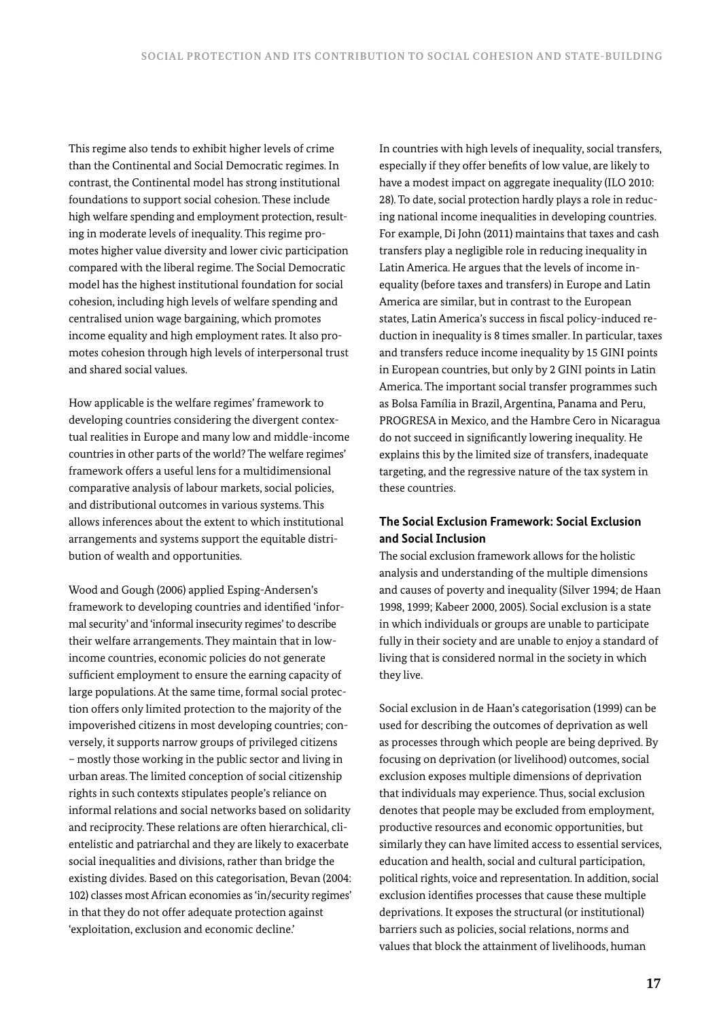This regime also tends to exhibit higher levels of crime than the Continental and Social Democratic regimes. In contrast, the Continental model has strong institutional foundations to support social cohesion. These include high welfare spending and employment protection, resulting in moderate levels of inequality. This regime promotes higher value diversity and lower civic participation compared with the liberal regime. The Social Democratic model has the highest institutional foundation for social cohesion, including high levels of welfare spending and centralised union wage bargaining, which promotes income equality and high employment rates. It also promotes cohesion through high levels of interpersonal trust and shared social values.

How applicable is the welfare regimes' framework to developing countries considering the divergent contextual realities in Europe and many low and middle-income countries in other parts of the world? The welfare regimes' framework offers a useful lens for a multidimensional comparative analysis of labour markets, social policies, and distributional outcomes in various systems. This allows inferences about the extent to which institutional arrangements and systems support the equitable distribution of wealth and opportunities.

Wood and Gough (2006) applied Esping-Andersen's framework to developing countries and identified 'informal security' and 'informal insecurity regimes' to describe their welfare arrangements. They maintain that in lowincome countries, economic policies do not generate sufficient employment to ensure the earning capacity of large populations. At the same time, formal social protection offers only limited protection to the majority of the impoverished citizens in most developing countries; conversely, it supports narrow groups of privileged citizens – mostly those working in the public sector and living in urban areas. The limited conception of social citizenship rights in such contexts stipulates people's reliance on informal relations and social networks based on solidarity and reciprocity. These relations are often hierarchical, clientelistic and patriarchal and they are likely to exacerbate social inequalities and divisions, rather than bridge the existing divides. Based on this categorisation, Bevan (2004: 102) classes most African economies as 'in/security regimes' in that they do not offer adequate protection against 'exploitation, exclusion and economic decline.'

In countries with high levels of inequality, social transfers, especially if they offer benefits of low value, are likely to have a modest impact on aggregate inequality (ILO 2010: 28). To date, social protection hardly plays a role in reducing national income inequalities in developing countries. For example, Di John (2011) maintains that taxes and cash transfers play a negligible role in reducing inequality in Latin America. He argues that the levels of income inequality (before taxes and transfers) in Europe and Latin America are similar, but in contrast to the European states, Latin America's success in fiscal policy-induced reduction in inequality is 8 times smaller. In particular, taxes and transfers reduce income inequality by 15 GINI points in European countries, but only by 2 GINI points in Latin America. The important social transfer programmes such as Bolsa Família in Brazil, Argentina, Panama and Peru, PROGRESA in Mexico, and the Hambre Cero in Nicaragua do not succeed in significantly lowering inequality. He explains this by the limited size of transfers, inadequate targeting, and the regressive nature of the tax system in these countries.

## **The Social Exclusion Framework: Social Exclusion and Social Inclusion**

The social exclusion framework allows for the holistic analysis and understanding of the multiple dimensions and causes of poverty and inequality (Silver 1994; de Haan 1998, 1999; Kabeer 2000, 2005). Social exclusion is a state in which individuals or groups are unable to participate fully in their society and are unable to enjoy a standard of living that is considered normal in the society in which they live.

Social exclusion in de Haan's categorisation (1999) can be used for describing the outcomes of deprivation as well as processes through which people are being deprived. By focusing on deprivation (or livelihood) outcomes, social exclusion exposes multiple dimensions of deprivation that individuals may experience. Thus, social exclusion denotes that people may be excluded from employment, productive resources and economic opportunities, but similarly they can have limited access to essential services, education and health, social and cultural participation, political rights, voice and representation. In addition, social exclusion identifies processes that cause these multiple deprivations. It exposes the structural (or institutional) barriers such as policies, social relations, norms and values that block the attainment of livelihoods, human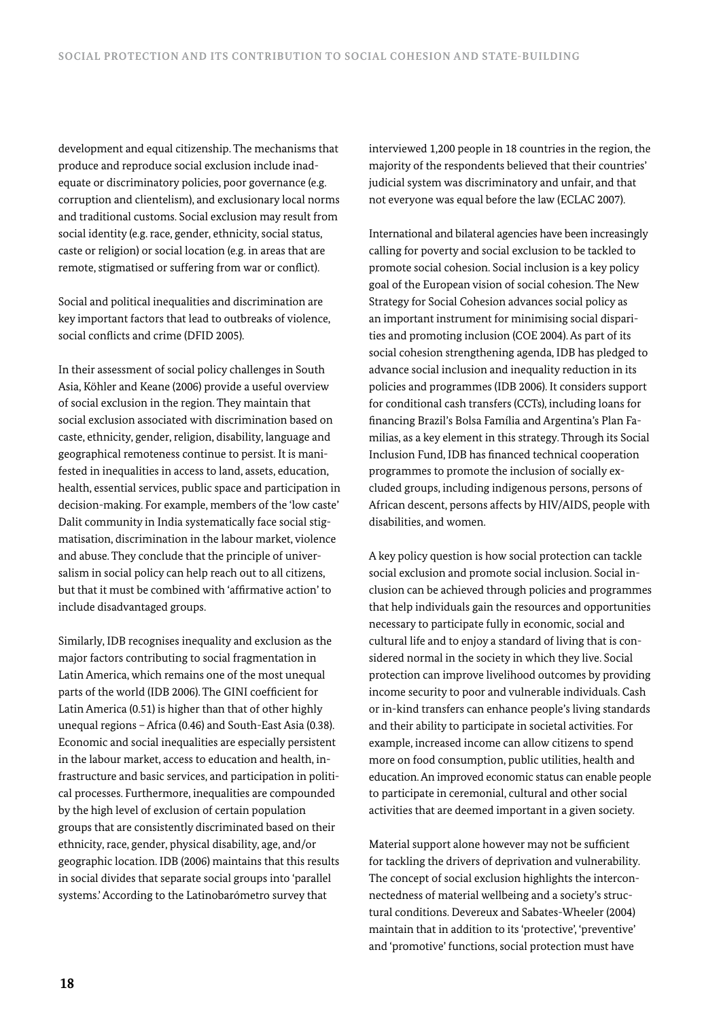development and equal citizenship. The mechanisms that produce and reproduce social exclusion include inadequate or discriminatory policies, poor governance (e.g. corruption and clientelism), and exclusionary local norms and traditional customs. Social exclusion may result from social identity (e.g. race, gender, ethnicity, social status, caste or religion) or social location (e.g. in areas that are remote, stigmatised or suffering from war or conflict).

Social and political inequalities and discrimination are key important factors that lead to outbreaks of violence, social conflicts and crime (DFID 2005).

In their assessment of social policy challenges in South Asia, Köhler and Keane (2006) provide a useful overview of social exclusion in the region. They maintain that social exclusion associated with discrimination based on caste, ethnicity, gender, religion, disability, language and geographical remoteness continue to persist. It is manifested in inequalities in access to land, assets, education, health, essential services, public space and participation in decision-making. For example, members of the 'low caste' Dalit community in India systematically face social stigmatisation, discrimination in the labour market, violence and abuse. They conclude that the principle of universalism in social policy can help reach out to all citizens, but that it must be combined with 'affirmative action' to include disadvantaged groups.

Similarly, IDB recognises inequality and exclusion as the major factors contributing to social fragmentation in Latin America, which remains one of the most unequal parts of the world (IDB 2006). The GINI coefficient for Latin America (0.51) is higher than that of other highly unequal regions – Africa (0.46) and South-East Asia (0.38). Economic and social inequalities are especially persistent in the labour market, access to education and health, infrastructure and basic services, and participation in political processes. Furthermore, inequalities are compounded by the high level of exclusion of certain population groups that are consistently discriminated based on their ethnicity, race, gender, physical disability, age, and/or geographic location. IDB (2006) maintains that this results in social divides that separate social groups into 'parallel systems.' According to the Latinobarómetro survey that

interviewed 1,200 people in 18 countries in the region, the majority of the respondents believed that their countries' judicial system was discriminatory and unfair, and that not everyone was equal before the law (ECLAC 2007).

International and bilateral agencies have been increasingly calling for poverty and social exclusion to be tackled to promote social cohesion. Social inclusion is a key policy goal of the European vision of social cohesion. The New Strategy for Social Cohesion advances social policy as an important instrument for minimising social disparities and promoting inclusion (COE 2004). As part of its social cohesion strengthening agenda, IDB has pledged to advance social inclusion and inequality reduction in its policies and programmes (IDB 2006). It considers support for conditional cash transfers (CCTs), including loans for financing Brazil's Bolsa Família and Argentina's Plan Familias, as a key element in this strategy. Through its Social Inclusion Fund, IDB has financed technical cooperation programmes to promote the inclusion of socially excluded groups, including indigenous persons, persons of African descent, persons affects by HIV/AIDS, people with disabilities, and women.

A key policy question is how social protection can tackle social exclusion and promote social inclusion. Social inclusion can be achieved through policies and programmes that help individuals gain the resources and opportunities necessary to participate fully in economic, social and cultural life and to enjoy a standard of living that is considered normal in the society in which they live. Social protection can improve livelihood outcomes by providing income security to poor and vulnerable individuals. Cash or in-kind transfers can enhance people's living standards and their ability to participate in societal activities. For example, increased income can allow citizens to spend more on food consumption, public utilities, health and education. An improved economic status can enable people to participate in ceremonial, cultural and other social activities that are deemed important in a given society.

Material support alone however may not be sufficient for tackling the drivers of deprivation and vulnerability. The concept of social exclusion highlights the interconnectedness of material wellbeing and a society's structural conditions. Devereux and Sabates-Wheeler (2004) maintain that in addition to its 'protective', 'preventive' and 'promotive' functions, social protection must have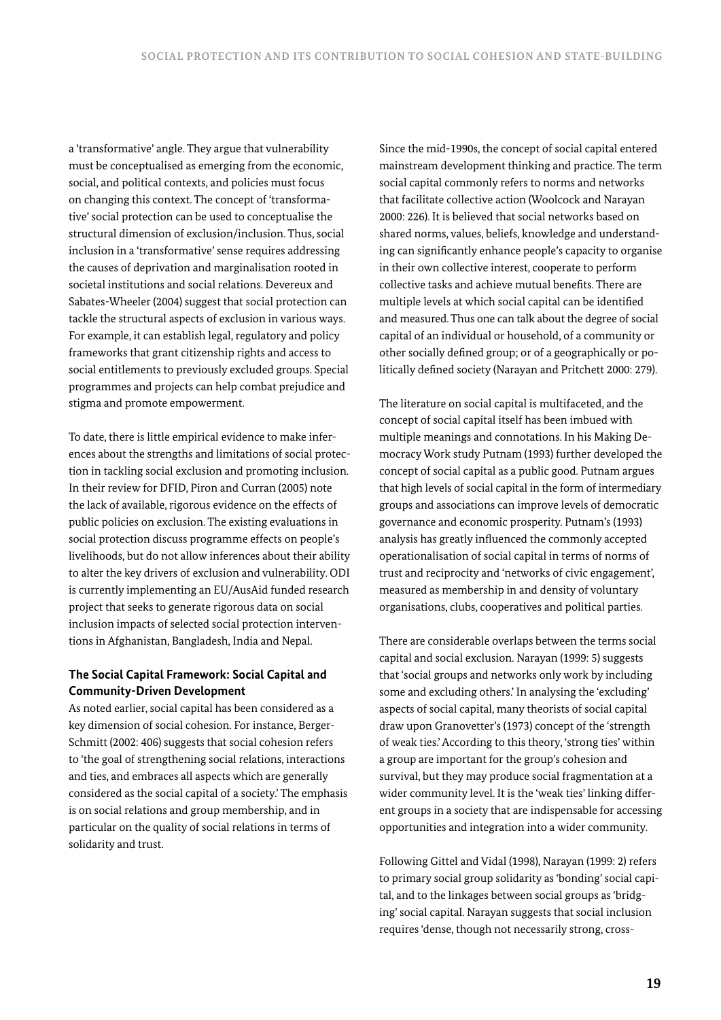a 'transformative' angle. They argue that vulnerability must be conceptualised as emerging from the economic, social, and political contexts, and policies must focus on changing this context. The concept of 'transformative' social protection can be used to conceptualise the structural dimension of exclusion/inclusion. Thus, social inclusion in a 'transformative' sense requires addressing the causes of deprivation and marginalisation rooted in societal institutions and social relations. Devereux and Sabates-Wheeler (2004) suggest that social protection can tackle the structural aspects of exclusion in various ways. For example, it can establish legal, regulatory and policy frameworks that grant citizenship rights and access to social entitlements to previously excluded groups. Special programmes and projects can help combat prejudice and stigma and promote empowerment.

To date, there is little empirical evidence to make inferences about the strengths and limitations of social protection in tackling social exclusion and promoting inclusion. In their review for DFID, Piron and Curran (2005) note the lack of available, rigorous evidence on the effects of public policies on exclusion. The existing evaluations in social protection discuss programme effects on people's livelihoods, but do not allow inferences about their ability to alter the key drivers of exclusion and vulnerability. ODI is currently implementing an EU/AusAid funded research project that seeks to generate rigorous data on social inclusion impacts of selected social protection interventions in Afghanistan, Bangladesh, India and Nepal.

## **The Social Capital Framework: Social Capital and Community-Driven Development**

As noted earlier, social capital has been considered as a key dimension of social cohesion. For instance, Berger-Schmitt (2002: 406) suggests that social cohesion refers to 'the goal of strengthening social relations, interactions and ties, and embraces all aspects which are generally considered as the social capital of a society.' The emphasis is on social relations and group membership, and in particular on the quality of social relations in terms of solidarity and trust.

Since the mid-1990s, the concept of social capital entered mainstream development thinking and practice. The term social capital commonly refers to norms and networks that facilitate collective action (Woolcock and Narayan 2000: 226). It is believed that social networks based on shared norms, values, beliefs, knowledge and understanding can significantly enhance people's capacity to organise in their own collective interest, cooperate to perform collective tasks and achieve mutual benefits. There are multiple levels at which social capital can be identified and measured. Thus one can talk about the degree of social capital of an individual or household, of a community or other socially defined group; or of a geographically or politically defined society (Narayan and Pritchett 2000: 279).

The literature on social capital is multifaceted, and the concept of social capital itself has been imbued with multiple meanings and connotations. In his Making Democracy Work study Putnam (1993) further developed the concept of social capital as a public good. Putnam argues that high levels of social capital in the form of intermediary groups and associations can improve levels of democratic governance and economic prosperity. Putnam's (1993) analysis has greatly influenced the commonly accepted operationalisation of social capital in terms of norms of trust and reciprocity and 'networks of civic engagement', measured as membership in and density of voluntary organisations, clubs, cooperatives and political parties.

There are considerable overlaps between the terms social capital and social exclusion. Narayan (1999: 5) suggests that 'social groups and networks only work by including some and excluding others.' In analysing the 'excluding' aspects of social capital, many theorists of social capital draw upon Granovetter's (1973) concept of the 'strength of weak ties.' According to this theory, 'strong ties' within a group are important for the group's cohesion and survival, but they may produce social fragmentation at a wider community level. It is the 'weak ties' linking different groups in a society that are indispensable for accessing opportunities and integration into a wider community.

Following Gittel and Vidal (1998), Narayan (1999: 2) refers to primary social group solidarity as 'bonding' social capital, and to the linkages between social groups as 'bridging' social capital. Narayan suggests that social inclusion requires 'dense, though not necessarily strong, cross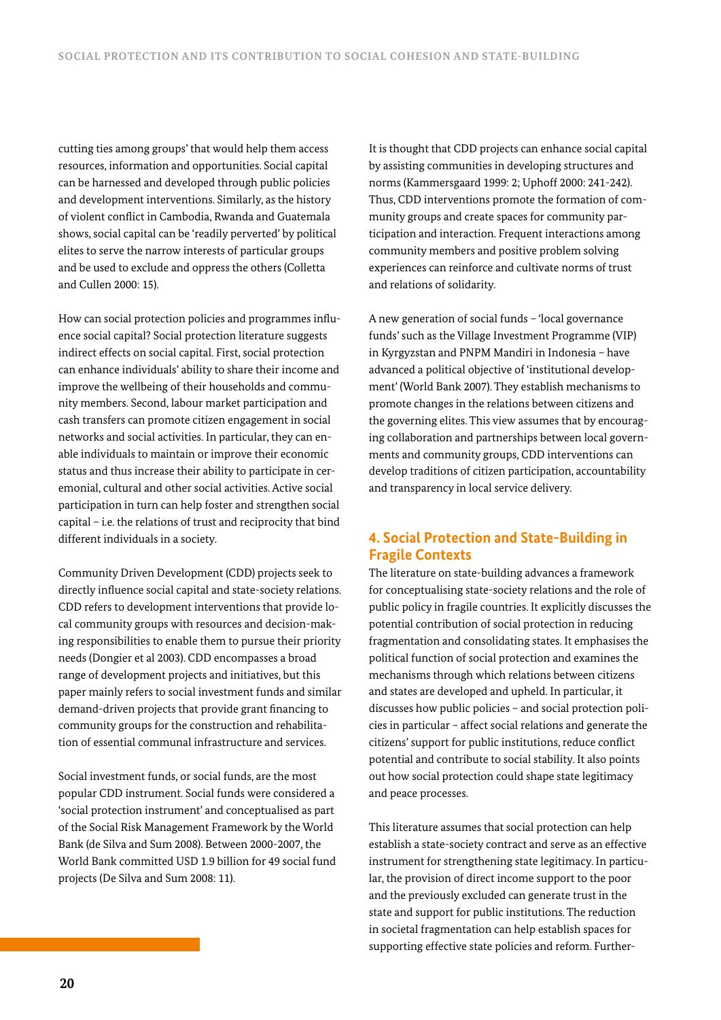cutting ties among groups' that would help them access resources, information and opportunities. Social capital can be harnessed and developed through public policies and development interventions. Similarly, as the history of violent conflict in Cambodia, Rwanda and Guatemala shows, social capital can be 'readily perverted' by political elites to serve the narrow interests of particular groups and be used to exclude and oppress the others (Colletta and Cullen 2000: 15).

How can social protection policies and programmes influence social capital? Social protection literature suggests indirect effects on social capital. First, social protection can enhance individuals' ability to share their income and improve the wellbeing of their households and community members. Second, labour market participation and cash transfers can promote citizen engagement in social networks and social activities. In particular, they can enable individuals to maintain or improve their economic status and thus increase their ability to participate in ceremonial, cultural and other social activities. Active social participation in turn can help foster and strengthen social capital – i.e. the relations of trust and reciprocity that bind different individuals in a society.

Community Driven Development (CDD) projects seek to directly influence social capital and state-society relations. CDD refers to development interventions that provide local community groups with resources and decision-making responsibilities to enable them to pursue their priority needs (Dongier et al 2003). CDD encompasses a broad range of development projects and initiatives, but this paper mainly refers to social investment funds and similar demand-driven projects that provide grant financing to community groups for the construction and rehabilitation of essential communal infrastructure and services.

Social investment funds, or social funds, are the most popular CDD instrument. Social funds were considered a 'social protection instrument' and conceptualised as part of the Social Risk Management Framework by the World Bank (de Silva and Sum 2008). Between 2000-2007, the World Bank committed USD 1.9 billion for 49 social fund projects (De Silva and Sum 2008: 11).

It is thought that CDD projects can enhance social capital by assisting communities in developing structures and norms (Kammersgaard 1999: 2; Uphoff 2000: 241-242). Thus, CDD interventions promote the formation of community groups and create spaces for community participation and interaction. Frequent interactions among community members and positive problem solving experiences can reinforce and cultivate norms of trust and relations of solidarity.

A new generation of social funds – 'local governance funds' such as the Village Investment Programme (VIP) in Kyrgyzstan and PNPM Mandiri in Indonesia – have advanced a political objective of 'institutional development' (World Bank 2007). They establish mechanisms to promote changes in the relations between citizens and the governing elites. This view assumes that by encouraging collaboration and partnerships between local governments and community groups, CDD interventions can develop traditions of citizen participation, accountability and transparency in local service delivery.

# **4. Social Protection and State-Building in Fragile Contexts**

The literature on state-building advances a framework for conceptualising state-society relations and the role of public policy in fragile countries. It explicitly discusses the potential contribution of social protection in reducing fragmentation and consolidating states. It emphasises the political function of social protection and examines the mechanisms through which relations between citizens and states are developed and upheld. In particular, it discusses how public policies – and social protection policies in particular – affect social relations and generate the citizens' support for public institutions, reduce conflict potential and contribute to social stability. It also points out how social protection could shape state legitimacy and peace processes.

This literature assumes that social protection can help establish a state-society contract and serve as an effective instrument for strengthening state legitimacy. In particular, the provision of direct income support to the poor and the previously excluded can generate trust in the state and support for public institutions. The reduction in societal fragmentation can help establish spaces for supporting effective state policies and reform. Further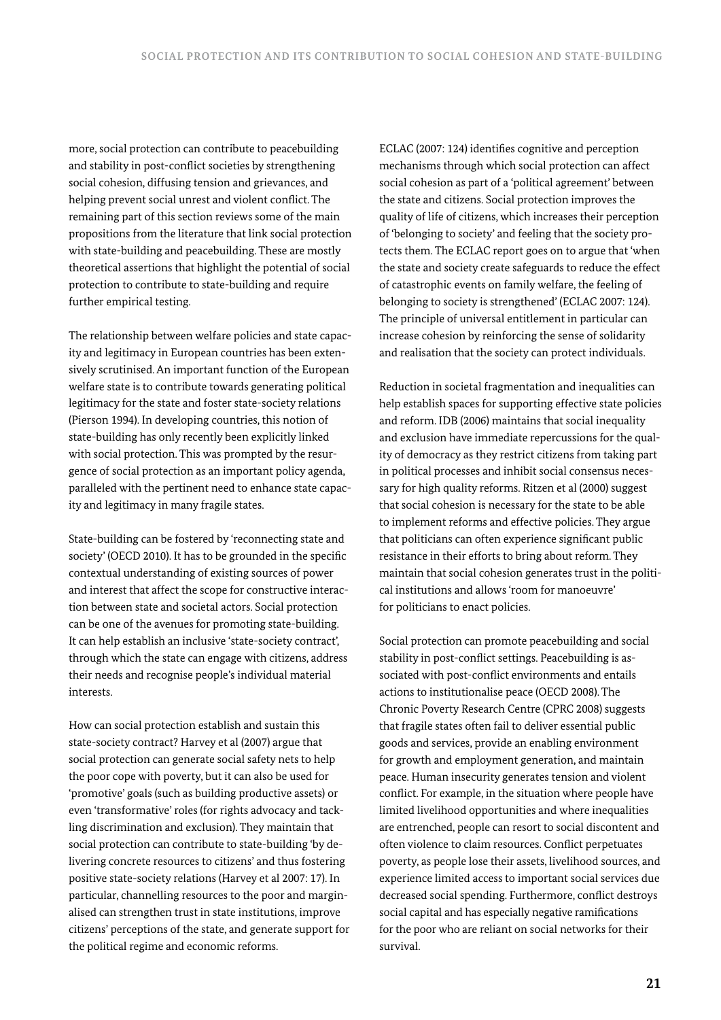more, social protection can contribute to peacebuilding and stability in post-conflict societies by strengthening social cohesion, diffusing tension and grievances, and helping prevent social unrest and violent conflict. The remaining part of this section reviews some of the main propositions from the literature that link social protection with state-building and peacebuilding. These are mostly theoretical assertions that highlight the potential of social protection to contribute to state-building and require further empirical testing.

The relationship between welfare policies and state capacity and legitimacy in European countries has been extensively scrutinised. An important function of the European welfare state is to contribute towards generating political legitimacy for the state and foster state-society relations (Pierson 1994). In developing countries, this notion of state-building has only recently been explicitly linked with social protection. This was prompted by the resurgence of social protection as an important policy agenda, paralleled with the pertinent need to enhance state capacity and legitimacy in many fragile states.

State-building can be fostered by 'reconnecting state and society' (OECD 2010). It has to be grounded in the specific contextual understanding of existing sources of power and interest that affect the scope for constructive interaction between state and societal actors. Social protection can be one of the avenues for promoting state-building. It can help establish an inclusive 'state-society contract', through which the state can engage with citizens, address their needs and recognise people's individual material interests.

How can social protection establish and sustain this state-society contract? Harvey et al (2007) argue that social protection can generate social safety nets to help the poor cope with poverty, but it can also be used for 'promotive' goals (such as building productive assets) or even 'transformative' roles (for rights advocacy and tackling discrimination and exclusion). They maintain that social protection can contribute to state-building 'by delivering concrete resources to citizens' and thus fostering positive state-society relations (Harvey et al 2007: 17). In particular, channelling resources to the poor and marginalised can strengthen trust in state institutions, improve citizens' perceptions of the state, and generate support for the political regime and economic reforms.

ECLAC (2007: 124) identifies cognitive and perception mechanisms through which social protection can affect social cohesion as part of a 'political agreement' between the state and citizens. Social protection improves the quality of life of citizens, which increases their perception of 'belonging to society' and feeling that the society protects them. The ECLAC report goes on to argue that 'when the state and society create safeguards to reduce the effect of catastrophic events on family welfare, the feeling of belonging to society is strengthened' (ECLAC 2007: 124). The principle of universal entitlement in particular can increase cohesion by reinforcing the sense of solidarity and realisation that the society can protect individuals.

Reduction in societal fragmentation and inequalities can help establish spaces for supporting effective state policies and reform. IDB (2006) maintains that social inequality and exclusion have immediate repercussions for the quality of democracy as they restrict citizens from taking part in political processes and inhibit social consensus necessary for high quality reforms. Ritzen et al (2000) suggest that social cohesion is necessary for the state to be able to implement reforms and effective policies. They argue that politicians can often experience significant public resistance in their efforts to bring about reform. They maintain that social cohesion generates trust in the political institutions and allows 'room for manoeuvre' for politicians to enact policies.

Social protection can promote peacebuilding and social stability in post-conflict settings. Peacebuilding is associated with post-conflict environments and entails actions to institutionalise peace (OECD 2008). The Chronic Poverty Research Centre (CPRC 2008) suggests that fragile states often fail to deliver essential public goods and services, provide an enabling environment for growth and employment generation, and maintain peace. Human insecurity generates tension and violent conflict. For example, in the situation where people have limited livelihood opportunities and where inequalities are entrenched, people can resort to social discontent and often violence to claim resources. Conflict perpetuates poverty, as people lose their assets, livelihood sources, and experience limited access to important social services due decreased social spending. Furthermore, conflict destroys social capital and has especially negative ramifications for the poor who are reliant on social networks for their survival.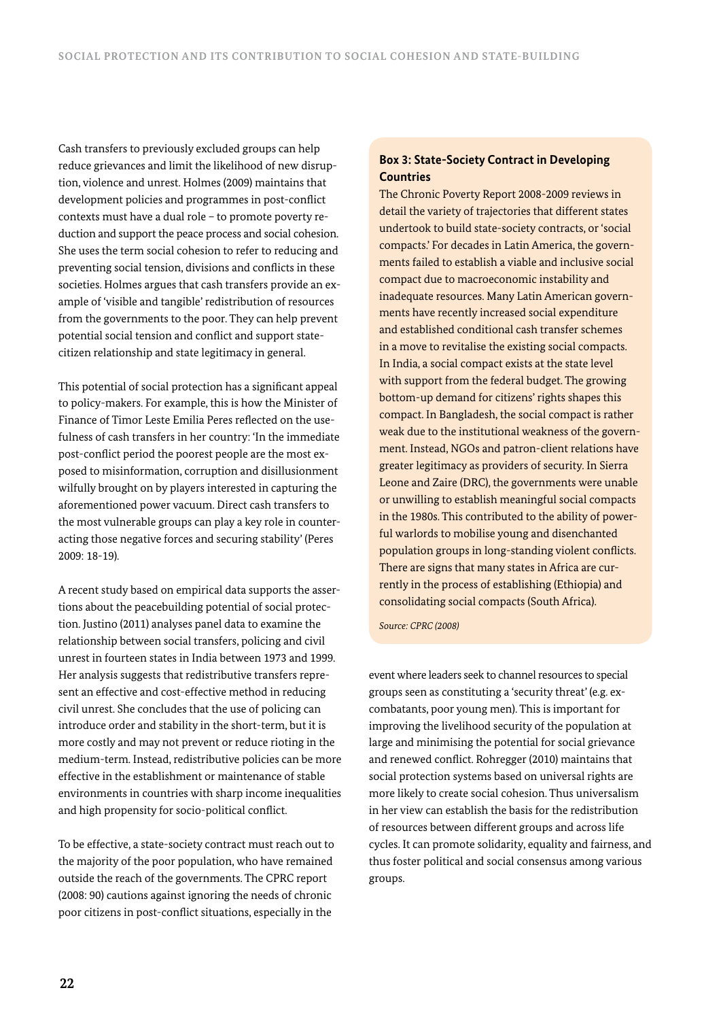Cash transfers to previously excluded groups can help reduce grievances and limit the likelihood of new disruption, violence and unrest. Holmes (2009) maintains that development policies and programmes in post-conflict contexts must have a dual role – to promote poverty reduction and support the peace process and social cohesion. She uses the term social cohesion to refer to reducing and preventing social tension, divisions and conflicts in these societies. Holmes argues that cash transfers provide an example of 'visible and tangible' redistribution of resources from the governments to the poor. They can help prevent potential social tension and conflict and support statecitizen relationship and state legitimacy in general.

This potential of social protection has a significant appeal to policy-makers. For example, this is how the Minister of Finance of Timor Leste Emilia Peres reflected on the usefulness of cash transfers in her country: 'In the immediate post-conflict period the poorest people are the most exposed to misinformation, corruption and disillusionment wilfully brought on by players interested in capturing the aforementioned power vacuum. Direct cash transfers to the most vulnerable groups can play a key role in counteracting those negative forces and securing stability' (Peres 2009: 18-19).

A recent study based on empirical data supports the assertions about the peacebuilding potential of social protection. Justino (2011) analyses panel data to examine the relationship between social transfers, policing and civil unrest in fourteen states in India between 1973 and 1999. Her analysis suggests that redistributive transfers represent an effective and cost-effective method in reducing civil unrest. She concludes that the use of policing can introduce order and stability in the short-term, but it is more costly and may not prevent or reduce rioting in the medium-term. Instead, redistributive policies can be more effective in the establishment or maintenance of stable environments in countries with sharp income inequalities and high propensity for socio-political conflict.

To be effective, a state-society contract must reach out to the majority of the poor population, who have remained outside the reach of the governments. The CPRC report (2008: 90) cautions against ignoring the needs of chronic poor citizens in post-conflict situations, especially in the

## **Box 3: State-Society Contract in Developing Countries**

The Chronic Poverty Report 2008-2009 reviews in detail the variety of trajectories that different states undertook to build state-society contracts, or 'social compacts.' For decades in Latin America, the governments failed to establish a viable and inclusive social compact due to macroeconomic instability and inadequate resources. Many Latin American governments have recently increased social expenditure and established conditional cash transfer schemes in a move to revitalise the existing social compacts. In India, a social compact exists at the state level with support from the federal budget. The growing bottom-up demand for citizens' rights shapes this compact. In Bangladesh, the social compact is rather weak due to the institutional weakness of the government. Instead, NGOs and patron-client relations have greater legitimacy as providers of security. In Sierra Leone and Zaire (DRC), the governments were unable or unwilling to establish meaningful social compacts in the 1980s. This contributed to the ability of powerful warlords to mobilise young and disenchanted population groups in long-standing violent conflicts. There are signs that many states in Africa are currently in the process of establishing (Ethiopia) and consolidating social compacts (South Africa).

*Source: CPRC (2008)*

event where leaders seek to channel resources to special groups seen as constituting a 'security threat' (e.g. excombatants, poor young men). This is important for improving the livelihood security of the population at large and minimising the potential for social grievance and renewed conflict. Rohregger (2010) maintains that social protection systems based on universal rights are more likely to create social cohesion. Thus universalism in her view can establish the basis for the redistribution of resources between different groups and across life cycles. It can promote solidarity, equality and fairness, and thus foster political and social consensus among various groups.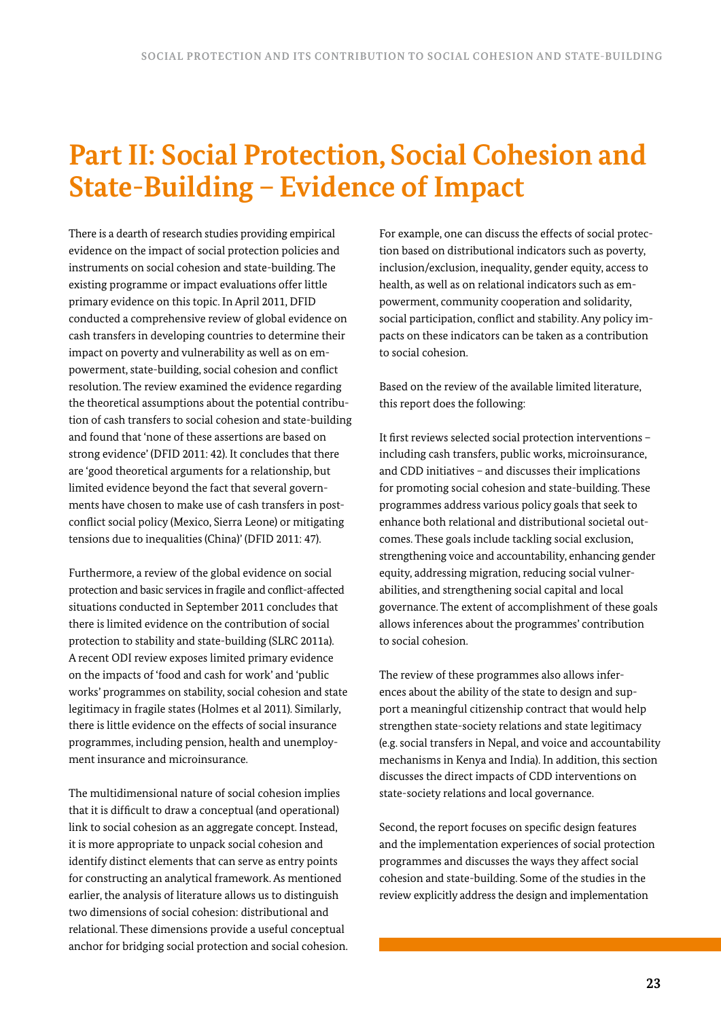# **Part II: Social Protection, Social Cohesion and State-Building – Evidence of Impact**

There is a dearth of research studies providing empirical evidence on the impact of social protection policies and instruments on social cohesion and state-building. The existing programme or impact evaluations offer little primary evidence on this topic. In April 2011, DFID conducted a comprehensive review of global evidence on cash transfers in developing countries to determine their impact on poverty and vulnerability as well as on empowerment, state-building, social cohesion and conflict resolution. The review examined the evidence regarding the theoretical assumptions about the potential contribution of cash transfers to social cohesion and state-building and found that 'none of these assertions are based on strong evidence' (DFID 2011: 42). It concludes that there are 'good theoretical arguments for a relationship, but limited evidence beyond the fact that several governments have chosen to make use of cash transfers in postconflict social policy (Mexico, Sierra Leone) or mitigating tensions due to inequalities (China)' (DFID 2011: 47).

Furthermore, a review of the global evidence on social protection and basic services in fragile and conflict-affected situations conducted in September 2011 concludes that there is limited evidence on the contribution of social protection to stability and state-building (SLRC 2011a). A recent ODI review exposes limited primary evidence on the impacts of 'food and cash for work' and 'public works' programmes on stability, social cohesion and state legitimacy in fragile states (Holmes et al 2011). Similarly, there is little evidence on the effects of social insurance programmes, including pension, health and unemployment insurance and microinsurance.

The multidimensional nature of social cohesion implies that it is difficult to draw a conceptual (and operational) link to social cohesion as an aggregate concept. Instead, it is more appropriate to unpack social cohesion and identify distinct elements that can serve as entry points for constructing an analytical framework. As mentioned earlier, the analysis of literature allows us to distinguish two dimensions of social cohesion: distributional and relational. These dimensions provide a useful conceptual anchor for bridging social protection and social cohesion.

For example, one can discuss the effects of social protection based on distributional indicators such as poverty, inclusion/exclusion, inequality, gender equity, access to health, as well as on relational indicators such as empowerment, community cooperation and solidarity, social participation, conflict and stability. Any policy impacts on these indicators can be taken as a contribution to social cohesion.

Based on the review of the available limited literature, this report does the following:

It first reviews selected social protection interventions – including cash transfers, public works, microinsurance, and CDD initiatives – and discusses their implications for promoting social cohesion and state-building. These programmes address various policy goals that seek to enhance both relational and distributional societal outcomes. These goals include tackling social exclusion, strengthening voice and accountability, enhancing gender equity, addressing migration, reducing social vulnerabilities, and strengthening social capital and local governance. The extent of accomplishment of these goals allows inferences about the programmes' contribution to social cohesion.

The review of these programmes also allows inferences about the ability of the state to design and support a meaningful citizenship contract that would help strengthen state-society relations and state legitimacy (e.g. social transfers in Nepal, and voice and accountability mechanisms in Kenya and India). In addition, this section discusses the direct impacts of CDD interventions on state-society relations and local governance.

Second, the report focuses on specific design features and the implementation experiences of social protection programmes and discusses the ways they affect social cohesion and state-building. Some of the studies in the review explicitly address the design and implementation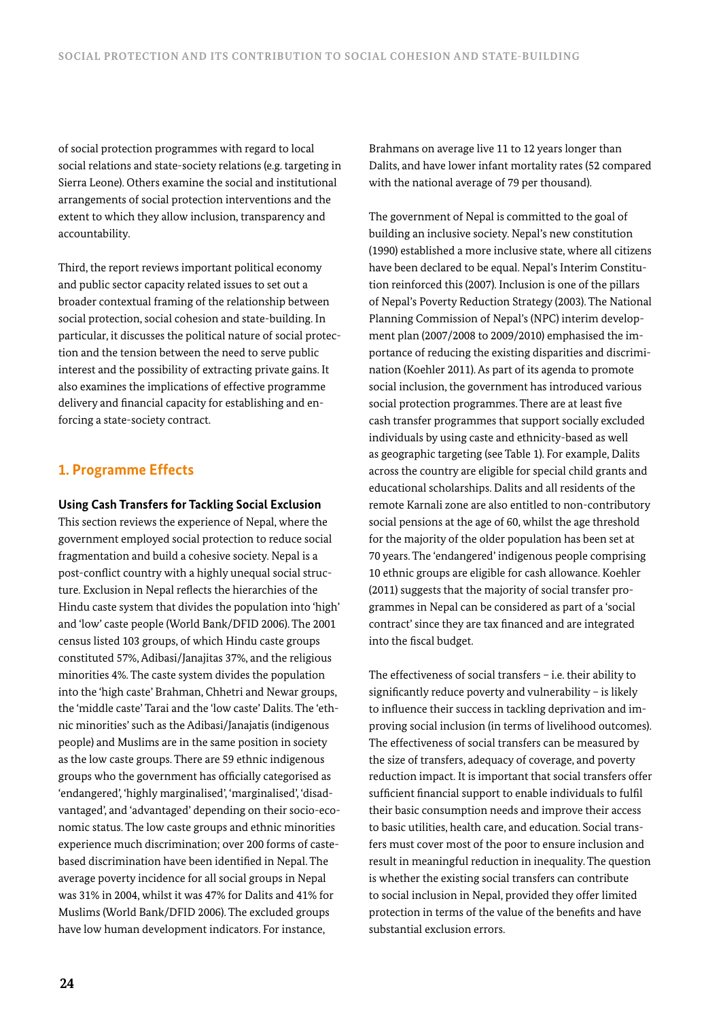of social protection programmes with regard to local social relations and state-society relations (e.g. targeting in Sierra Leone). Others examine the social and institutional arrangements of social protection interventions and the extent to which they allow inclusion, transparency and accountability.

Third, the report reviews important political economy and public sector capacity related issues to set out a broader contextual framing of the relationship between social protection, social cohesion and state-building. In particular, it discusses the political nature of social protection and the tension between the need to serve public interest and the possibility of extracting private gains. It also examines the implications of effective programme delivery and financial capacity for establishing and enforcing a state-society contract.

# **1. Programme Effects**

**Using Cash Transfers for Tackling Social Exclusion**

This section reviews the experience of Nepal, where the government employed social protection to reduce social fragmentation and build a cohesive society. Nepal is a post-conflict country with a highly unequal social structure. Exclusion in Nepal reflects the hierarchies of the Hindu caste system that divides the population into 'high' and 'low' caste people (World Bank/DFID 2006). The 2001 census listed 103 groups, of which Hindu caste groups constituted 57%, Adibasi/Janajitas 37%, and the religious minorities 4%. The caste system divides the population into the 'high caste' Brahman, Chhetri and Newar groups, the 'middle caste' Tarai and the 'low caste' Dalits. The 'ethnic minorities' such as the Adibasi/Janajatis (indigenous people) and Muslims are in the same position in society as the low caste groups. There are 59 ethnic indigenous groups who the government has officially categorised as 'endangered', 'highly marginalised', 'marginalised', 'disadvantaged', and 'advantaged' depending on their socio-economic status. The low caste groups and ethnic minorities experience much discrimination; over 200 forms of castebased discrimination have been identified in Nepal. The average poverty incidence for all social groups in Nepal was 31% in 2004, whilst it was 47% for Dalits and 41% for Muslims (World Bank/DFID 2006). The excluded groups have low human development indicators. For instance,

Brahmans on average live 11 to 12 years longer than Dalits, and have lower infant mortality rates (52 compared with the national average of 79 per thousand).

The government of Nepal is committed to the goal of building an inclusive society. Nepal's new constitution (1990) established a more inclusive state, where all citizens have been declared to be equal. Nepal's Interim Constitution reinforced this (2007). Inclusion is one of the pillars of Nepal's Poverty Reduction Strategy (2003). The National Planning Commission of Nepal's (NPC) interim development plan (2007/2008 to 2009/2010) emphasised the importance of reducing the existing disparities and discrimination (Koehler 2011). As part of its agenda to promote social inclusion, the government has introduced various social protection programmes. There are at least five cash transfer programmes that support socially excluded individuals by using caste and ethnicity-based as well as geographic targeting (see Table 1). For example, Dalits across the country are eligible for special child grants and educational scholarships. Dalits and all residents of the remote Karnali zone are also entitled to non-contributory social pensions at the age of 60, whilst the age threshold for the majority of the older population has been set at 70 years. The 'endangered' indigenous people comprising 10 ethnic groups are eligible for cash allowance. Koehler (2011) suggests that the majority of social transfer programmes in Nepal can be considered as part of a 'social contract' since they are tax financed and are integrated into the fiscal budget.

The effectiveness of social transfers – i.e. their ability to significantly reduce poverty and vulnerability – is likely to influence their success in tackling deprivation and improving social inclusion (in terms of livelihood outcomes). The effectiveness of social transfers can be measured by the size of transfers, adequacy of coverage, and poverty reduction impact. It is important that social transfers offer sufficient financial support to enable individuals to fulfil their basic consumption needs and improve their access to basic utilities, health care, and education. Social transfers must cover most of the poor to ensure inclusion and result in meaningful reduction in inequality. The question is whether the existing social transfers can contribute to social inclusion in Nepal, provided they offer limited protection in terms of the value of the benefits and have substantial exclusion errors.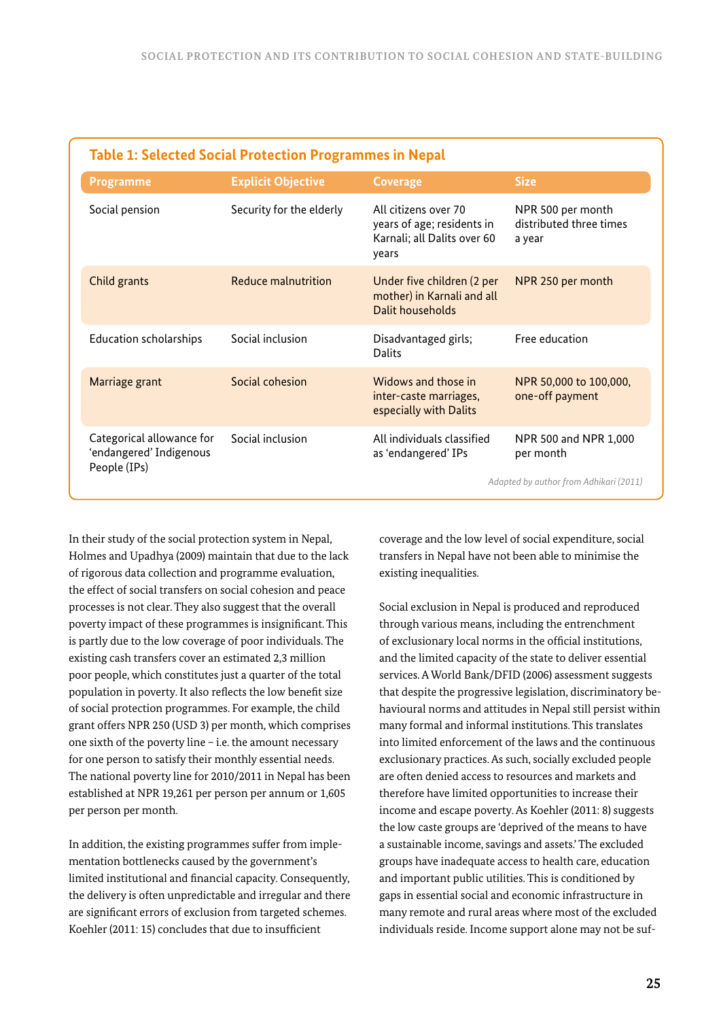| <b>Table 1: Selected Social Protection Programmes in Nepal</b>       |                           |                                                                                            |                                                                              |  |
|----------------------------------------------------------------------|---------------------------|--------------------------------------------------------------------------------------------|------------------------------------------------------------------------------|--|
| <b>Programme</b>                                                     | <b>Explicit Objective</b> | <b>Coverage</b>                                                                            | <b>Size</b>                                                                  |  |
| Social pension                                                       | Security for the elderly  | All citizens over 70<br>years of age; residents in<br>Karnali; all Dalits over 60<br>years | NPR 500 per month<br>distributed three times<br>a year                       |  |
| Child grants                                                         | Reduce malnutrition       | Under five children (2 per<br>mother) in Karnali and all<br>Dalit households               | NPR 250 per month                                                            |  |
| <b>Education scholarships</b>                                        | Social inclusion          | Disadvantaged girls;<br>Dalits                                                             | Free education                                                               |  |
| Marriage grant                                                       | Social cohesion           | Widows and those in<br>inter-caste marriages,<br>especially with Dalits                    | NPR 50,000 to 100,000,<br>one-off payment                                    |  |
| Categorical allowance for<br>'endangered' Indigenous<br>People (IPs) | Social inclusion          | All individuals classified<br>as 'endangered' IPs                                          | NPR 500 and NPR 1,000<br>per month<br>Adapted by author from Adhikari (2011) |  |

In their study of the social protection system in Nepal, Holmes and Upadhya (2009) maintain that due to the lack of rigorous data collection and programme evaluation, the effect of social transfers on social cohesion and peace processes is not clear. They also suggest that the overall poverty impact of these programmes is insignificant. This is partly due to the low coverage of poor individuals. The existing cash transfers cover an estimated 2,3 million poor people, which constitutes just a quarter of the total population in poverty. It also reflects the low benefit size of social protection programmes. For example, the child grant offers NPR 250 (USD 3) per month, which comprises one sixth of the poverty line – i.e. the amount necessary for one person to satisfy their monthly essential needs. The national poverty line for 2010/2011 in Nepal has been established at NPR 19,261 per person per annum or 1,605 per person per month.

In addition, the existing programmes suffer from implementation bottlenecks caused by the government's limited institutional and financial capacity. Consequently, the delivery is often unpredictable and irregular and there are significant errors of exclusion from targeted schemes. Koehler (2011: 15) concludes that due to insufficient

coverage and the low level of social expenditure, social transfers in Nepal have not been able to minimise the existing inequalities.

Social exclusion in Nepal is produced and reproduced through various means, including the entrenchment of exclusionary local norms in the official institutions, and the limited capacity of the state to deliver essential services. A World Bank/DFID (2006) assessment suggests that despite the progressive legislation, discriminatory behavioural norms and attitudes in Nepal still persist within many formal and informal institutions. This translates into limited enforcement of the laws and the continuous exclusionary practices. As such, socially excluded people are often denied access to resources and markets and therefore have limited opportunities to increase their income and escape poverty. As Koehler (2011: 8) suggests the low caste groups are 'deprived of the means to have a sustainable income, savings and assets.' The excluded groups have inadequate access to health care, education and important public utilities. This is conditioned by gaps in essential social and economic infrastructure in many remote and rural areas where most of the excluded individuals reside. Income support alone may not be suf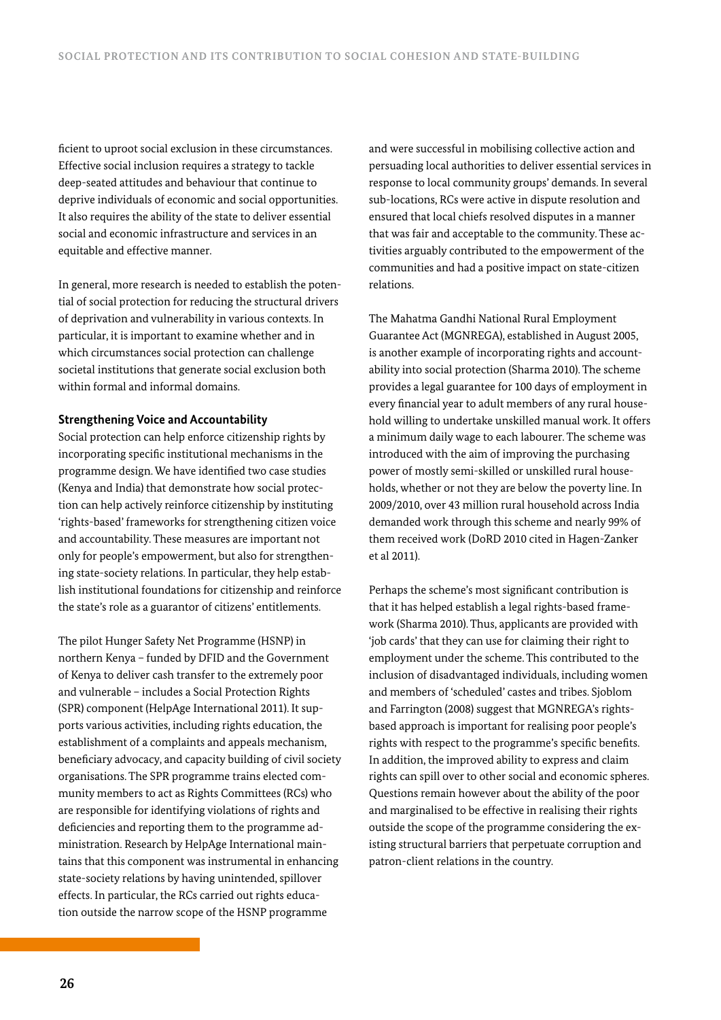ficient to uproot social exclusion in these circumstances. Effective social inclusion requires a strategy to tackle deep-seated attitudes and behaviour that continue to deprive individuals of economic and social opportunities. It also requires the ability of the state to deliver essential social and economic infrastructure and services in an equitable and effective manner.

In general, more research is needed to establish the potential of social protection for reducing the structural drivers of deprivation and vulnerability in various contexts. In particular, it is important to examine whether and in which circumstances social protection can challenge societal institutions that generate social exclusion both within formal and informal domains.

#### **Strengthening Voice and Accountability**

Social protection can help enforce citizenship rights by incorporating specific institutional mechanisms in the programme design. We have identified two case studies (Kenya and India) that demonstrate how social protection can help actively reinforce citizenship by instituting 'rights-based' frameworks for strengthening citizen voice and accountability. These measures are important not only for people's empowerment, but also for strengthening state-society relations. In particular, they help establish institutional foundations for citizenship and reinforce the state's role as a guarantor of citizens' entitlements.

The pilot Hunger Safety Net Programme (HSNP) in northern Kenya – funded by DFID and the Government of Kenya to deliver cash transfer to the extremely poor and vulnerable – includes a Social Protection Rights (SPR) component (HelpAge International 2011). It supports various activities, including rights education, the establishment of a complaints and appeals mechanism, beneficiary advocacy, and capacity building of civil society organisations. The SPR programme trains elected community members to act as Rights Committees (RCs) who are responsible for identifying violations of rights and deficiencies and reporting them to the programme administration. Research by HelpAge International maintains that this component was instrumental in enhancing state-society relations by having unintended, spillover effects. In particular, the RCs carried out rights education outside the narrow scope of the HSNP programme

and were successful in mobilising collective action and persuading local authorities to deliver essential services in response to local community groups' demands. In several sub-locations, RCs were active in dispute resolution and ensured that local chiefs resolved disputes in a manner that was fair and acceptable to the community. These activities arguably contributed to the empowerment of the communities and had a positive impact on state-citizen relations.

The Mahatma Gandhi National Rural Employment Guarantee Act (MGNREGA), established in August 2005, is another example of incorporating rights and accountability into social protection (Sharma 2010). The scheme provides a legal guarantee for 100 days of employment in every financial year to adult members of any rural household willing to undertake unskilled manual work. It offers a minimum daily wage to each labourer. The scheme was introduced with the aim of improving the purchasing power of mostly semi-skilled or unskilled rural households, whether or not they are below the poverty line. In 2009/2010, over 43 million rural household across India demanded work through this scheme and nearly 99% of them received work (DoRD 2010 cited in Hagen-Zanker et al 2011).

Perhaps the scheme's most significant contribution is that it has helped establish a legal rights-based framework (Sharma 2010). Thus, applicants are provided with 'job cards' that they can use for claiming their right to employment under the scheme. This contributed to the inclusion of disadvantaged individuals, including women and members of 'scheduled' castes and tribes. Sjoblom and Farrington (2008) suggest that MGNREGA's rightsbased approach is important for realising poor people's rights with respect to the programme's specific benefits. In addition, the improved ability to express and claim rights can spill over to other social and economic spheres. Questions remain however about the ability of the poor and marginalised to be effective in realising their rights outside the scope of the programme considering the existing structural barriers that perpetuate corruption and patron-client relations in the country.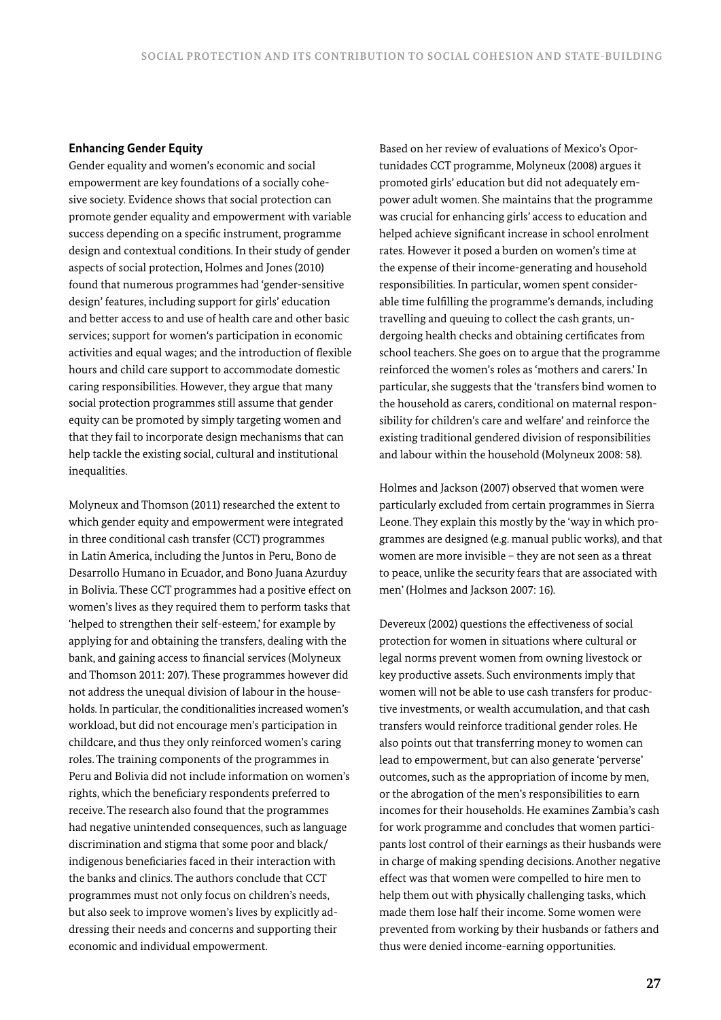## **Enhancing Gender Equity**

Gender equality and women's economic and social empowerment are key foundations of a socially cohesive society. Evidence shows that social protection can promote gender equality and empowerment with variable success depending on a specific instrument, programme design and contextual conditions. In their study of gender aspects of social protection, Holmes and Jones (2010) found that numerous programmes had 'gender-sensitive design' features, including support for girls' education and better access to and use of health care and other basic services; support for women's participation in economic activities and equal wages; and the introduction of flexible hours and child care support to accommodate domestic caring responsibilities. However, they argue that many social protection programmes still assume that gender equity can be promoted by simply targeting women and that they fail to incorporate design mechanisms that can help tackle the existing social, cultural and institutional inequalities.

Molyneux and Thomson (2011) researched the extent to which gender equity and empowerment were integrated in three conditional cash transfer (CCT) programmes in Latin America, including the Juntos in Peru, Bono de Desarrollo Humano in Ecuador, and Bono Juana Azurduy in Bolivia. These CCT programmes had a positive effect on women's lives as they required them to perform tasks that 'helped to strengthen their self-esteem,' for example by applying for and obtaining the transfers, dealing with the bank, and gaining access to financial services (Molyneux and Thomson 2011: 207). These programmes however did not address the unequal division of labour in the households. In particular, the conditionalities increased women's workload, but did not encourage men's participation in childcare, and thus they only reinforced women's caring roles. The training components of the programmes in Peru and Bolivia did not include information on women's rights, which the beneficiary respondents preferred to receive. The research also found that the programmes had negative unintended consequences, such as language discrimination and stigma that some poor and black/ indigenous beneficiaries faced in their interaction with the banks and clinics. The authors conclude that CCT programmes must not only focus on children's needs, but also seek to improve women's lives by explicitly addressing their needs and concerns and supporting their economic and individual empowerment.

Based on her review of evaluations of Mexico's Oportunidades CCT programme, Molyneux (2008) argues it promoted girls' education but did not adequately empower adult women. She maintains that the programme was crucial for enhancing girls' access to education and helped achieve significant increase in school enrolment rates. However it posed a burden on women's time at the expense of their income-generating and household responsibilities. In particular, women spent considerable time fulfilling the programme's demands, including travelling and queuing to collect the cash grants, undergoing health checks and obtaining certificates from school teachers. She goes on to argue that the programme reinforced the women's roles as 'mothers and carers.' In particular, she suggests that the 'transfers bind women to the household as carers, conditional on maternal responsibility for children's care and welfare' and reinforce the existing traditional gendered division of responsibilities and labour within the household (Molyneux 2008: 58).

Holmes and Jackson (2007) observed that women were particularly excluded from certain programmes in Sierra Leone. They explain this mostly by the 'way in which programmes are designed (e.g. manual public works), and that women are more invisible – they are not seen as a threat to peace, unlike the security fears that are associated with men' (Holmes and Jackson 2007: 16).

Devereux (2002) questions the effectiveness of social protection for women in situations where cultural or legal norms prevent women from owning livestock or key productive assets. Such environments imply that women will not be able to use cash transfers for productive investments, or wealth accumulation, and that cash transfers would reinforce traditional gender roles. He also points out that transferring money to women can lead to empowerment, but can also generate 'perverse' outcomes, such as the appropriation of income by men, or the abrogation of the men's responsibilities to earn incomes for their households. He examines Zambia's cash for work programme and concludes that women participants lost control of their earnings as their husbands were in charge of making spending decisions. Another negative effect was that women were compelled to hire men to help them out with physically challenging tasks, which made them lose half their income. Some women were prevented from working by their husbands or fathers and thus were denied income-earning opportunities.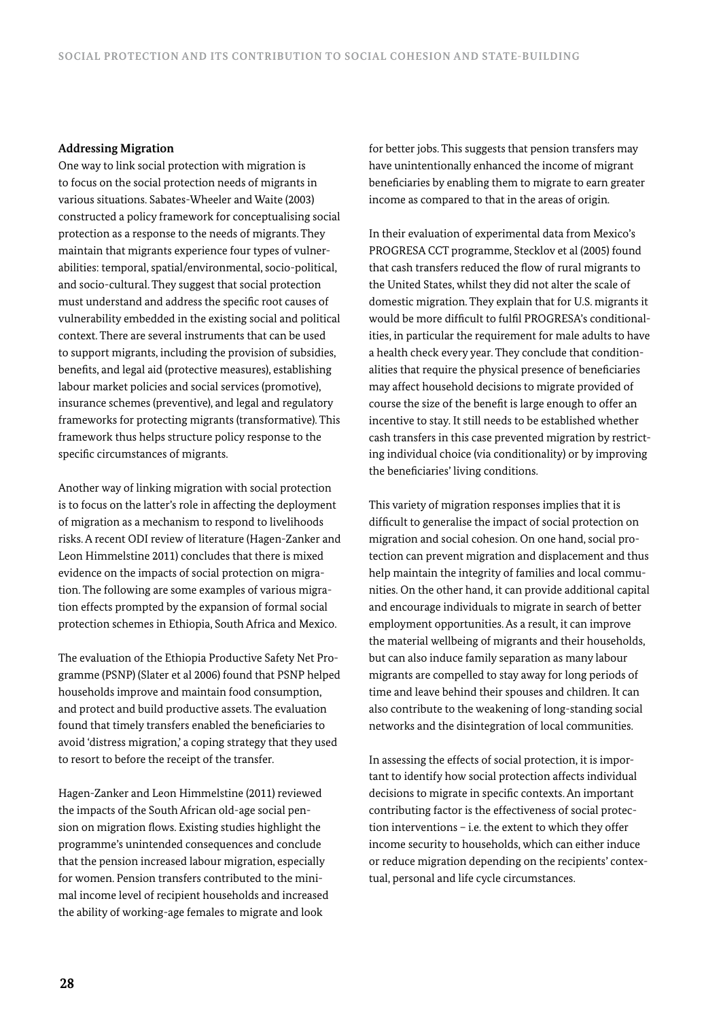#### **Addressing Migration**

One way to link social protection with migration is to focus on the social protection needs of migrants in various situations. Sabates-Wheeler and Waite (2003) constructed a policy framework for conceptualising social protection as a response to the needs of migrants. They maintain that migrants experience four types of vulnerabilities: temporal, spatial/environmental, socio-political, and socio-cultural. They suggest that social protection must understand and address the specific root causes of vulnerability embedded in the existing social and political context. There are several instruments that can be used to support migrants, including the provision of subsidies, benefits, and legal aid (protective measures), establishing labour market policies and social services (promotive), insurance schemes (preventive), and legal and regulatory frameworks for protecting migrants (transformative). This framework thus helps structure policy response to the specific circumstances of migrants.

Another way of linking migration with social protection is to focus on the latter's role in affecting the deployment of migration as a mechanism to respond to livelihoods risks. A recent ODI review of literature (Hagen-Zanker and Leon Himmelstine 2011) concludes that there is mixed evidence on the impacts of social protection on migration. The following are some examples of various migration effects prompted by the expansion of formal social protection schemes in Ethiopia, South Africa and Mexico.

The evaluation of the Ethiopia Productive Safety Net Programme (PSNP) (Slater et al 2006) found that PSNP helped households improve and maintain food consumption, and protect and build productive assets. The evaluation found that timely transfers enabled the beneficiaries to avoid 'distress migration,' a coping strategy that they used to resort to before the receipt of the transfer.

Hagen-Zanker and Leon Himmelstine (2011) reviewed the impacts of the South African old-age social pension on migration flows. Existing studies highlight the programme's unintended consequences and conclude that the pension increased labour migration, especially for women. Pension transfers contributed to the minimal income level of recipient households and increased the ability of working-age females to migrate and look

for better jobs. This suggests that pension transfers may have unintentionally enhanced the income of migrant beneficiaries by enabling them to migrate to earn greater income as compared to that in the areas of origin.

In their evaluation of experimental data from Mexico's PROGRESA CCT programme, Stecklov et al (2005) found that cash transfers reduced the flow of rural migrants to the United States, whilst they did not alter the scale of domestic migration. They explain that for U.S. migrants it would be more difficult to fulfil PROGRESA's conditionalities, in particular the requirement for male adults to have a health check every year. They conclude that conditionalities that require the physical presence of beneficiaries may affect household decisions to migrate provided of course the size of the benefit is large enough to offer an incentive to stay. It still needs to be established whether cash transfers in this case prevented migration by restricting individual choice (via conditionality) or by improving the beneficiaries' living conditions.

This variety of migration responses implies that it is difficult to generalise the impact of social protection on migration and social cohesion. On one hand, social protection can prevent migration and displacement and thus help maintain the integrity of families and local communities. On the other hand, it can provide additional capital and encourage individuals to migrate in search of better employment opportunities. As a result, it can improve the material wellbeing of migrants and their households, but can also induce family separation as many labour migrants are compelled to stay away for long periods of time and leave behind their spouses and children. It can also contribute to the weakening of long-standing social networks and the disintegration of local communities.

In assessing the effects of social protection, it is important to identify how social protection affects individual decisions to migrate in specific contexts. An important contributing factor is the effectiveness of social protection interventions – i.e. the extent to which they offer income security to households, which can either induce or reduce migration depending on the recipients' contextual, personal and life cycle circumstances.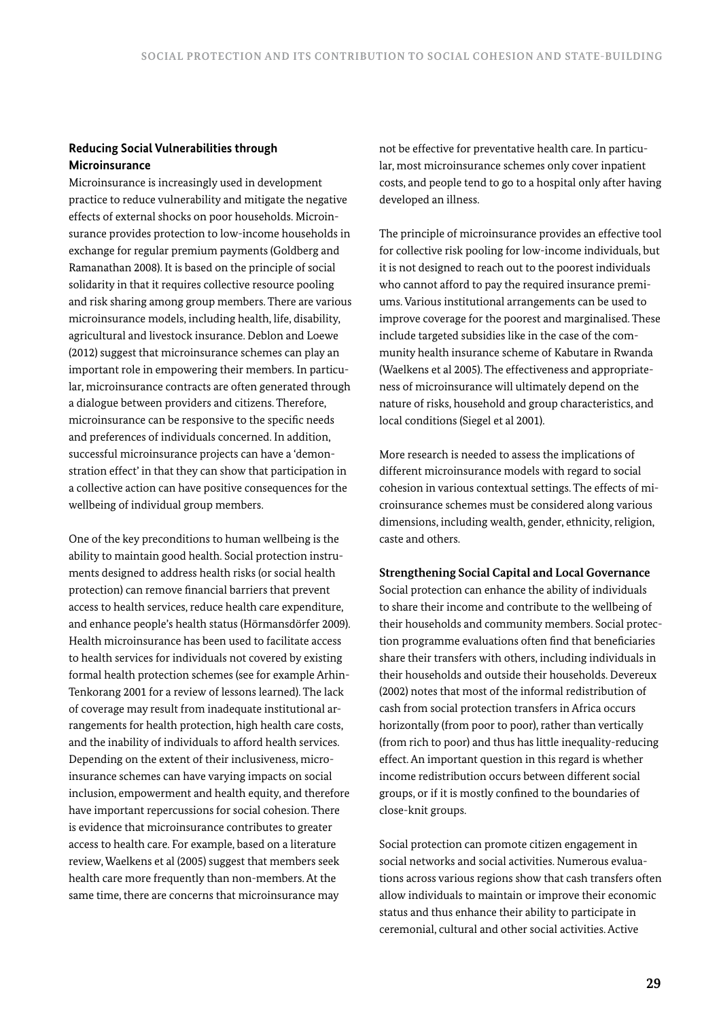## **Reducing Social Vulnerabilities through Microinsurance**

Microinsurance is increasingly used in development practice to reduce vulnerability and mitigate the negative effects of external shocks on poor households. Microinsurance provides protection to low-income households in exchange for regular premium payments (Goldberg and Ramanathan 2008). It is based on the principle of social solidarity in that it requires collective resource pooling and risk sharing among group members. There are various microinsurance models, including health, life, disability, agricultural and livestock insurance. Deblon and Loewe (2012) suggest that microinsurance schemes can play an important role in empowering their members. In particular, microinsurance contracts are often generated through a dialogue between providers and citizens. Therefore, microinsurance can be responsive to the specific needs and preferences of individuals concerned. In addition, successful microinsurance projects can have a 'demonstration effect' in that they can show that participation in a collective action can have positive consequences for the wellbeing of individual group members.

One of the key preconditions to human wellbeing is the ability to maintain good health. Social protection instruments designed to address health risks (or social health protection) can remove financial barriers that prevent access to health services, reduce health care expenditure, and enhance people's health status (Hörmansdörfer 2009). Health microinsurance has been used to facilitate access to health services for individuals not covered by existing formal health protection schemes (see for example Arhin-Tenkorang 2001 for a review of lessons learned). The lack of coverage may result from inadequate institutional arrangements for health protection, high health care costs, and the inability of individuals to afford health services. Depending on the extent of their inclusiveness, microinsurance schemes can have varying impacts on social inclusion, empowerment and health equity, and therefore have important repercussions for social cohesion. There is evidence that microinsurance contributes to greater access to health care. For example, based on a literature review, Waelkens et al (2005) suggest that members seek health care more frequently than non-members. At the same time, there are concerns that microinsurance may

not be effective for preventative health care. In particular, most microinsurance schemes only cover inpatient costs, and people tend to go to a hospital only after having developed an illness.

The principle of microinsurance provides an effective tool for collective risk pooling for low-income individuals, but it is not designed to reach out to the poorest individuals who cannot afford to pay the required insurance premiums. Various institutional arrangements can be used to improve coverage for the poorest and marginalised. These include targeted subsidies like in the case of the community health insurance scheme of Kabutare in Rwanda (Waelkens et al 2005). The effectiveness and appropriateness of microinsurance will ultimately depend on the nature of risks, household and group characteristics, and local conditions (Siegel et al 2001).

More research is needed to assess the implications of different microinsurance models with regard to social cohesion in various contextual settings. The effects of microinsurance schemes must be considered along various dimensions, including wealth, gender, ethnicity, religion, caste and others.

### **Strengthening Social Capital and Local Governance**

Social protection can enhance the ability of individuals to share their income and contribute to the wellbeing of their households and community members. Social protection programme evaluations often find that beneficiaries share their transfers with others, including individuals in their households and outside their households. Devereux (2002) notes that most of the informal redistribution of cash from social protection transfers in Africa occurs horizontally (from poor to poor), rather than vertically (from rich to poor) and thus has little inequality-reducing effect. An important question in this regard is whether income redistribution occurs between different social groups, or if it is mostly confined to the boundaries of close-knit groups.

Social protection can promote citizen engagement in social networks and social activities. Numerous evaluations across various regions show that cash transfers often allow individuals to maintain or improve their economic status and thus enhance their ability to participate in ceremonial, cultural and other social activities. Active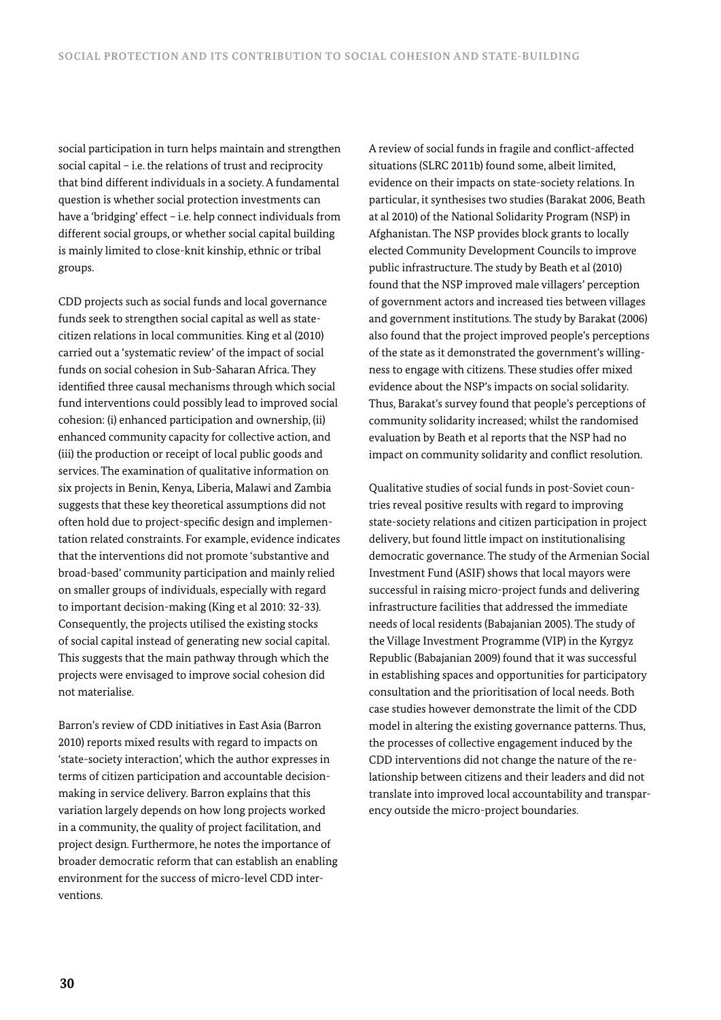social participation in turn helps maintain and strengthen social capital – i.e. the relations of trust and reciprocity that bind different individuals in a society. A fundamental question is whether social protection investments can have a 'bridging' effect - i.e. help connect individuals from different social groups, or whether social capital building is mainly limited to close-knit kinship, ethnic or tribal groups.

CDD projects such as social funds and local governance funds seek to strengthen social capital as well as statecitizen relations in local communities. King et al (2010) carried out a 'systematic review' of the impact of social funds on social cohesion in Sub-Saharan Africa. They identified three causal mechanisms through which social fund interventions could possibly lead to improved social cohesion: (i) enhanced participation and ownership, (ii) enhanced community capacity for collective action, and (iii) the production or receipt of local public goods and services. The examination of qualitative information on six projects in Benin, Kenya, Liberia, Malawi and Zambia suggests that these key theoretical assumptions did not often hold due to project-specific design and implementation related constraints. For example, evidence indicates that the interventions did not promote 'substantive and broad-based' community participation and mainly relied on smaller groups of individuals, especially with regard to important decision-making (King et al 2010: 32-33). Consequently, the projects utilised the existing stocks of social capital instead of generating new social capital. This suggests that the main pathway through which the projects were envisaged to improve social cohesion did not materialise.

Barron's review of CDD initiatives in East Asia (Barron 2010) reports mixed results with regard to impacts on 'state-society interaction', which the author expresses in terms of citizen participation and accountable decisionmaking in service delivery. Barron explains that this variation largely depends on how long projects worked in a community, the quality of project facilitation, and project design. Furthermore, he notes the importance of broader democratic reform that can establish an enabling environment for the success of micro-level CDD interventions.

A review of social funds in fragile and conflict-affected situations (SLRC 2011b) found some, albeit limited, evidence on their impacts on state-society relations. In particular, it synthesises two studies (Barakat 2006, Beath at al 2010) of the National Solidarity Program (NSP) in Afghanistan. The NSP provides block grants to locally elected Community Development Councils to improve public infrastructure. The study by Beath et al (2010) found that the NSP improved male villagers' perception of government actors and increased ties between villages and government institutions. The study by Barakat (2006) also found that the project improved people's perceptions of the state as it demonstrated the government's willingness to engage with citizens. These studies offer mixed evidence about the NSP's impacts on social solidarity. Thus, Barakat's survey found that people's perceptions of community solidarity increased; whilst the randomised evaluation by Beath et al reports that the NSP had no impact on community solidarity and conflict resolution.

Qualitative studies of social funds in post-Soviet countries reveal positive results with regard to improving state-society relations and citizen participation in project delivery, but found little impact on institutionalising democratic governance. The study of the Armenian Social Investment Fund (ASIF) shows that local mayors were successful in raising micro-project funds and delivering infrastructure facilities that addressed the immediate needs of local residents (Babajanian 2005). The study of the Village Investment Programme (VIP) in the Kyrgyz Republic (Babajanian 2009) found that it was successful in establishing spaces and opportunities for participatory consultation and the prioritisation of local needs. Both case studies however demonstrate the limit of the CDD model in altering the existing governance patterns. Thus, the processes of collective engagement induced by the CDD interventions did not change the nature of the relationship between citizens and their leaders and did not translate into improved local accountability and transparency outside the micro-project boundaries.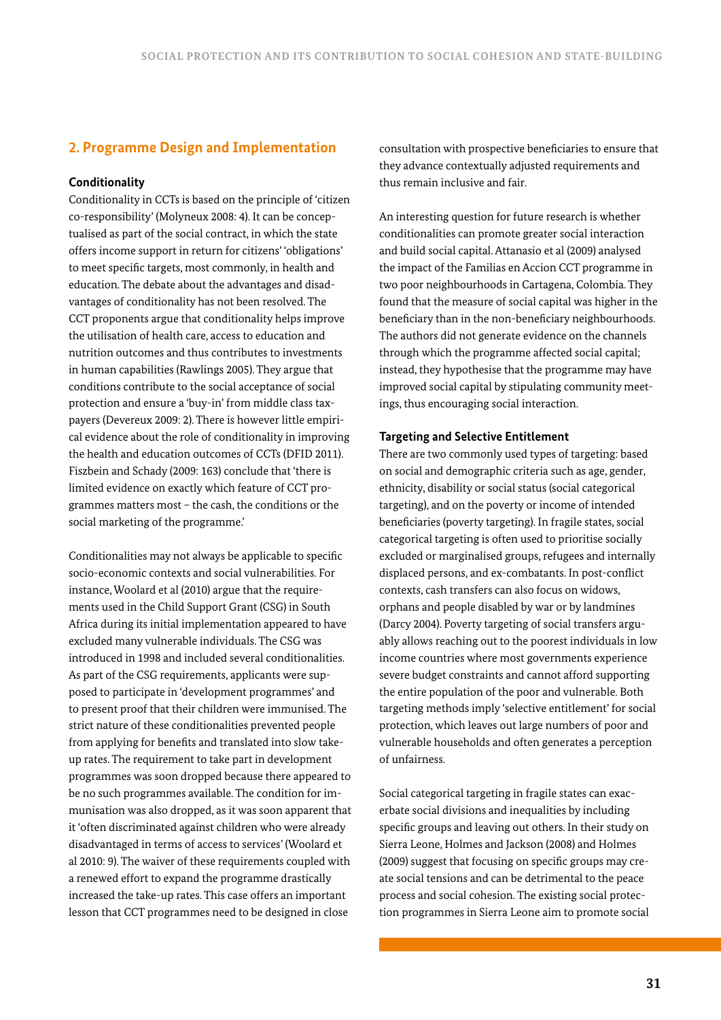# **2. Programme Design and Implementation**

## **Conditionality**

Conditionality in CCTs is based on the principle of 'citizen co-responsibility' (Molyneux 2008: 4). It can be conceptualised as part of the social contract, in which the state offers income support in return for citizens' 'obligations' to meet specific targets, most commonly, in health and education. The debate about the advantages and disadvantages of conditionality has not been resolved. The CCT proponents argue that conditionality helps improve the utilisation of health care, access to education and nutrition outcomes and thus contributes to investments in human capabilities (Rawlings 2005). They argue that conditions contribute to the social acceptance of social protection and ensure a 'buy-in' from middle class taxpayers (Devereux 2009: 2). There is however little empirical evidence about the role of conditionality in improving the health and education outcomes of CCTs (DFID 2011). Fiszbein and Schady (2009: 163) conclude that 'there is limited evidence on exactly which feature of CCT programmes matters most – the cash, the conditions or the social marketing of the programme.'

Conditionalities may not always be applicable to specific socio-economic contexts and social vulnerabilities. For instance, Woolard et al (2010) argue that the requirements used in the Child Support Grant (CSG) in South Africa during its initial implementation appeared to have excluded many vulnerable individuals. The CSG was introduced in 1998 and included several conditionalities. As part of the CSG requirements, applicants were supposed to participate in 'development programmes' and to present proof that their children were immunised. The strict nature of these conditionalities prevented people from applying for benefits and translated into slow takeup rates. The requirement to take part in development programmes was soon dropped because there appeared to be no such programmes available. The condition for immunisation was also dropped, as it was soon apparent that it 'often discriminated against children who were already disadvantaged in terms of access to services' (Woolard et al 2010: 9). The waiver of these requirements coupled with a renewed effort to expand the programme drastically increased the take-up rates. This case offers an important lesson that CCT programmes need to be designed in close

consultation with prospective beneficiaries to ensure that they advance contextually adjusted requirements and thus remain inclusive and fair.

An interesting question for future research is whether conditionalities can promote greater social interaction and build social capital. Attanasio et al (2009) analysed the impact of the Familias en Accion CCT programme in two poor neighbourhoods in Cartagena, Colombia. They found that the measure of social capital was higher in the beneficiary than in the non-beneficiary neighbourhoods. The authors did not generate evidence on the channels through which the programme affected social capital; instead, they hypothesise that the programme may have improved social capital by stipulating community meetings, thus encouraging social interaction.

#### **Targeting and Selective Entitlement**

There are two commonly used types of targeting: based on social and demographic criteria such as age, gender, ethnicity, disability or social status (social categorical targeting), and on the poverty or income of intended beneficiaries (poverty targeting). In fragile states, social categorical targeting is often used to prioritise socially excluded or marginalised groups, refugees and internally displaced persons, and ex-combatants. In post-conflict contexts, cash transfers can also focus on widows, orphans and people disabled by war or by landmines (Darcy 2004). Poverty targeting of social transfers arguably allows reaching out to the poorest individuals in low income countries where most governments experience severe budget constraints and cannot afford supporting the entire population of the poor and vulnerable. Both targeting methods imply 'selective entitlement' for social protection, which leaves out large numbers of poor and vulnerable households and often generates a perception of unfairness.

Social categorical targeting in fragile states can exacerbate social divisions and inequalities by including specific groups and leaving out others. In their study on Sierra Leone, Holmes and Jackson (2008) and Holmes (2009) suggest that focusing on specific groups may create social tensions and can be detrimental to the peace process and social cohesion. The existing social protection programmes in Sierra Leone aim to promote social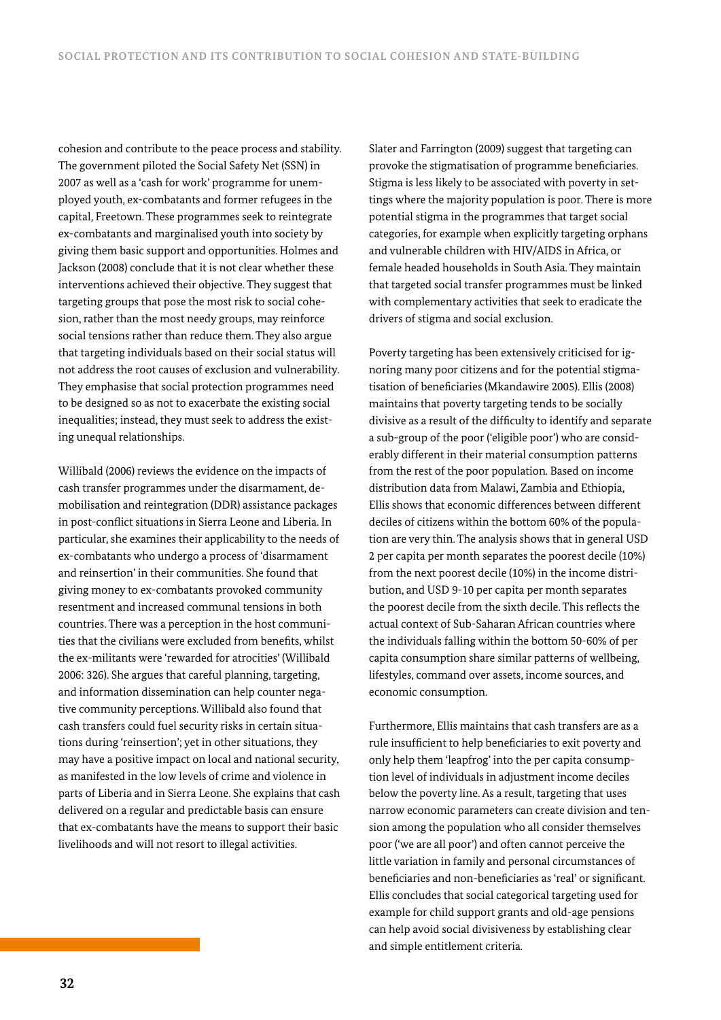cohesion and contribute to the peace process and stability. The government piloted the Social Safety Net (SSN) in 2007 as well as a 'cash for work' programme for unemployed youth, ex-combatants and former refugees in the capital, Freetown. These programmes seek to reintegrate ex-combatants and marginalised youth into society by giving them basic support and opportunities. Holmes and Jackson (2008) conclude that it is not clear whether these interventions achieved their objective. They suggest that targeting groups that pose the most risk to social cohesion, rather than the most needy groups, may reinforce social tensions rather than reduce them. They also argue that targeting individuals based on their social status will not address the root causes of exclusion and vulnerability. They emphasise that social protection programmes need to be designed so as not to exacerbate the existing social inequalities; instead, they must seek to address the existing unequal relationships.

Willibald (2006) reviews the evidence on the impacts of cash transfer programmes under the disarmament, demobilisation and reintegration (DDR) assistance packages in post-conflict situations in Sierra Leone and Liberia. In particular, she examines their applicability to the needs of ex-combatants who undergo a process of 'disarmament and reinsertion' in their communities. She found that giving money to ex-combatants provoked community resentment and increased communal tensions in both countries. There was a perception in the host communities that the civilians were excluded from benefits, whilst the ex-militants were 'rewarded for atrocities' (Willibald 2006: 326). She argues that careful planning, targeting, and information dissemination can help counter negative community perceptions. Willibald also found that cash transfers could fuel security risks in certain situations during 'reinsertion'; yet in other situations, they may have a positive impact on local and national security, as manifested in the low levels of crime and violence in parts of Liberia and in Sierra Leone. She explains that cash delivered on a regular and predictable basis can ensure that ex-combatants have the means to support their basic livelihoods and will not resort to illegal activities.

Slater and Farrington (2009) suggest that targeting can provoke the stigmatisation of programme beneficiaries. Stigma is less likely to be associated with poverty in settings where the majority population is poor. There is more potential stigma in the programmes that target social categories, for example when explicitly targeting orphans and vulnerable children with HIV/AIDS in Africa, or female headed households in South Asia. They maintain that targeted social transfer programmes must be linked with complementary activities that seek to eradicate the drivers of stigma and social exclusion.

Poverty targeting has been extensively criticised for ignoring many poor citizens and for the potential stigmatisation of beneficiaries (Mkandawire 2005). Ellis (2008) maintains that poverty targeting tends to be socially divisive as a result of the difficulty to identify and separate a sub-group of the poor ('eligible poor') who are considerably different in their material consumption patterns from the rest of the poor population. Based on income distribution data from Malawi, Zambia and Ethiopia, Ellis shows that economic differences between different deciles of citizens within the bottom 60% of the population are very thin. The analysis shows that in general USD 2 per capita per month separates the poorest decile (10%) from the next poorest decile (10%) in the income distribution, and USD 9-10 per capita per month separates the poorest decile from the sixth decile. This reflects the actual context of Sub-Saharan African countries where the individuals falling within the bottom 50-60% of per capita consumption share similar patterns of wellbeing, lifestyles, command over assets, income sources, and economic consumption.

Furthermore, Ellis maintains that cash transfers are as a rule insufficient to help beneficiaries to exit poverty and only help them 'leapfrog' into the per capita consumption level of individuals in adjustment income deciles below the poverty line. As a result, targeting that uses narrow economic parameters can create division and tension among the population who all consider themselves poor ('we are all poor') and often cannot perceive the little variation in family and personal circumstances of beneficiaries and non-beneficiaries as 'real' or significant. Ellis concludes that social categorical targeting used for example for child support grants and old-age pensions can help avoid social divisiveness by establishing clear and simple entitlement criteria.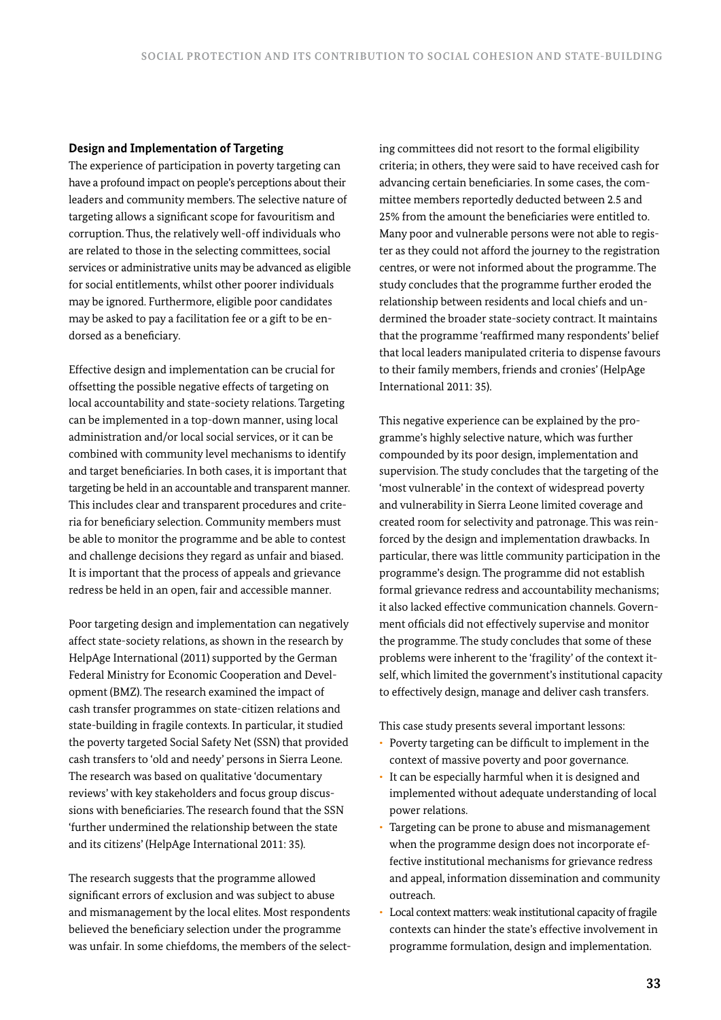#### **Design and Implementation of Targeting**

The experience of participation in poverty targeting can have a profound impact on people's perceptions about their leaders and community members. The selective nature of targeting allows a significant scope for favouritism and corruption. Thus, the relatively well-off individuals who are related to those in the selecting committees, social services or administrative units may be advanced as eligible for social entitlements, whilst other poorer individuals may be ignored. Furthermore, eligible poor candidates may be asked to pay a facilitation fee or a gift to be endorsed as a beneficiary.

Effective design and implementation can be crucial for offsetting the possible negative effects of targeting on local accountability and state-society relations. Targeting can be implemented in a top-down manner, using local administration and/or local social services, or it can be combined with community level mechanisms to identify and target beneficiaries. In both cases, it is important that targeting be held in an accountable and transparent manner. This includes clear and transparent procedures and criteria for beneficiary selection. Community members must be able to monitor the programme and be able to contest and challenge decisions they regard as unfair and biased. It is important that the process of appeals and grievance redress be held in an open, fair and accessible manner.

Poor targeting design and implementation can negatively affect state-society relations, as shown in the research by HelpAge International (2011) supported by the German Federal Ministry for Economic Cooperation and Development (BMZ). The research examined the impact of cash transfer programmes on state-citizen relations and state-building in fragile contexts. In particular, it studied the poverty targeted Social Safety Net (SSN) that provided cash transfers to 'old and needy' persons in Sierra Leone. The research was based on qualitative 'documentary reviews' with key stakeholders and focus group discussions with beneficiaries. The research found that the SSN 'further undermined the relationship between the state and its citizens' (HelpAge International 2011: 35).

The research suggests that the programme allowed significant errors of exclusion and was subject to abuse and mismanagement by the local elites. Most respondents believed the beneficiary selection under the programme was unfair. In some chiefdoms, the members of the selecting committees did not resort to the formal eligibility criteria; in others, they were said to have received cash for advancing certain beneficiaries. In some cases, the committee members reportedly deducted between 2.5 and 25% from the amount the beneficiaries were entitled to. Many poor and vulnerable persons were not able to register as they could not afford the journey to the registration centres, or were not informed about the programme. The study concludes that the programme further eroded the relationship between residents and local chiefs and undermined the broader state-society contract. It maintains that the programme 'reaffirmed many respondents' belief that local leaders manipulated criteria to dispense favours to their family members, friends and cronies' (HelpAge International 2011: 35).

This negative experience can be explained by the programme's highly selective nature, which was further compounded by its poor design, implementation and supervision. The study concludes that the targeting of the 'most vulnerable' in the context of widespread poverty and vulnerability in Sierra Leone limited coverage and created room for selectivity and patronage. This was reinforced by the design and implementation drawbacks. In particular, there was little community participation in the programme's design. The programme did not establish formal grievance redress and accountability mechanisms; it also lacked effective communication channels. Government officials did not effectively supervise and monitor the programme. The study concludes that some of these problems were inherent to the 'fragility' of the context itself, which limited the government's institutional capacity to effectively design, manage and deliver cash transfers.

This case study presents several important lessons:

- Poverty targeting can be difficult to implement in the context of massive poverty and poor governance.
- It can be especially harmful when it is designed and implemented without adequate understanding of local power relations.
- Targeting can be prone to abuse and mismanagement when the programme design does not incorporate effective institutional mechanisms for grievance redress and appeal, information dissemination and community outreach.
- Local context matters: weak institutional capacity of fragile contexts can hinder the state's effective involvement in programme formulation, design and implementation.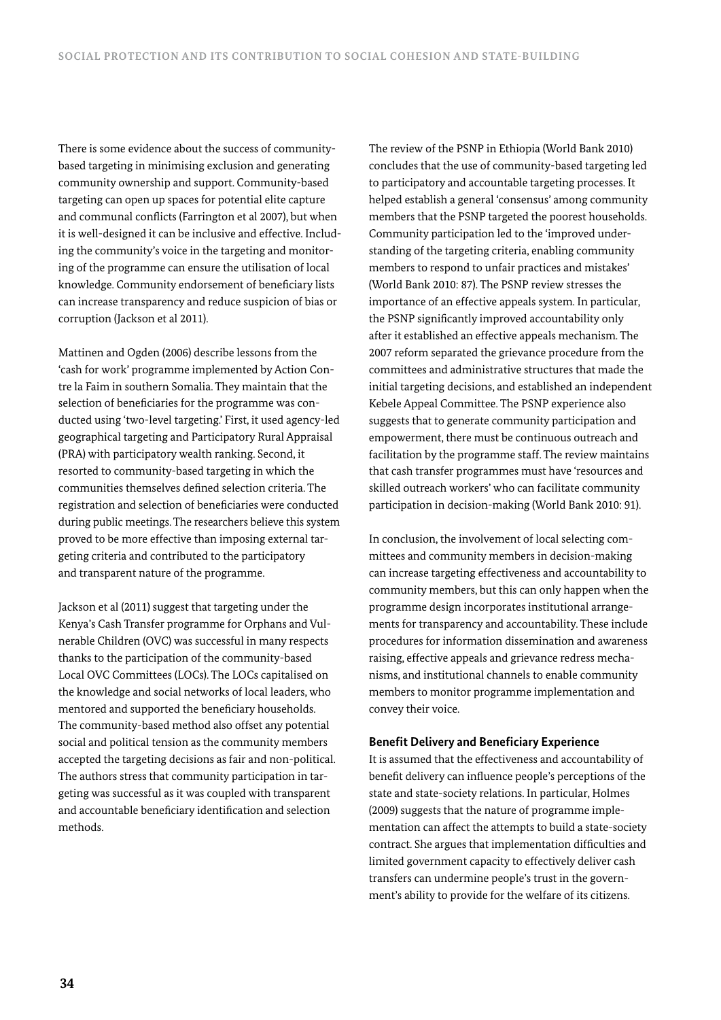There is some evidence about the success of communitybased targeting in minimising exclusion and generating community ownership and support. Community-based targeting can open up spaces for potential elite capture and communal conflicts (Farrington et al 2007), but when it is well-designed it can be inclusive and effective. Including the community's voice in the targeting and monitoring of the programme can ensure the utilisation of local knowledge. Community endorsement of beneficiary lists can increase transparency and reduce suspicion of bias or corruption (Jackson et al 2011).

Mattinen and Ogden (2006) describe lessons from the 'cash for work' programme implemented by Action Contre la Faim in southern Somalia. They maintain that the selection of beneficiaries for the programme was conducted using 'two-level targeting.' First, it used agency-led geographical targeting and Participatory Rural Appraisal (PRA) with participatory wealth ranking. Second, it resorted to community-based targeting in which the communities themselves defined selection criteria. The registration and selection of beneficiaries were conducted during public meetings. The researchers believe this system proved to be more effective than imposing external targeting criteria and contributed to the participatory and transparent nature of the programme.

Jackson et al (2011) suggest that targeting under the Kenya's Cash Transfer programme for Orphans and Vulnerable Children (OVC) was successful in many respects thanks to the participation of the community-based Local OVC Committees (LOCs). The LOCs capitalised on the knowledge and social networks of local leaders, who mentored and supported the beneficiary households. The community-based method also offset any potential social and political tension as the community members accepted the targeting decisions as fair and non-political. The authors stress that community participation in targeting was successful as it was coupled with transparent and accountable beneficiary identification and selection methods.

The review of the PSNP in Ethiopia (World Bank 2010) concludes that the use of community-based targeting led to participatory and accountable targeting processes. It helped establish a general 'consensus' among community members that the PSNP targeted the poorest households. Community participation led to the 'improved understanding of the targeting criteria, enabling community members to respond to unfair practices and mistakes' (World Bank 2010: 87). The PSNP review stresses the importance of an effective appeals system. In particular, the PSNP significantly improved accountability only after it established an effective appeals mechanism. The 2007 reform separated the grievance procedure from the committees and administrative structures that made the initial targeting decisions, and established an independent Kebele Appeal Committee. The PSNP experience also suggests that to generate community participation and empowerment, there must be continuous outreach and facilitation by the programme staff. The review maintains that cash transfer programmes must have 'resources and skilled outreach workers' who can facilitate community participation in decision-making (World Bank 2010: 91).

In conclusion, the involvement of local selecting committees and community members in decision-making can increase targeting effectiveness and accountability to community members, but this can only happen when the programme design incorporates institutional arrangements for transparency and accountability. These include procedures for information dissemination and awareness raising, effective appeals and grievance redress mechanisms, and institutional channels to enable community members to monitor programme implementation and convey their voice.

#### **Benefit Delivery and Beneficiary Experience**

It is assumed that the effectiveness and accountability of benefit delivery can influence people's perceptions of the state and state-society relations. In particular, Holmes (2009) suggests that the nature of programme implementation can affect the attempts to build a state-society contract. She argues that implementation difficulties and limited government capacity to effectively deliver cash transfers can undermine people's trust in the government's ability to provide for the welfare of its citizens.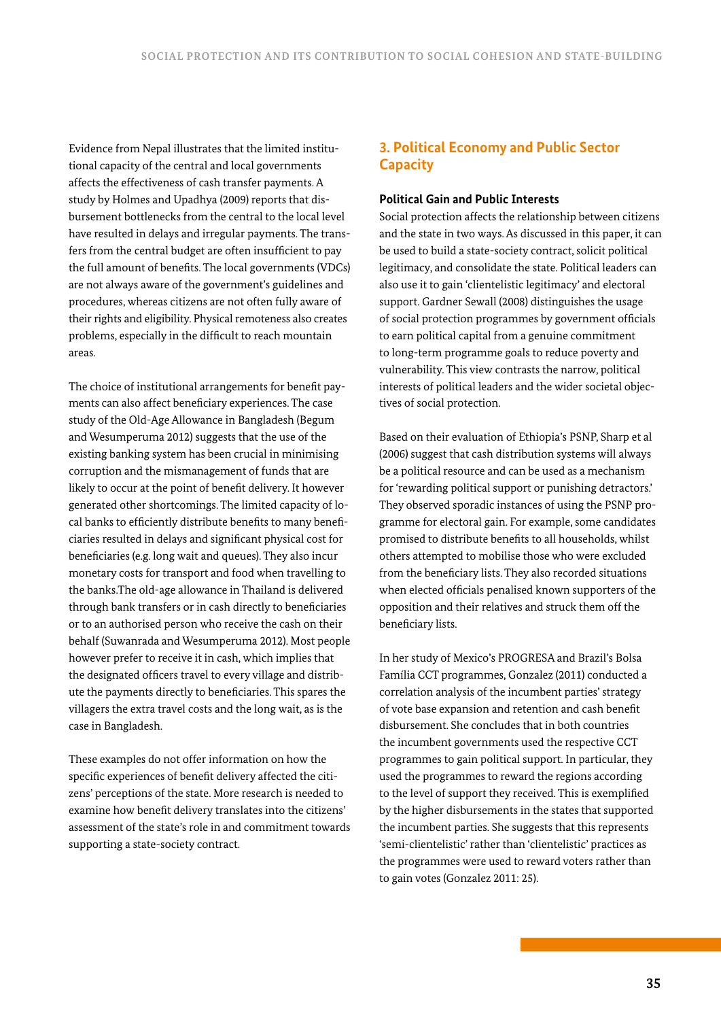Evidence from Nepal illustrates that the limited institutional capacity of the central and local governments affects the effectiveness of cash transfer payments. A study by Holmes and Upadhya (2009) reports that disbursement bottlenecks from the central to the local level have resulted in delays and irregular payments. The transfers from the central budget are often insufficient to pay the full amount of benefits. The local governments (VDCs) are not always aware of the government's guidelines and procedures, whereas citizens are not often fully aware of their rights and eligibility. Physical remoteness also creates problems, especially in the difficult to reach mountain areas.

The choice of institutional arrangements for benefit payments can also affect beneficiary experiences. The case study of the Old-Age Allowance in Bangladesh (Begum and Wesumperuma 2012) suggests that the use of the existing banking system has been crucial in minimising corruption and the mismanagement of funds that are likely to occur at the point of benefit delivery. It however generated other shortcomings. The limited capacity of local banks to efficiently distribute benefits to many beneficiaries resulted in delays and significant physical cost for beneficiaries (e.g. long wait and queues). They also incur monetary costs for transport and food when travelling to the banks.The old-age allowance in Thailand is delivered through bank transfers or in cash directly to beneficiaries or to an authorised person who receive the cash on their behalf (Suwanrada and Wesumperuma 2012). Most people however prefer to receive it in cash, which implies that the designated officers travel to every village and distribute the payments directly to beneficiaries. This spares the villagers the extra travel costs and the long wait, as is the case in Bangladesh.

These examples do not offer information on how the specific experiences of benefit delivery affected the citizens' perceptions of the state. More research is needed to examine how benefit delivery translates into the citizens' assessment of the state's role in and commitment towards supporting a state-society contract.

# **3. Political Economy and Public Sector Capacity**

### **Political Gain and Public Interests**

Social protection affects the relationship between citizens and the state in two ways. As discussed in this paper, it can be used to build a state-society contract, solicit political legitimacy, and consolidate the state. Political leaders can also use it to gain 'clientelistic legitimacy' and electoral support. Gardner Sewall (2008) distinguishes the usage of social protection programmes by government officials to earn political capital from a genuine commitment to long-term programme goals to reduce poverty and vulnerability. This view contrasts the narrow, political interests of political leaders and the wider societal objectives of social protection.

Based on their evaluation of Ethiopia's PSNP, Sharp et al (2006) suggest that cash distribution systems will always be a political resource and can be used as a mechanism for 'rewarding political support or punishing detractors.' They observed sporadic instances of using the PSNP programme for electoral gain. For example, some candidates promised to distribute benefits to all households, whilst others attempted to mobilise those who were excluded from the beneficiary lists. They also recorded situations when elected officials penalised known supporters of the opposition and their relatives and struck them off the beneficiary lists.

In her study of Mexico's PROGRESA and Brazil's Bolsa Família CCT programmes, Gonzalez (2011) conducted a correlation analysis of the incumbent parties' strategy of vote base expansion and retention and cash benefit disbursement. She concludes that in both countries the incumbent governments used the respective CCT programmes to gain political support. In particular, they used the programmes to reward the regions according to the level of support they received. This is exemplified by the higher disbursements in the states that supported the incumbent parties. She suggests that this represents 'semi-clientelistic' rather than 'clientelistic' practices as the programmes were used to reward voters rather than to gain votes (Gonzalez 2011: 25).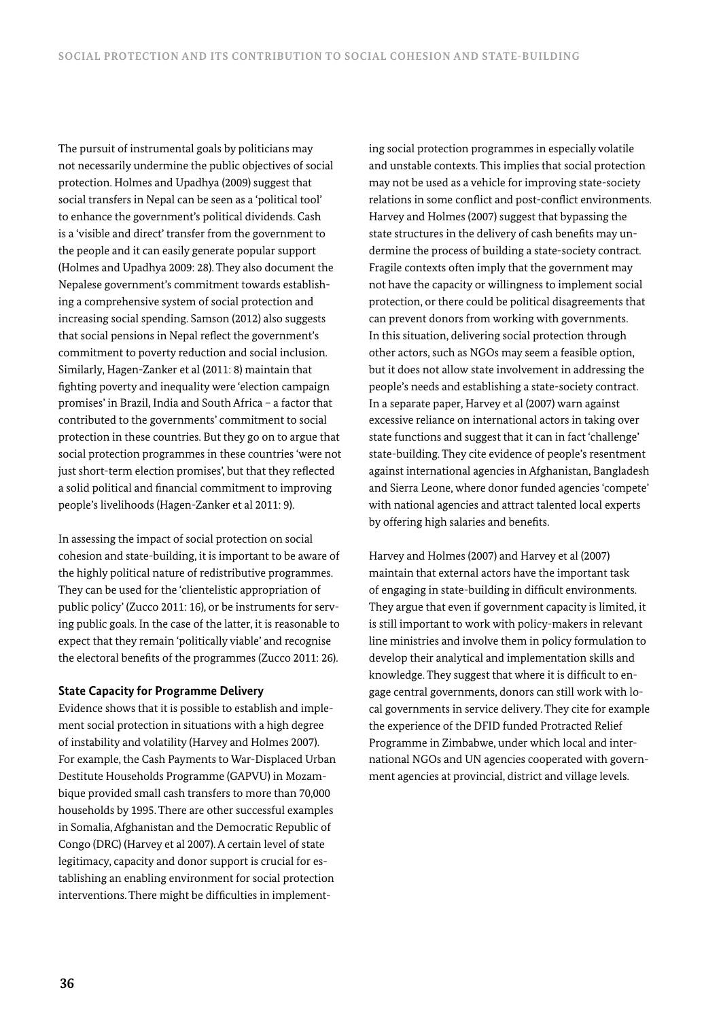The pursuit of instrumental goals by politicians may not necessarily undermine the public objectives of social protection. Holmes and Upadhya (2009) suggest that social transfers in Nepal can be seen as a 'political tool' to enhance the government's political dividends. Cash is a 'visible and direct' transfer from the government to the people and it can easily generate popular support (Holmes and Upadhya 2009: 28). They also document the Nepalese government's commitment towards establishing a comprehensive system of social protection and increasing social spending. Samson (2012) also suggests that social pensions in Nepal reflect the government's commitment to poverty reduction and social inclusion. Similarly, Hagen-Zanker et al (2011: 8) maintain that fighting poverty and inequality were 'election campaign promises' in Brazil, India and South Africa – a factor that contributed to the governments' commitment to social protection in these countries. But they go on to argue that social protection programmes in these countries 'were not just short-term election promises', but that they reflected a solid political and financial commitment to improving people's livelihoods (Hagen-Zanker et al 2011: 9).

In assessing the impact of social protection on social cohesion and state-building, it is important to be aware of the highly political nature of redistributive programmes. They can be used for the 'clientelistic appropriation of public policy' (Zucco 2011: 16), or be instruments for serving public goals. In the case of the latter, it is reasonable to expect that they remain 'politically viable' and recognise the electoral benefits of the programmes (Zucco 2011: 26).

### **State Capacity for Programme Delivery**

Evidence shows that it is possible to establish and implement social protection in situations with a high degree of instability and volatility (Harvey and Holmes 2007). For example, the Cash Payments to War-Displaced Urban Destitute Households Programme (GAPVU) in Mozambique provided small cash transfers to more than 70,000 households by 1995. There are other successful examples in Somalia, Afghanistan and the Democratic Republic of Congo (DRC) (Harvey et al 2007). A certain level of state legitimacy, capacity and donor support is crucial for establishing an enabling environment for social protection interventions. There might be difficulties in implementing social protection programmes in especially volatile and unstable contexts. This implies that social protection may not be used as a vehicle for improving state-society relations in some conflict and post-conflict environments. Harvey and Holmes (2007) suggest that bypassing the state structures in the delivery of cash benefits may undermine the process of building a state-society contract. Fragile contexts often imply that the government may not have the capacity or willingness to implement social protection, or there could be political disagreements that can prevent donors from working with governments. In this situation, delivering social protection through other actors, such as NGOs may seem a feasible option, but it does not allow state involvement in addressing the people's needs and establishing a state-society contract. In a separate paper, Harvey et al (2007) warn against excessive reliance on international actors in taking over state functions and suggest that it can in fact 'challenge' state-building. They cite evidence of people's resentment against international agencies in Afghanistan, Bangladesh and Sierra Leone, where donor funded agencies 'compete' with national agencies and attract talented local experts by offering high salaries and benefits.

Harvey and Holmes (2007) and Harvey et al (2007) maintain that external actors have the important task of engaging in state-building in difficult environments. They argue that even if government capacity is limited, it is still important to work with policy-makers in relevant line ministries and involve them in policy formulation to develop their analytical and implementation skills and knowledge. They suggest that where it is difficult to engage central governments, donors can still work with local governments in service delivery. They cite for example the experience of the DFID funded Protracted Relief Programme in Zimbabwe, under which local and international NGOs and UN agencies cooperated with government agencies at provincial, district and village levels.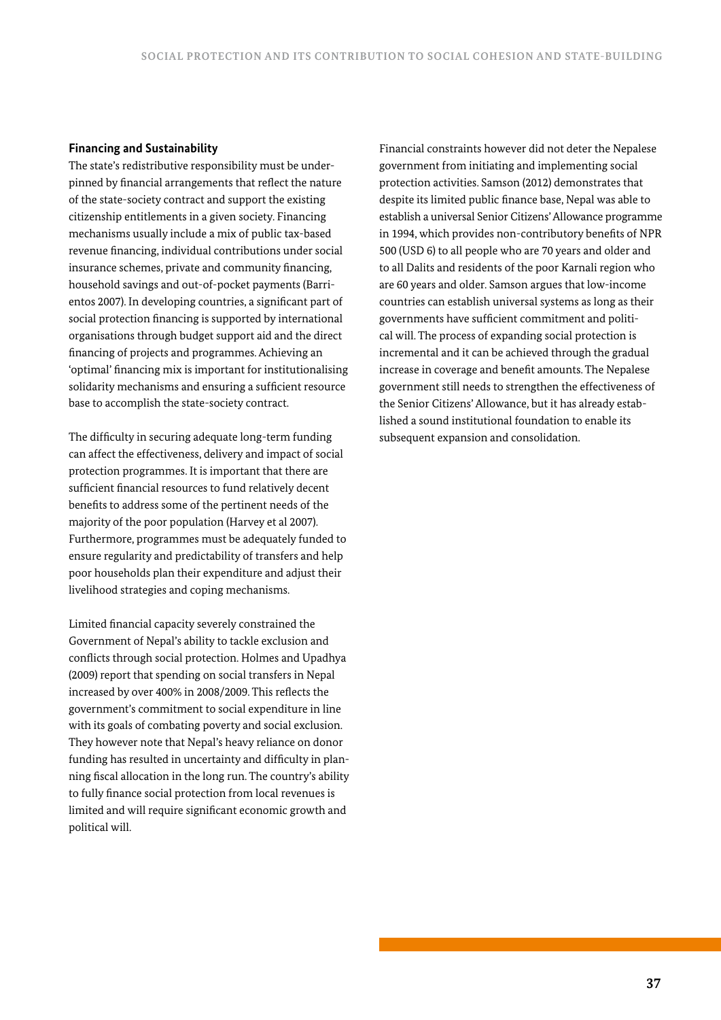#### **Financing and Sustainability**

The state's redistributive responsibility must be underpinned by financial arrangements that reflect the nature of the state-society contract and support the existing citizenship entitlements in a given society. Financing mechanisms usually include a mix of public tax-based revenue financing, individual contributions under social insurance schemes, private and community financing, household savings and out-of-pocket payments (Barrientos 2007). In developing countries, a significant part of social protection financing is supported by international organisations through budget support aid and the direct financing of projects and programmes. Achieving an 'optimal' financing mix is important for institutionalising solidarity mechanisms and ensuring a sufficient resource base to accomplish the state-society contract.

The difficulty in securing adequate long-term funding can affect the effectiveness, delivery and impact of social protection programmes. It is important that there are sufficient financial resources to fund relatively decent benefits to address some of the pertinent needs of the majority of the poor population (Harvey et al 2007). Furthermore, programmes must be adequately funded to ensure regularity and predictability of transfers and help poor households plan their expenditure and adjust their livelihood strategies and coping mechanisms.

Limited financial capacity severely constrained the Government of Nepal's ability to tackle exclusion and conflicts through social protection. Holmes and Upadhya (2009) report that spending on social transfers in Nepal increased by over 400% in 2008/2009. This reflects the government's commitment to social expenditure in line with its goals of combating poverty and social exclusion. They however note that Nepal's heavy reliance on donor funding has resulted in uncertainty and difficulty in planning fiscal allocation in the long run. The country's ability to fully finance social protection from local revenues is limited and will require significant economic growth and political will.

Financial constraints however did not deter the Nepalese government from initiating and implementing social protection activities. Samson (2012) demonstrates that despite its limited public finance base, Nepal was able to establish a universal Senior Citizens' Allowance programme in 1994, which provides non-contributory benefits of NPR 500 (USD 6) to all people who are 70 years and older and to all Dalits and residents of the poor Karnali region who are 60 years and older. Samson argues that low-income countries can establish universal systems as long as their governments have sufficient commitment and political will. The process of expanding social protection is incremental and it can be achieved through the gradual increase in coverage and benefit amounts. The Nepalese government still needs to strengthen the effectiveness of the Senior Citizens' Allowance, but it has already established a sound institutional foundation to enable its subsequent expansion and consolidation.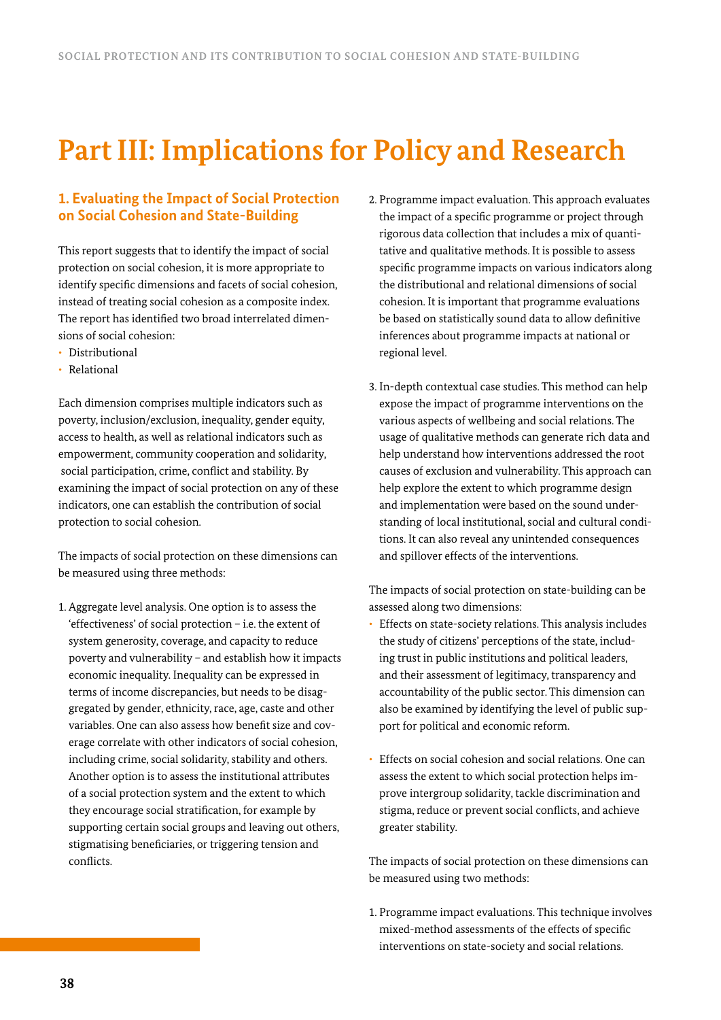# **Part III: Implications for Policy and Research**

# **1. Evaluating the Impact of Social Protection on Social Cohesion and State-Building**

This report suggests that to identify the impact of social protection on social cohesion, it is more appropriate to identify specific dimensions and facets of social cohesion, instead of treating social cohesion as a composite index. The report has identified two broad interrelated dimensions of social cohesion:

- Distributional
- Relational

Each dimension comprises multiple indicators such as poverty, inclusion/exclusion, inequality, gender equity, access to health, as well as relational indicators such as empowerment, community cooperation and solidarity, social participation, crime, conflict and stability. By examining the impact of social protection on any of these indicators, one can establish the contribution of social protection to social cohesion.

The impacts of social protection on these dimensions can be measured using three methods:

1. Aggregate level analysis. One option is to assess the 'effectiveness' of social protection – i.e. the extent of system generosity, coverage, and capacity to reduce poverty and vulnerability – and establish how it impacts economic inequality. Inequality can be expressed in terms of income discrepancies, but needs to be disaggregated by gender, ethnicity, race, age, caste and other variables. One can also assess how benefit size and coverage correlate with other indicators of social cohesion, including crime, social solidarity, stability and others. Another option is to assess the institutional attributes of a social protection system and the extent to which they encourage social stratification, for example by supporting certain social groups and leaving out others, stigmatising beneficiaries, or triggering tension and conflicts.

- 2. Programme impact evaluation. This approach evaluates the impact of a specific programme or project through rigorous data collection that includes a mix of quantitative and qualitative methods. It is possible to assess specific programme impacts on various indicators along the distributional and relational dimensions of social cohesion. It is important that programme evaluations be based on statistically sound data to allow definitive inferences about programme impacts at national or regional level.
- 3. In-depth contextual case studies. This method can help expose the impact of programme interventions on the various aspects of wellbeing and social relations. The usage of qualitative methods can generate rich data and help understand how interventions addressed the root causes of exclusion and vulnerability. This approach can help explore the extent to which programme design and implementation were based on the sound understanding of local institutional, social and cultural conditions. It can also reveal any unintended consequences and spillover effects of the interventions.

The impacts of social protection on state-building can be assessed along two dimensions:

- Effects on state-society relations. This analysis includes the study of citizens' perceptions of the state, including trust in public institutions and political leaders, and their assessment of legitimacy, transparency and accountability of the public sector. This dimension can also be examined by identifying the level of public support for political and economic reform.
- Effects on social cohesion and social relations. One can assess the extent to which social protection helps improve intergroup solidarity, tackle discrimination and stigma, reduce or prevent social conflicts, and achieve greater stability.

The impacts of social protection on these dimensions can be measured using two methods:

1. Programme impact evaluations. This technique involves mixed-method assessments of the effects of specific interventions on state-society and social relations.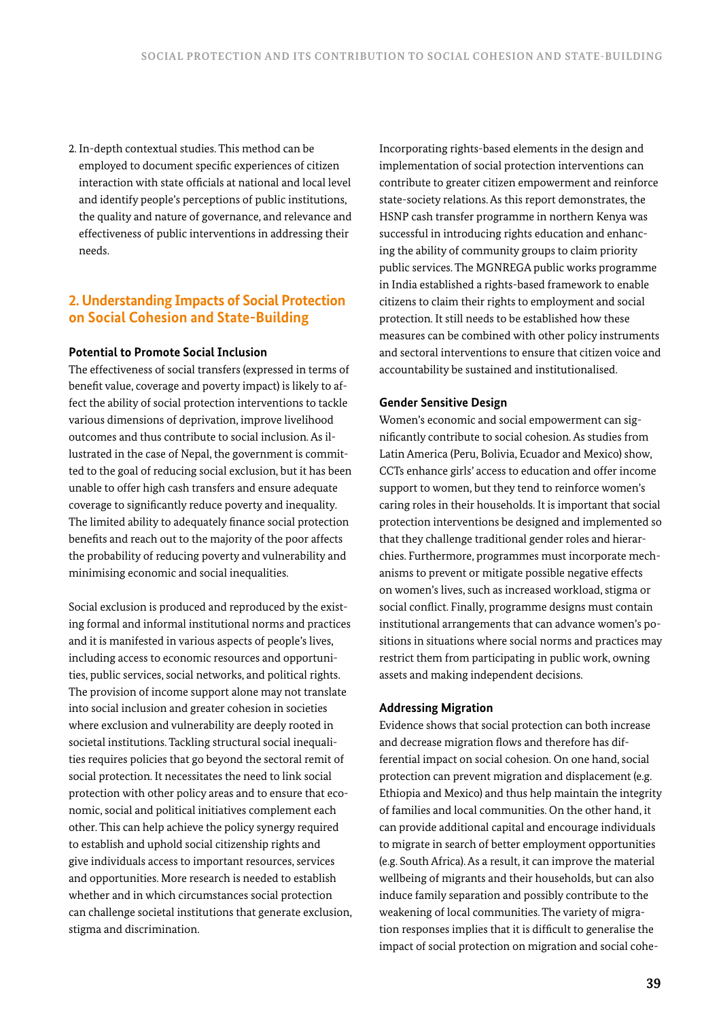2. In-depth contextual studies. This method can be employed to document specific experiences of citizen interaction with state officials at national and local level and identify people's perceptions of public institutions, the quality and nature of governance, and relevance and effectiveness of public interventions in addressing their needs.

# **2. Understanding Impacts of Social Protection on Social Cohesion and State-Building**

## **Potential to Promote Social Inclusion**

The effectiveness of social transfers (expressed in terms of benefit value, coverage and poverty impact) is likely to affect the ability of social protection interventions to tackle various dimensions of deprivation, improve livelihood outcomes and thus contribute to social inclusion. As illustrated in the case of Nepal, the government is committed to the goal of reducing social exclusion, but it has been unable to offer high cash transfers and ensure adequate coverage to significantly reduce poverty and inequality. The limited ability to adequately finance social protection benefits and reach out to the majority of the poor affects the probability of reducing poverty and vulnerability and minimising economic and social inequalities.

Social exclusion is produced and reproduced by the existing formal and informal institutional norms and practices and it is manifested in various aspects of people's lives, including access to economic resources and opportunities, public services, social networks, and political rights. The provision of income support alone may not translate into social inclusion and greater cohesion in societies where exclusion and vulnerability are deeply rooted in societal institutions. Tackling structural social inequalities requires policies that go beyond the sectoral remit of social protection. It necessitates the need to link social protection with other policy areas and to ensure that economic, social and political initiatives complement each other. This can help achieve the policy synergy required to establish and uphold social citizenship rights and give individuals access to important resources, services and opportunities. More research is needed to establish whether and in which circumstances social protection can challenge societal institutions that generate exclusion, stigma and discrimination.

Incorporating rights-based elements in the design and implementation of social protection interventions can contribute to greater citizen empowerment and reinforce state-society relations. As this report demonstrates, the HSNP cash transfer programme in northern Kenya was successful in introducing rights education and enhancing the ability of community groups to claim priority public services. The MGNREGA public works programme in India established a rights-based framework to enable citizens to claim their rights to employment and social protection. It still needs to be established how these measures can be combined with other policy instruments and sectoral interventions to ensure that citizen voice and accountability be sustained and institutionalised.

### **Gender Sensitive Design**

Women's economic and social empowerment can significantly contribute to social cohesion. As studies from Latin America (Peru, Bolivia, Ecuador and Mexico) show, CCTs enhance girls' access to education and offer income support to women, but they tend to reinforce women's caring roles in their households. It is important that social protection interventions be designed and implemented so that they challenge traditional gender roles and hierarchies. Furthermore, programmes must incorporate mechanisms to prevent or mitigate possible negative effects on women's lives, such as increased workload, stigma or social conflict. Finally, programme designs must contain institutional arrangements that can advance women's positions in situations where social norms and practices may restrict them from participating in public work, owning assets and making independent decisions.

## **Addressing Migration**

Evidence shows that social protection can both increase and decrease migration flows and therefore has differential impact on social cohesion. On one hand, social protection can prevent migration and displacement (e.g. Ethiopia and Mexico) and thus help maintain the integrity of families and local communities. On the other hand, it can provide additional capital and encourage individuals to migrate in search of better employment opportunities (e.g. South Africa). As a result, it can improve the material wellbeing of migrants and their households, but can also induce family separation and possibly contribute to the weakening of local communities. The variety of migration responses implies that it is difficult to generalise the impact of social protection on migration and social cohe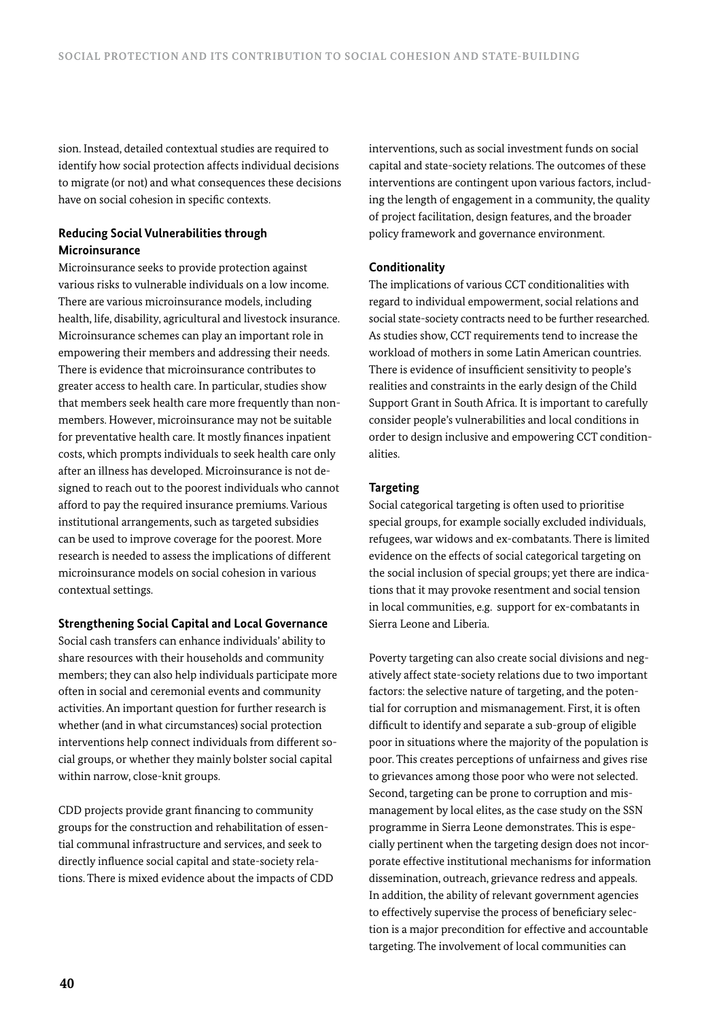sion. Instead, detailed contextual studies are required to identify how social protection affects individual decisions to migrate (or not) and what consequences these decisions have on social cohesion in specific contexts.

## **Reducing Social Vulnerabilities through Microinsurance**

Microinsurance seeks to provide protection against various risks to vulnerable individuals on a low income. There are various microinsurance models, including health, life, disability, agricultural and livestock insurance. Microinsurance schemes can play an important role in empowering their members and addressing their needs. There is evidence that microinsurance contributes to greater access to health care. In particular, studies show that members seek health care more frequently than nonmembers. However, microinsurance may not be suitable for preventative health care. It mostly finances inpatient costs, which prompts individuals to seek health care only after an illness has developed. Microinsurance is not designed to reach out to the poorest individuals who cannot afford to pay the required insurance premiums. Various institutional arrangements, such as targeted subsidies can be used to improve coverage for the poorest. More research is needed to assess the implications of different microinsurance models on social cohesion in various contextual settings.

### **Strengthening Social Capital and Local Governance**

Social cash transfers can enhance individuals' ability to share resources with their households and community members; they can also help individuals participate more often in social and ceremonial events and community activities. An important question for further research is whether (and in what circumstances) social protection interventions help connect individuals from different social groups, or whether they mainly bolster social capital within narrow, close-knit groups.

CDD projects provide grant financing to community groups for the construction and rehabilitation of essential communal infrastructure and services, and seek to directly influence social capital and state-society relations. There is mixed evidence about the impacts of CDD interventions, such as social investment funds on social capital and state-society relations. The outcomes of these interventions are contingent upon various factors, including the length of engagement in a community, the quality of project facilitation, design features, and the broader policy framework and governance environment.

### **Conditionality**

The implications of various CCT conditionalities with regard to individual empowerment, social relations and social state-society contracts need to be further researched. As studies show, CCT requirements tend to increase the workload of mothers in some Latin American countries. There is evidence of insufficient sensitivity to people's realities and constraints in the early design of the Child Support Grant in South Africa. It is important to carefully consider people's vulnerabilities and local conditions in order to design inclusive and empowering CCT conditionalities.

#### **Targeting**

Social categorical targeting is often used to prioritise special groups, for example socially excluded individuals, refugees, war widows and ex-combatants. There is limited evidence on the effects of social categorical targeting on the social inclusion of special groups; yet there are indications that it may provoke resentment and social tension in local communities, e.g. support for ex-combatants in Sierra Leone and Liberia.

Poverty targeting can also create social divisions and negatively affect state-society relations due to two important factors: the selective nature of targeting, and the potential for corruption and mismanagement. First, it is often difficult to identify and separate a sub-group of eligible poor in situations where the majority of the population is poor. This creates perceptions of unfairness and gives rise to grievances among those poor who were not selected. Second, targeting can be prone to corruption and mismanagement by local elites, as the case study on the SSN programme in Sierra Leone demonstrates. This is especially pertinent when the targeting design does not incorporate effective institutional mechanisms for information dissemination, outreach, grievance redress and appeals. In addition, the ability of relevant government agencies to effectively supervise the process of beneficiary selection is a major precondition for effective and accountable targeting. The involvement of local communities can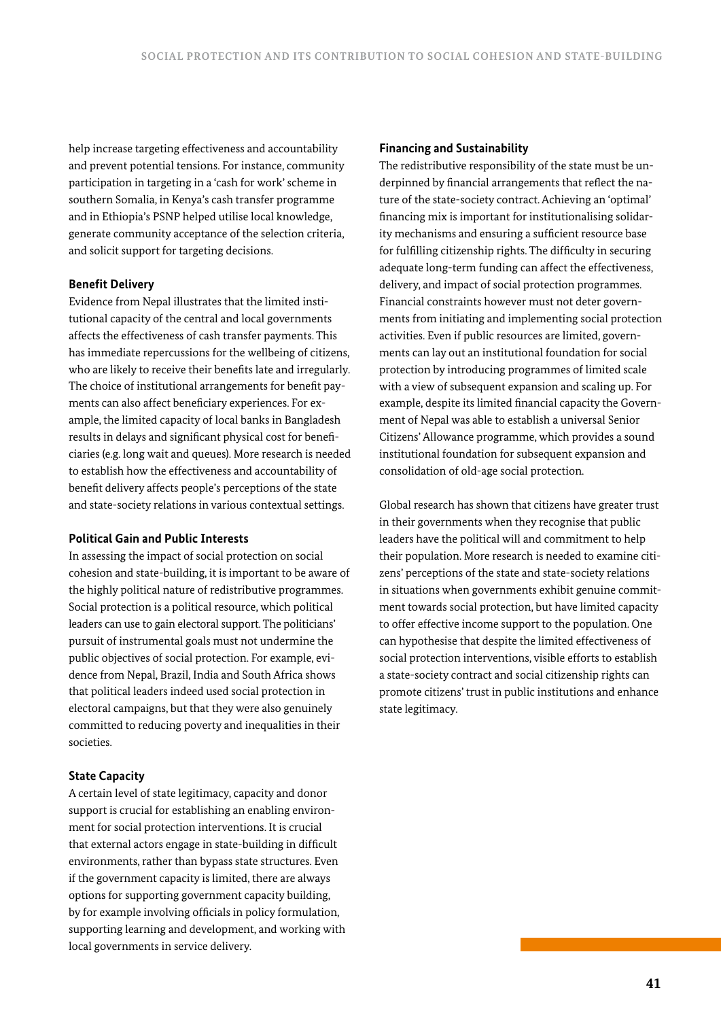help increase targeting effectiveness and accountability and prevent potential tensions. For instance, community participation in targeting in a 'cash for work' scheme in southern Somalia, in Kenya's cash transfer programme and in Ethiopia's PSNP helped utilise local knowledge, generate community acceptance of the selection criteria, and solicit support for targeting decisions.

### **Benefit Delivery**

Evidence from Nepal illustrates that the limited institutional capacity of the central and local governments affects the effectiveness of cash transfer payments. This has immediate repercussions for the wellbeing of citizens, who are likely to receive their benefits late and irregularly. The choice of institutional arrangements for benefit payments can also affect beneficiary experiences. For example, the limited capacity of local banks in Bangladesh results in delays and significant physical cost for beneficiaries (e.g. long wait and queues). More research is needed to establish how the effectiveness and accountability of benefit delivery affects people's perceptions of the state and state-society relations in various contextual settings.

#### **Political Gain and Public Interests**

In assessing the impact of social protection on social cohesion and state-building, it is important to be aware of the highly political nature of redistributive programmes. Social protection is a political resource, which political leaders can use to gain electoral support. The politicians' pursuit of instrumental goals must not undermine the public objectives of social protection. For example, evidence from Nepal, Brazil, India and South Africa shows that political leaders indeed used social protection in electoral campaigns, but that they were also genuinely committed to reducing poverty and inequalities in their societies.

## **State Capacity**

A certain level of state legitimacy, capacity and donor support is crucial for establishing an enabling environment for social protection interventions. It is crucial that external actors engage in state-building in difficult environments, rather than bypass state structures. Even if the government capacity is limited, there are always options for supporting government capacity building, by for example involving officials in policy formulation, supporting learning and development, and working with local governments in service delivery.

#### **Financing and Sustainability**

The redistributive responsibility of the state must be underpinned by financial arrangements that reflect the nature of the state-society contract. Achieving an 'optimal' financing mix is important for institutionalising solidarity mechanisms and ensuring a sufficient resource base for fulfilling citizenship rights. The difficulty in securing adequate long-term funding can affect the effectiveness, delivery, and impact of social protection programmes. Financial constraints however must not deter governments from initiating and implementing social protection activities. Even if public resources are limited, governments can lay out an institutional foundation for social protection by introducing programmes of limited scale with a view of subsequent expansion and scaling up. For example, despite its limited financial capacity the Government of Nepal was able to establish a universal Senior Citizens' Allowance programme, which provides a sound institutional foundation for subsequent expansion and consolidation of old-age social protection.

Global research has shown that citizens have greater trust in their governments when they recognise that public leaders have the political will and commitment to help their population. More research is needed to examine citizens' perceptions of the state and state-society relations in situations when governments exhibit genuine commitment towards social protection, but have limited capacity to offer effective income support to the population. One can hypothesise that despite the limited effectiveness of social protection interventions, visible efforts to establish a state-society contract and social citizenship rights can promote citizens' trust in public institutions and enhance state legitimacy.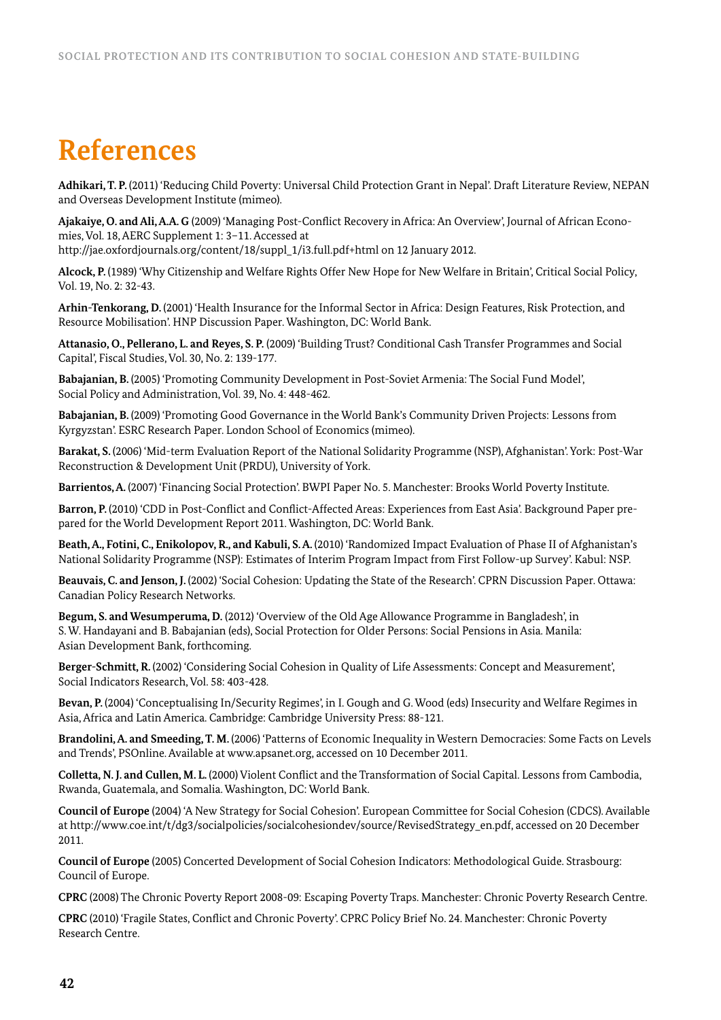# **References**

**Adhikari, T. P.** (2011) 'Reducing Child Poverty: Universal Child Protection Grant in Nepal'. Draft Literature Review, NEPAN and Overseas Development Institute (mimeo).

**Ajakaiye, O. and Ali, A.A. G** (2009) 'Managing Post-Conflict Recovery in Africa: An Overview', Journal of African Economies, Vol. 18, AERC Supplement 1: 3–11. Accessed at

http://jae.oxfordjournals.org/content/18/suppl\_1/i3.full.pdf+html on 12 January 2012.

**Alcock, P.** (1989) 'Why Citizenship and Welfare Rights Offer New Hope for New Welfare in Britain', Critical Social Policy, Vol. 19, No. 2: 32-43.

**Arhin-Tenkorang, D.** (2001) 'Health Insurance for the Informal Sector in Africa: Design Features, Risk Protection, and Resource Mobilisation'. HNP Discussion Paper. Washington, DC: World Bank.

**Attanasio, O., Pellerano, L. and Reyes, S. P.** (2009) 'Building Trust? Conditional Cash Transfer Programmes and Social Capital', Fiscal Studies, Vol. 30, No. 2: 139-177.

**Babajanian, B.** (2005) 'Promoting Community Development in Post-Soviet Armenia: The Social Fund Model', Social Policy and Administration, Vol. 39, No. 4: 448-462.

**Babajanian, B.** (2009) 'Promoting Good Governance in the World Bank's Community Driven Projects: Lessons from Kyrgyzstan'. ESRC Research Paper. London School of Economics (mimeo).

**Barakat, S.** (2006) 'Mid-term Evaluation Report of the National Solidarity Programme (NSP), Afghanistan'. York: Post-War Reconstruction & Development Unit (PRDU), University of York.

**Barrientos, A.** (2007) 'Financing Social Protection'. BWPI Paper No. 5. Manchester: Brooks World Poverty Institute.

**Barron, P.** (2010) 'CDD in Post-Conflict and Conflict-Affected Areas: Experiences from East Asia'. Background Paper prepared for the World Development Report 2011. Washington, DC: World Bank.

Beath, A., Fotini, C., Enikolopov, R., and Kabuli, S.A. (2010) 'Randomized Impact Evaluation of Phase II of Afghanistan's National Solidarity Programme (NSP): Estimates of Interim Program Impact from First Follow-up Survey'. Kabul: NSP.

**Beauvais, C. and Jenson, J.** (2002) 'Social Cohesion: Updating the State of the Research'. CPRN Discussion Paper. Ottawa: Canadian Policy Research Networks.

**Begum, S. and Wesumperuma, D.** (2012) 'Overview of the Old Age Allowance Programme in Bangladesh', in S. W. Handayani and B. Babajanian (eds), Social Protection for Older Persons: Social Pensions in Asia. Manila: Asian Development Bank, forthcoming.

**Berger-Schmitt, R.** (2002) 'Considering Social Cohesion in Quality of Life Assessments: Concept and Measurement', Social Indicators Research, Vol. 58: 403-428.

**Bevan, P.** (2004) 'Conceptualising In/Security Regimes', in I. Gough and G. Wood (eds) Insecurity and Welfare Regimes in Asia, Africa and Latin America. Cambridge: Cambridge University Press: 88-121.

**Brandolini, A. and Smeeding, T. M.** (2006) 'Patterns of Economic Inequality in Western Democracies: Some Facts on Levels and Trends', PSOnline. Available at www.apsanet.org, accessed on 10 December 2011.

**Colletta, N. J. and Cullen, M. L.** (2000) Violent Conflict and the Transformation of Social Capital. Lessons from Cambodia, Rwanda, Guatemala, and Somalia. Washington, DC: World Bank.

**Council of Europe** (2004) 'A New Strategy for Social Cohesion'. European Committee for Social Cohesion (CDCS). Available at http://www.coe.int/t/dg3/socialpolicies/socialcohesiondev/source/RevisedStrategy\_en.pdf, accessed on 20 December 2011.

**Council of Europe** (2005) Concerted Development of Social Cohesion Indicators: Methodological Guide. Strasbourg: Council of Europe.

**CPRC** (2008) The Chronic Poverty Report 2008-09: Escaping Poverty Traps. Manchester: Chronic Poverty Research Centre.

**CPRC** (2010) 'Fragile States, Conflict and Chronic Poverty'. CPRC Policy Brief No. 24. Manchester: Chronic Poverty Research Centre.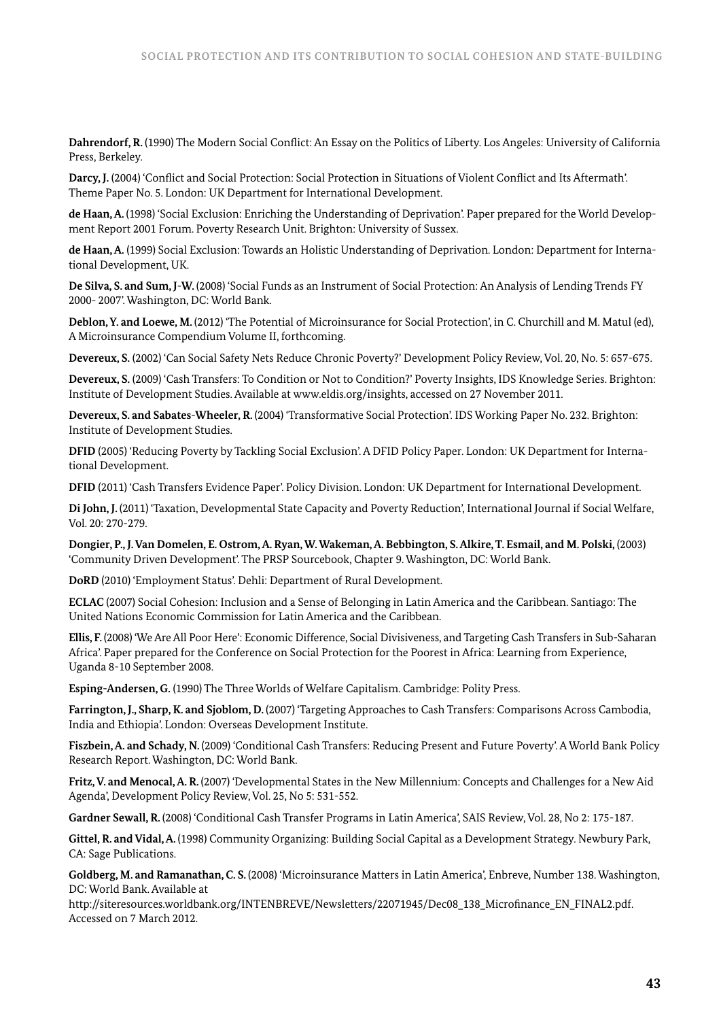**Dahrendorf, R.** (1990) The Modern Social Conflict: An Essay on the Politics of Liberty. Los Angeles: University of California Press, Berkeley.

**Darcy, J.** (2004) 'Conflict and Social Protection: Social Protection in Situations of Violent Conflict and Its Aftermath'. Theme Paper No. 5. London: UK Department for International Development.

**de Haan, A.** (1998) 'Social Exclusion: Enriching the Understanding of Deprivation'. Paper prepared for the World Development Report 2001 Forum. Poverty Research Unit. Brighton: University of Sussex.

**de Haan, A.** (1999) Social Exclusion: Towards an Holistic Understanding of Deprivation. London: Department for International Development, UK.

**De Silva, S. and Sum, J-W.** (2008) 'Social Funds as an Instrument of Social Protection: An Analysis of Lending Trends FY 2000- 2007'. Washington, DC: World Bank.

**Deblon, Y. and Loewe, M.** (2012) 'The Potential of Microinsurance for Social Protection', in C. Churchill and M. Matul (ed), A Microinsurance Compendium Volume II, forthcoming.

**Devereux, S.** (2002) 'Can Social Safety Nets Reduce Chronic Poverty?' Development Policy Review, Vol. 20, No. 5: 657-675.

**Devereux, S.** (2009) 'Cash Transfers: To Condition or Not to Condition?' Poverty Insights, IDS Knowledge Series. Brighton: Institute of Development Studies. Available at www.eldis.org/insights, accessed on 27 November 2011.

**Devereux, S. and Sabates-Wheeler, R.** (2004) 'Transformative Social Protection'. IDS Working Paper No. 232. Brighton: Institute of Development Studies.

**DFID** (2005) 'Reducing Poverty by Tackling Social Exclusion'. A DFID Policy Paper. London: UK Department for International Development.

**DFID** (2011) 'Cash Transfers Evidence Paper'. Policy Division. London: UK Department for International Development.

**Di John, J.** (2011) 'Taxation, Developmental State Capacity and Poverty Reduction', International Journal if Social Welfare, Vol. 20: 270-279.

Dongier, P., J. Van Domelen, E. Ostrom, A. Ryan, W. Wakeman, A. Bebbington, S. Alkire, T. Esmail, and M. Polski, (2003) 'Community Driven Development'. The PRSP Sourcebook, Chapter 9. Washington, DC: World Bank.

**DoRD** (2010) 'Employment Status'. Dehli: Department of Rural Development.

**ECLAC** (2007) Social Cohesion: Inclusion and a Sense of Belonging in Latin America and the Caribbean. Santiago: The United Nations Economic Commission for Latin America and the Caribbean.

**Ellis, F.** (2008) 'We Are All Poor Here': Economic Difference, Social Divisiveness, and Targeting Cash Transfers in Sub-Saharan Africa'. Paper prepared for the Conference on Social Protection for the Poorest in Africa: Learning from Experience, Uganda 8-10 September 2008.

**Esping-Andersen, G.** (1990) The Three Worlds of Welfare Capitalism. Cambridge: Polity Press.

**Farrington, J., Sharp, K. and Sjoblom, D.** (2007) 'Targeting Approaches to Cash Transfers: Comparisons Across Cambodia, India and Ethiopia'. London: Overseas Development Institute.

**Fiszbein, A. and Schady, N.** (2009) 'Conditional Cash Transfers: Reducing Present and Future Poverty'. A World Bank Policy Research Report. Washington, DC: World Bank.

**Fritz, V. and Menocal, A. R.** (2007) 'Developmental States in the New Millennium: Concepts and Challenges for a New Aid Agenda', Development Policy Review, Vol. 25, No 5: 531-552.

**Gardner Sewall, R.** (2008) 'Conditional Cash Transfer Programs in Latin America', SAIS Review, Vol. 28, No 2: 175-187.

**Gittel, R. and Vidal, A.** (1998) Community Organizing: Building Social Capital as a Development Strategy. Newbury Park, CA: Sage Publications.

**Goldberg, M. and Ramanathan, C. S.** (2008) 'Microinsurance Matters in Latin America', Enbreve, Number 138. Washington, DC: World Bank. Available at

http://siteresources.worldbank.org/INTENBREVE/Newsletters/22071945/Dec08\_138\_Microfinance\_EN\_FINAL2.pdf. Accessed on 7 March 2012.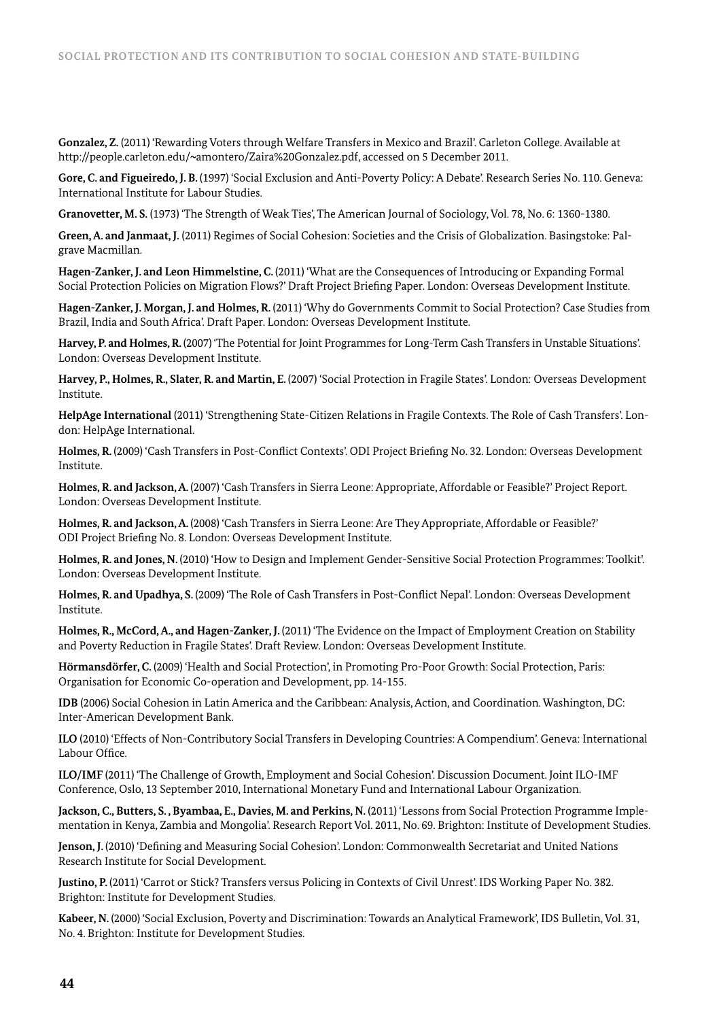**Gonzalez, Z.** (2011) 'Rewarding Voters through Welfare Transfers in Mexico and Brazil'. Carleton College. Available at http://people.carleton.edu/~amontero/Zaira%20Gonzalez.pdf, accessed on 5 December 2011.

**Gore, C. and Figueiredo, J. B.** (1997) 'Social Exclusion and Anti-Poverty Policy: A Debate'. Research Series No. 110. Geneva: International Institute for Labour Studies.

**Granovetter, M. S.** (1973) 'The Strength of Weak Ties', The American Journal of Sociology, Vol. 78, No. 6: 1360-1380.

**Green, A. and Janmaat, J.** (2011) Regimes of Social Cohesion: Societies and the Crisis of Globalization. Basingstoke: Palgrave Macmillan.

**Hagen-Zanker, J. and Leon Himmelstine, C.** (2011) 'What are the Consequences of Introducing or Expanding Formal Social Protection Policies on Migration Flows?' Draft Project Briefing Paper. London: Overseas Development Institute.

**Hagen-Zanker, J. Morgan, J. and Holmes, R.** (2011) 'Why do Governments Commit to Social Protection? Case Studies from Brazil, India and South Africa'. Draft Paper. London: Overseas Development Institute.

**Harvey, P. and Holmes, R.** (2007) 'The Potential for Joint Programmes for Long-Term Cash Transfers in Unstable Situations'. London: Overseas Development Institute.

**Harvey, P., Holmes, R., Slater, R. and Martin, E.** (2007) 'Social Protection in Fragile States'. London: Overseas Development Institute.

**HelpAge International** (2011) 'Strengthening State-Citizen Relations in Fragile Contexts. The Role of Cash Transfers'. London: HelpAge International.

**Holmes, R.** (2009) 'Cash Transfers in Post-Conflict Contexts'. ODI Project Briefing No. 32. London: Overseas Development Institute.

**Holmes, R. and Jackson, A.** (2007) 'Cash Transfers in Sierra Leone: Appropriate, Affordable or Feasible?' Project Report. London: Overseas Development Institute.

**Holmes, R. and Jackson, A.** (2008) 'Cash Transfers in Sierra Leone: Are They Appropriate, Affordable or Feasible?' ODI Project Briefing No. 8. London: Overseas Development Institute.

**Holmes, R. and Jones, N.** (2010) 'How to Design and Implement Gender-Sensitive Social Protection Programmes: Toolkit'. London: Overseas Development Institute.

**Holmes, R. and Upadhya, S.** (2009) 'The Role of Cash Transfers in Post-Conflict Nepal'. London: Overseas Development Institute.

**Holmes, R., McCord, A., and Hagen-Zanker, J.** (2011) 'The Evidence on the Impact of Employment Creation on Stability and Poverty Reduction in Fragile States'. Draft Review. London: Overseas Development Institute.

**Hörmansdörfer, C.** (2009) 'Health and Social Protection', in Promoting Pro-Poor Growth: Social Protection, Paris: Organisation for Economic Co-operation and Development, pp. 14-155.

**IDB** (2006) Social Cohesion in Latin America and the Caribbean: Analysis, Action, and Coordination. Washington, DC: Inter-American Development Bank.

**ILO** (2010) 'Effects of Non-Contributory Social Transfers in Developing Countries: A Compendium'. Geneva: International Labour Office.

**ILO/IMF** (2011) 'The Challenge of Growth, Employment and Social Cohesion'. Discussion Document. Joint ILO-IMF Conference, Oslo, 13 September 2010, International Monetary Fund and International Labour Organization.

Jackson, C., Butters, S., Byambaa, E., Davies, M. and Perkins, N. (2011) 'Lessons from Social Protection Programme Implementation in Kenya, Zambia and Mongolia'. Research Report Vol. 2011, No. 69. Brighton: Institute of Development Studies.

**Jenson, J.** (2010) 'Defining and Measuring Social Cohesion'. London: Commonwealth Secretariat and United Nations Research Institute for Social Development.

**Justino, P.** (2011) 'Carrot or Stick? Transfers versus Policing in Contexts of Civil Unrest'. IDS Working Paper No. 382. Brighton: Institute for Development Studies.

**Kabeer, N.** (2000) 'Social Exclusion, Poverty and Discrimination: Towards an Analytical Framework', IDS Bulletin, Vol. 31, No. 4. Brighton: Institute for Development Studies.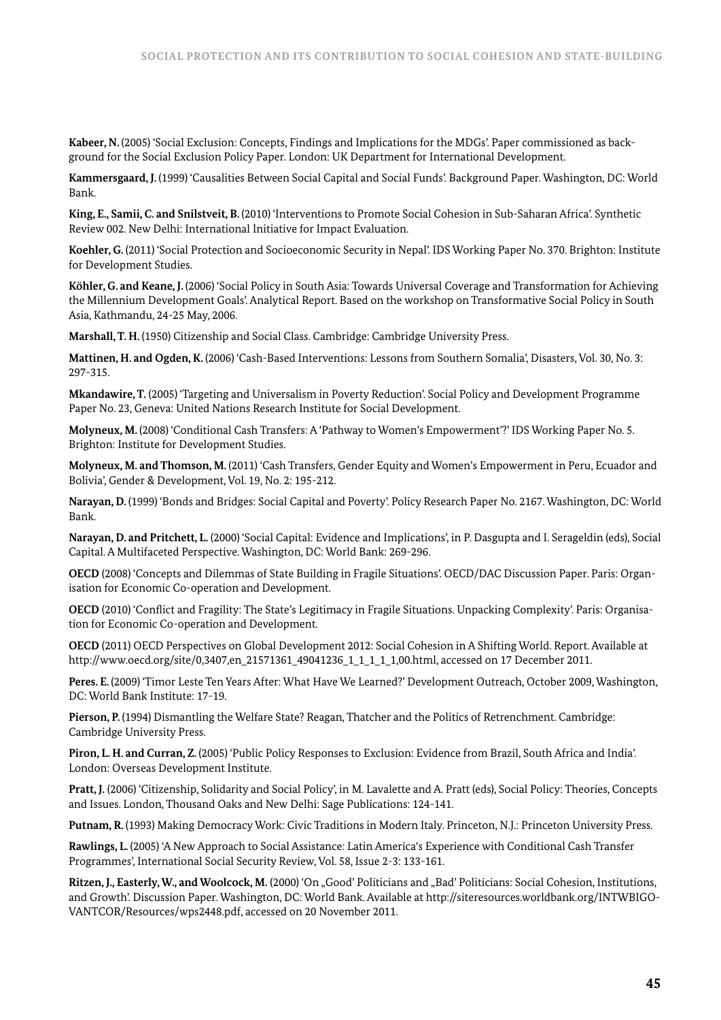**Kabeer, N.** (2005) 'Social Exclusion: Concepts, Findings and Implications for the MDGs'. Paper commissioned as background for the Social Exclusion Policy Paper. London: UK Department for International Development.

**Kammersgaard, J.** (1999) 'Causalities Between Social Capital and Social Funds'. Background Paper. Washington, DC: World Bank.

**King, E., Samii, C. and Snilstveit, B.** (2010) 'Interventions to Promote Social Cohesion in Sub-Saharan Africa'. Synthetic Review 002. New Delhi: International Initiative for Impact Evaluation.

**Koehler, G.** (2011) 'Social Protection and Socioeconomic Security in Nepal'. IDS Working Paper No. 370. Brighton: Institute for Development Studies.

**Köhler, G. and Keane, J.** (2006) 'Social Policy in South Asia: Towards Universal Coverage and Transformation for Achieving the Millennium Development Goals'. Analytical Report. Based on the workshop on Transformative Social Policy in South Asia, Kathmandu, 24-25 May, 2006.

**Marshall, T. H.** (1950) Citizenship and Social Class. Cambridge: Cambridge University Press.

**Mattinen, H. and Ogden, K.** (2006) 'Cash-Based Interventions: Lessons from Southern Somalia', Disasters, Vol. 30, No. 3: 297-315.

**Mkandawire, T.** (2005) 'Targeting and Universalism in Poverty Reduction'. Social Policy and Development Programme Paper No. 23, Geneva: United Nations Research Institute for Social Development.

**Molyneux, M.** (2008) 'Conditional Cash Transfers: A 'Pathway to Women's Empowerment'?' IDS Working Paper No. 5. Brighton: Institute for Development Studies.

**Molyneux, M. and Thomson, M.** (2011) 'Cash Transfers, Gender Equity and Women's Empowerment in Peru, Ecuador and Bolivia', Gender & Development, Vol. 19, No. 2: 195-212.

**Narayan, D.** (1999) 'Bonds and Bridges: Social Capital and Poverty'. Policy Research Paper No. 2167. Washington, DC: World Bank.

**Narayan, D. and Pritchett, L.** (2000) 'Social Capital: Evidence and Implications', in P. Dasgupta and I. Serageldin (eds), Social Capital. A Multifaceted Perspective. Washington, DC: World Bank: 269-296.

**OECD** (2008) 'Concepts and Dilemmas of State Building in Fragile Situations'. OECD/DAC Discussion Paper. Paris: Organisation for Economic Co-operation and Development.

**OECD** (2010) 'Conflict and Fragility: The State's Legitimacy in Fragile Situations. Unpacking Complexity'. Paris: Organisation for Economic Co-operation and Development.

**OECD** (2011) OECD Perspectives on Global Development 2012: Social Cohesion in A Shifting World. Report. Available at http://www.oecd.org/site/0,3407,en\_21571361\_49041236\_1\_1\_1\_1\_1,00.html, accessed on 17 December 2011.

Peres. E. (2009) 'Timor Leste Ten Years After: What Have We Learned?' Development Outreach, October 2009, Washington, DC: World Bank Institute: 17-19.

**Pierson, P.** (1994) Dismantling the Welfare State? Reagan, Thatcher and the Politics of Retrenchment. Cambridge: Cambridge University Press.

**Piron, L. H. and Curran, Z.** (2005) 'Public Policy Responses to Exclusion: Evidence from Brazil, South Africa and India'. London: Overseas Development Institute.

**Pratt, J.** (2006) 'Citizenship, Solidarity and Social Policy', in M. Lavalette and A. Pratt (eds), Social Policy: Theories, Concepts and Issues. London, Thousand Oaks and New Delhi: Sage Publications: 124-141.

**Putnam, R.** (1993) Making Democracy Work: Civic Traditions in Modern Italy. Princeton, N.J.: Princeton University Press.

**Rawlings, L.** (2005) 'A New Approach to Social Assistance: Latin America's Experience with Conditional Cash Transfer Programmes', International Social Security Review, Vol. 58, Issue 2-3: 133-161.

Ritzen, J., Easterly, W., and Woolcock, M. (2000) 'On "Good' Politicians and "Bad' Politicians: Social Cohesion, Institutions, and Growth'. Discussion Paper. Washington, DC: World Bank. Available at http://siteresources.worldbank.org/INTWBIGO-VANTCOR/Resources/wps2448.pdf, accessed on 20 November 2011.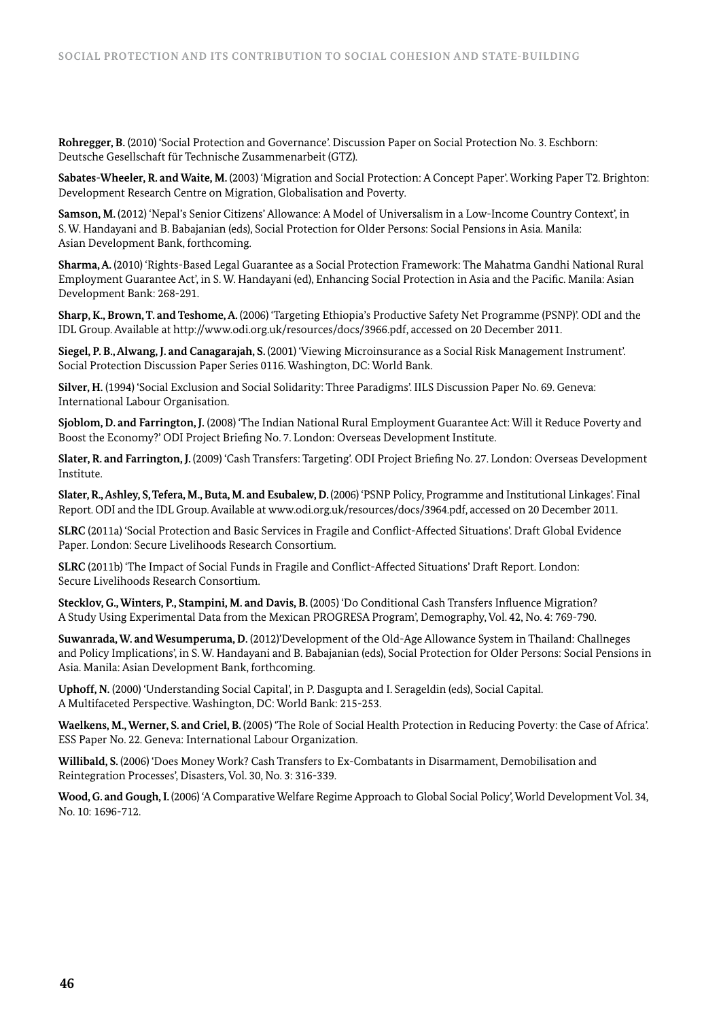**Rohregger, B.** (2010) 'Social Protection and Governance'. Discussion Paper on Social Protection No. 3. Eschborn: Deutsche Gesellschaft für Technische Zusammenarbeit (GTZ).

**Sabates-Wheeler, R. and Waite, M.** (2003) 'Migration and Social Protection: A Concept Paper'. Working Paper T2. Brighton: Development Research Centre on Migration, Globalisation and Poverty.

**Samson, M.** (2012) 'Nepal's Senior Citizens' Allowance: A Model of Universalism in a Low-Income Country Context', in S. W. Handayani and B. Babajanian (eds), Social Protection for Older Persons: Social Pensions in Asia. Manila: Asian Development Bank, forthcoming.

**Sharma, A.** (2010) 'Rights-Based Legal Guarantee as a Social Protection Framework: The Mahatma Gandhi National Rural Employment Guarantee Act', in S. W. Handayani (ed), Enhancing Social Protection in Asia and the Pacific. Manila: Asian Development Bank: 268-291.

**Sharp, K., Brown, T. and Teshome, A.** (2006) 'Targeting Ethiopia's Productive Safety Net Programme (PSNP)'. ODI and the IDL Group. Available at http://www.odi.org.uk/resources/docs/3966.pdf, accessed on 20 December 2011.

**Siegel, P. B., Alwang, J. and Canagarajah, S.** (2001) 'Viewing Microinsurance as a Social Risk Management Instrument'. Social Protection Discussion Paper Series 0116. Washington, DC: World Bank.

**Silver, H.** (1994) 'Social Exclusion and Social Solidarity: Three Paradigms'. IILS Discussion Paper No. 69. Geneva: International Labour Organisation.

**Sjoblom, D. and Farrington, J.** (2008) 'The Indian National Rural Employment Guarantee Act: Will it Reduce Poverty and Boost the Economy?' ODI Project Briefing No. 7. London: Overseas Development Institute.

**Slater, R. and Farrington, J.** (2009) 'Cash Transfers: Targeting'. ODI Project Briefing No. 27. London: Overseas Development Institute.

**Slater, R., Ashley, S, Tefera, M., Buta, M. and Esubalew, D.** (2006) 'PSNP Policy, Programme and Institutional Linkages'. Final Report. ODI and the IDL Group. Available at www.odi.org.uk/resources/docs/3964.pdf, accessed on 20 December 2011.

**SLRC** (2011a) 'Social Protection and Basic Services in Fragile and Conflict-Affected Situations'. Draft Global Evidence Paper. London: Secure Livelihoods Research Consortium.

**SLRC** (2011b) 'The Impact of Social Funds in Fragile and Conflict-Affected Situations' Draft Report. London: Secure Livelihoods Research Consortium.

**Stecklov, G., Winters, P., Stampini, M. and Davis, B.** (2005) 'Do Conditional Cash Transfers Influence Migration? A Study Using Experimental Data from the Mexican PROGRESA Program', Demography, Vol. 42, No. 4: 769-790.

**Suwanrada, W. and Wesumperuma, D.** (2012)'Development of the Old-Age Allowance System in Thailand: Challneges and Policy Implications', in S. W. Handayani and B. Babajanian (eds), Social Protection for Older Persons: Social Pensions in Asia. Manila: Asian Development Bank, forthcoming.

**Uphoff, N.** (2000) 'Understanding Social Capital', in P. Dasgupta and I. Serageldin (eds), Social Capital. A Multifaceted Perspective. Washington, DC: World Bank: 215-253.

**Waelkens, M., Werner, S. and Criel, B.** (2005) 'The Role of Social Health Protection in Reducing Poverty: the Case of Africa'. ESS Paper No. 22. Geneva: International Labour Organization.

**Willibald, S.** (2006) 'Does Money Work? Cash Transfers to Ex-Combatants in Disarmament, Demobilisation and Reintegration Processes', Disasters, Vol. 30, No. 3: 316-339.

**Wood, G. and Gough, I.** (2006) 'A Comparative Welfare Regime Approach to Global Social Policy', World Development Vol. 34, No. 10: 1696-712.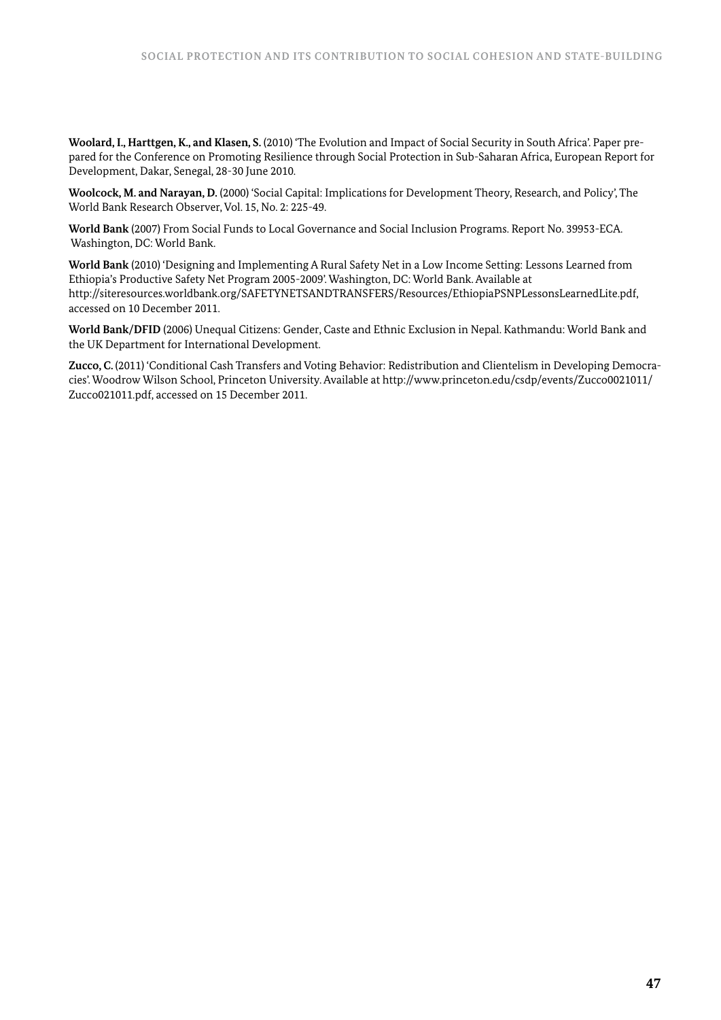**Woolard, I., Harttgen, K., and Klasen, S.** (2010) 'The Evolution and Impact of Social Security in South Africa'. Paper prepared for the Conference on Promoting Resilience through Social Protection in Sub-Saharan Africa, European Report for Development, Dakar, Senegal, 28-30 June 2010.

**Woolcock, M. and Narayan, D.** (2000) 'Social Capital: Implications for Development Theory, Research, and Policy', The World Bank Research Observer, Vol. 15, No. 2: 225-49.

**World Bank** (2007) From Social Funds to Local Governance and Social Inclusion Programs. Report No. 39953-ECA. Washington, DC: World Bank.

**World Bank** (2010) 'Designing and Implementing A Rural Safety Net in a Low Income Setting: Lessons Learned from Ethiopia's Productive Safety Net Program 2005-2009'. Washington, DC: World Bank. Available at http://siteresources.worldbank.org/SAFETYNETSANDTRANSFERS/Resources/EthiopiaPSNPLessonsLearnedLite.pdf, accessed on 10 December 2011.

**World Bank/DFID** (2006) Unequal Citizens: Gender, Caste and Ethnic Exclusion in Nepal. Kathmandu: World Bank and the UK Department for International Development.

**Zucco, C.** (2011) 'Conditional Cash Transfers and Voting Behavior: Redistribution and Clientelism in Developing Democracies'. Woodrow Wilson School, Princeton University. Available at http://www.princeton.edu/csdp/events/Zucco0021011/ Zucco021011.pdf, accessed on 15 December 2011.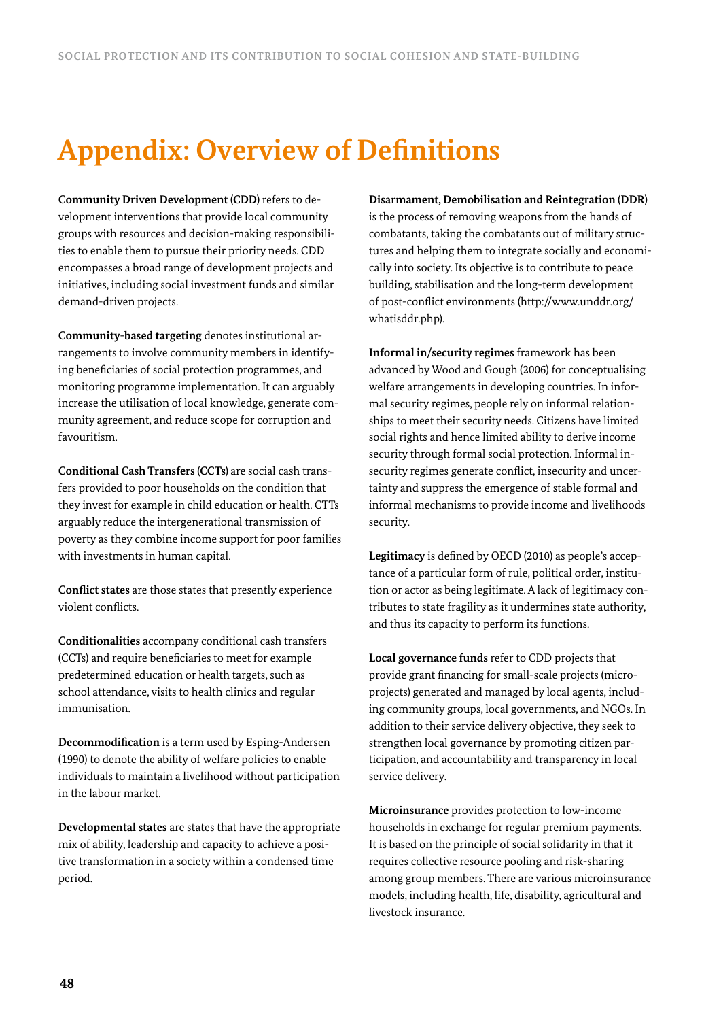# **Appendix: Overview of Definitions**

**Community Driven Development (CDD)** refers to development interventions that provide local community groups with resources and decision-making responsibilities to enable them to pursue their priority needs. CDD encompasses a broad range of development projects and initiatives, including social investment funds and similar demand-driven projects.

**Community-based targeting** denotes institutional arrangements to involve community members in identifying beneficiaries of social protection programmes, and monitoring programme implementation. It can arguably increase the utilisation of local knowledge, generate community agreement, and reduce scope for corruption and favouritism.

**Conditional Cash Transfers (CCTs)** are social cash transfers provided to poor households on the condition that they invest for example in child education or health. CTTs arguably reduce the intergenerational transmission of poverty as they combine income support for poor families with investments in human capital.

**Conflict states** are those states that presently experience violent conflicts.

**Conditionalities** accompany conditional cash transfers (CCTs) and require beneficiaries to meet for example predetermined education or health targets, such as school attendance, visits to health clinics and regular immunisation.

**Decommodification** is a term used by Esping-Andersen (1990) to denote the ability of welfare policies to enable individuals to maintain a livelihood without participation in the labour market.

**Developmental states** are states that have the appropriate mix of ability, leadership and capacity to achieve a positive transformation in a society within a condensed time period.

**Disarmament, Demobilisation and Reintegration (DDR)**  is the process of removing weapons from the hands of combatants, taking the combatants out of military structures and helping them to integrate socially and economically into society. Its objective is to contribute to peace building, stabilisation and the long-term development of post-conflict environments (http://www.unddr.org/ whatisddr.php).

**Informal in/security regimes** framework has been advanced by Wood and Gough (2006) for conceptualising welfare arrangements in developing countries. In informal security regimes, people rely on informal relationships to meet their security needs. Citizens have limited social rights and hence limited ability to derive income security through formal social protection. Informal insecurity regimes generate conflict, insecurity and uncertainty and suppress the emergence of stable formal and informal mechanisms to provide income and livelihoods security.

**Legitimacy** is defined by OECD (2010) as people's acceptance of a particular form of rule, political order, institution or actor as being legitimate. A lack of legitimacy contributes to state fragility as it undermines state authority, and thus its capacity to perform its functions.

**Local governance funds** refer to CDD projects that provide grant financing for small-scale projects (microprojects) generated and managed by local agents, including community groups, local governments, and NGOs. In addition to their service delivery objective, they seek to strengthen local governance by promoting citizen participation, and accountability and transparency in local service delivery.

**Microinsurance** provides protection to low-income households in exchange for regular premium payments. It is based on the principle of social solidarity in that it requires collective resource pooling and risk-sharing among group members. There are various microinsurance models, including health, life, disability, agricultural and livestock insurance.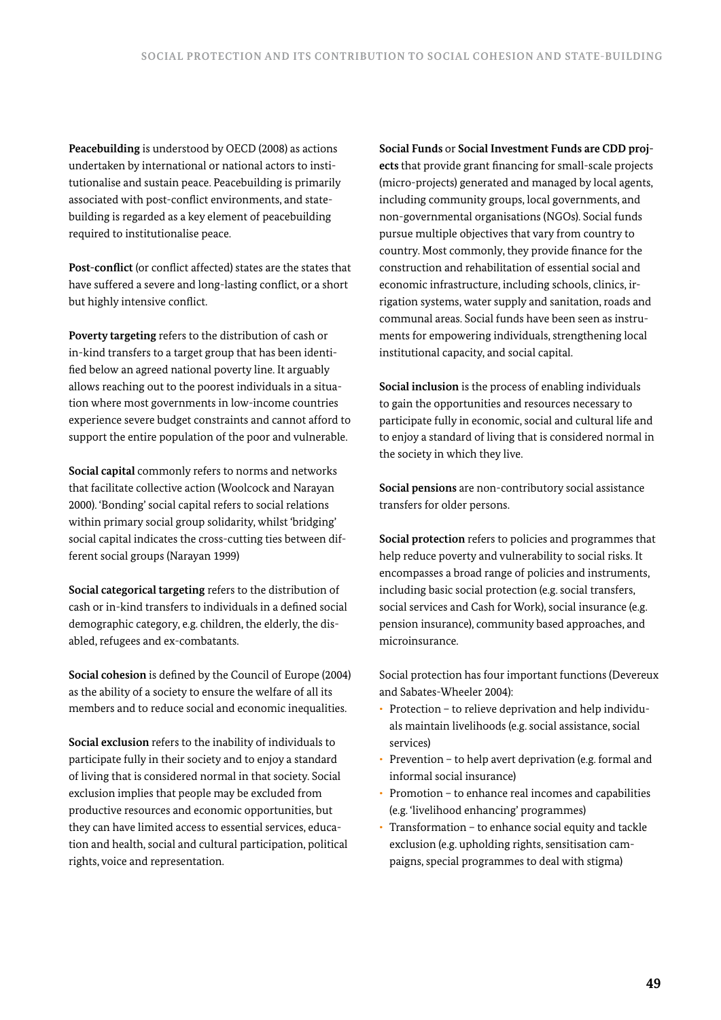**Peacebuilding** is understood by OECD (2008) as actions undertaken by international or national actors to institutionalise and sustain peace. Peacebuilding is primarily associated with post-conflict environments, and statebuilding is regarded as a key element of peacebuilding required to institutionalise peace.

**Post-conflict** (or conflict affected) states are the states that have suffered a severe and long-lasting conflict, or a short but highly intensive conflict.

**Poverty targeting** refers to the distribution of cash or in-kind transfers to a target group that has been identified below an agreed national poverty line. It arguably allows reaching out to the poorest individuals in a situation where most governments in low-income countries experience severe budget constraints and cannot afford to support the entire population of the poor and vulnerable.

**Social capital** commonly refers to norms and networks that facilitate collective action (Woolcock and Narayan 2000). 'Bonding' social capital refers to social relations within primary social group solidarity, whilst 'bridging' social capital indicates the cross-cutting ties between different social groups (Narayan 1999)

**Social categorical targeting** refers to the distribution of cash or in-kind transfers to individuals in a defined social demographic category, e.g. children, the elderly, the disabled, refugees and ex-combatants.

**Social cohesion** is defined by the Council of Europe (2004) as the ability of a society to ensure the welfare of all its members and to reduce social and economic inequalities.

**Social exclusion** refers to the inability of individuals to participate fully in their society and to enjoy a standard of living that is considered normal in that society. Social exclusion implies that people may be excluded from productive resources and economic opportunities, but they can have limited access to essential services, education and health, social and cultural participation, political rights, voice and representation.

**Social Funds** or **Social Investment Funds are CDD projects** that provide grant financing for small-scale projects (micro-projects) generated and managed by local agents, including community groups, local governments, and non-governmental organisations (NGOs). Social funds pursue multiple objectives that vary from country to country. Most commonly, they provide finance for the construction and rehabilitation of essential social and economic infrastructure, including schools, clinics, irrigation systems, water supply and sanitation, roads and communal areas. Social funds have been seen as instruments for empowering individuals, strengthening local institutional capacity, and social capital.

**Social inclusion** is the process of enabling individuals to gain the opportunities and resources necessary to participate fully in economic, social and cultural life and to enjoy a standard of living that is considered normal in the society in which they live.

**Social pensions** are non-contributory social assistance transfers for older persons.

**Social protection** refers to policies and programmes that help reduce poverty and vulnerability to social risks. It encompasses a broad range of policies and instruments, including basic social protection (e.g. social transfers, social services and Cash for Work), social insurance (e.g. pension insurance), community based approaches, and microinsurance.

Social protection has four important functions (Devereux and Sabates-Wheeler 2004):

- Protection to relieve deprivation and help individuals maintain livelihoods (e.g. social assistance, social services)
- Prevention to help avert deprivation (e.g. formal and informal social insurance)
- Promotion to enhance real incomes and capabilities (e.g. 'livelihood enhancing' programmes)
- Transformation to enhance social equity and tackle exclusion (e.g. upholding rights, sensitisation campaigns, special programmes to deal with stigma)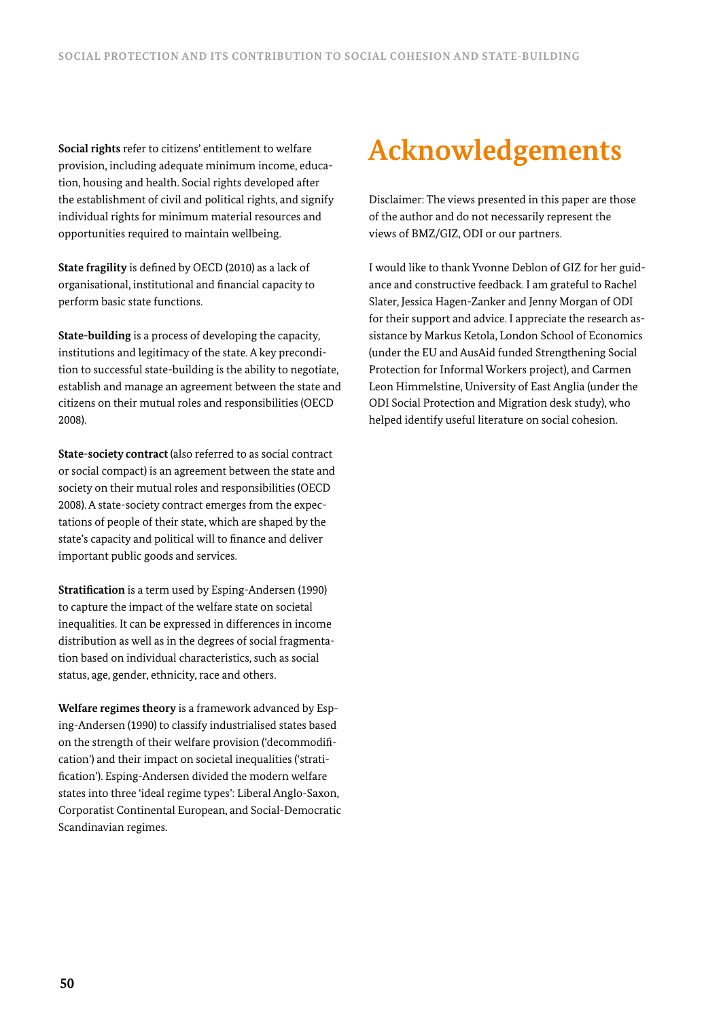**Social rights** refer to citizens' entitlement to welfare provision, including adequate minimum income, education, housing and health. Social rights developed after the establishment of civil and political rights, and signify individual rights for minimum material resources and opportunities required to maintain wellbeing.

**State fragility** is defined by OECD (2010) as a lack of organisational, institutional and financial capacity to perform basic state functions.

**State-building** is a process of developing the capacity, institutions and legitimacy of the state. A key precondition to successful state-building is the ability to negotiate, establish and manage an agreement between the state and citizens on their mutual roles and responsibilities (OECD 2008).

**State-society contract** (also referred to as social contract or social compact) is an agreement between the state and society on their mutual roles and responsibilities (OECD 2008). A state-society contract emerges from the expectations of people of their state, which are shaped by the state's capacity and political will to finance and deliver important public goods and services.

**Stratification** is a term used by Esping-Andersen (1990) to capture the impact of the welfare state on societal inequalities. It can be expressed in differences in income distribution as well as in the degrees of social fragmentation based on individual characteristics, such as social status, age, gender, ethnicity, race and others.

**Welfare regimes theory** is a framework advanced by Esping-Andersen (1990) to classify industrialised states based on the strength of their welfare provision ('decommodification') and their impact on societal inequalities ('stratification'). Esping-Andersen divided the modern welfare states into three 'ideal regime types': Liberal Anglo-Saxon, Corporatist Continental European, and Social-Democratic Scandinavian regimes.

# **Acknowledgements**

Disclaimer: The views presented in this paper are those of the author and do not necessarily represent the views of BMZ/GIZ, ODI or our partners.

I would like to thank Yvonne Deblon of GIZ for her guidance and constructive feedback. I am grateful to Rachel Slater, Jessica Hagen-Zanker and Jenny Morgan of ODI for their support and advice. I appreciate the research assistance by Markus Ketola, London School of Economics (under the EU and AusAid funded Strengthening Social Protection for Informal Workers project), and Carmen Leon Himmelstine, University of East Anglia (under the ODI Social Protection and Migration desk study), who helped identify useful literature on social cohesion.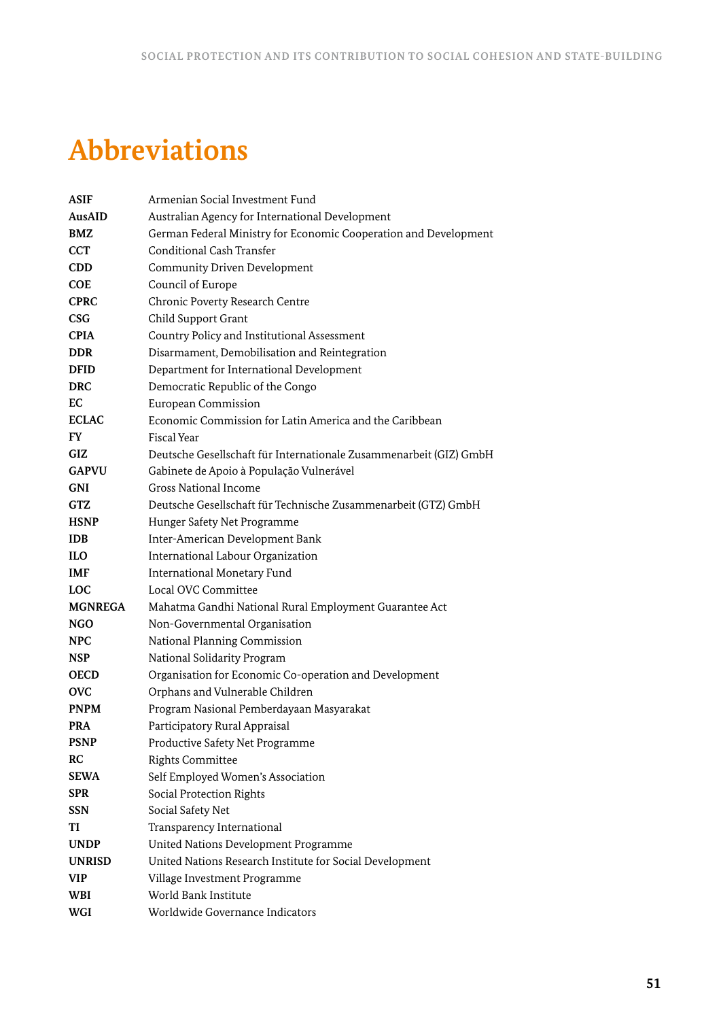# **Abbreviations**

| <b>ASIF</b>    | Armenian Social Investment Fund                                    |
|----------------|--------------------------------------------------------------------|
| AusAID         | Australian Agency for International Development                    |
| <b>BMZ</b>     | German Federal Ministry for Economic Cooperation and Development   |
| <b>CCT</b>     | Conditional Cash Transfer                                          |
| CDD            | <b>Community Driven Development</b>                                |
| COE            | Council of Europe                                                  |
| <b>CPRC</b>    | Chronic Poverty Research Centre                                    |
| CSG            | Child Support Grant                                                |
| <b>CPIA</b>    | Country Policy and Institutional Assessment                        |
| <b>DDR</b>     | Disarmament, Demobilisation and Reintegration                      |
| <b>DFID</b>    | Department for International Development                           |
| <b>DRC</b>     | Democratic Republic of the Congo                                   |
| EC             | European Commission                                                |
| <b>ECLAC</b>   | Economic Commission for Latin America and the Caribbean            |
| FY.            | <b>Fiscal Year</b>                                                 |
| <b>GIZ</b>     | Deutsche Gesellschaft für Internationale Zusammenarbeit (GIZ) GmbH |
| <b>GAPVU</b>   | Gabinete de Apoio à População Vulnerável                           |
| <b>GNI</b>     | <b>Gross National Income</b>                                       |
| GTZ            | Deutsche Gesellschaft für Technische Zusammenarbeit (GTZ) GmbH     |
| <b>HSNP</b>    | Hunger Safety Net Programme                                        |
| <b>IDB</b>     | Inter-American Development Bank                                    |
| <b>ILO</b>     | International Labour Organization                                  |
| <b>IMF</b>     | International Monetary Fund                                        |
| <b>LOC</b>     | Local OVC Committee                                                |
| <b>MGNREGA</b> | Mahatma Gandhi National Rural Employment Guarantee Act             |
| NGO            | Non-Governmental Organisation                                      |
| <b>NPC</b>     | National Planning Commission                                       |
| <b>NSP</b>     | National Solidarity Program                                        |
| <b>OECD</b>    | Organisation for Economic Co-operation and Development             |
| <b>OVC</b>     | Orphans and Vulnerable Children                                    |
| <b>PNPM</b>    | Program Nasional Pemberdayaan Masyarakat                           |
| <b>PRA</b>     | Participatory Rural Appraisal                                      |
| <b>PSNP</b>    | Productive Safety Net Programme                                    |
| <b>RC</b>      | <b>Rights Committee</b>                                            |
| <b>SEWA</b>    | Self Employed Women's Association                                  |
| <b>SPR</b>     | Social Protection Rights                                           |
| <b>SSN</b>     | Social Safety Net                                                  |
| TI             | Transparency International                                         |
| <b>UNDP</b>    | United Nations Development Programme                               |
| <b>UNRISD</b>  | United Nations Research Institute for Social Development           |
| <b>VIP</b>     | Village Investment Programme                                       |
| WBI            | World Bank Institute                                               |
| WGI            | Worldwide Governance Indicators                                    |